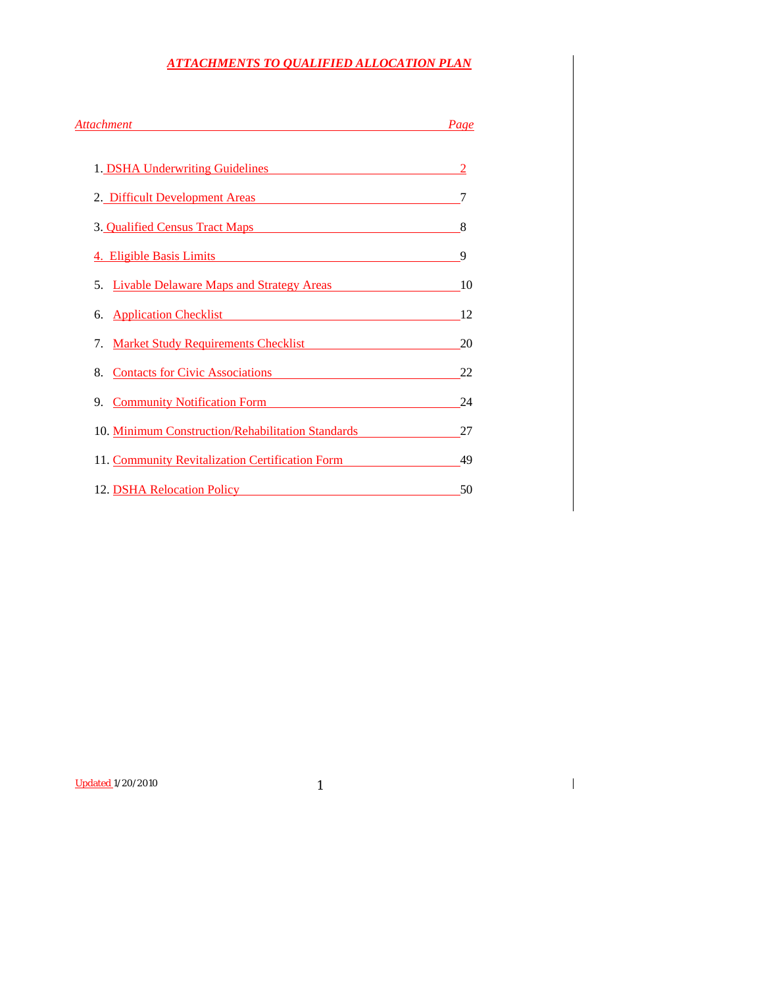# *ATTACHMENTS TO QUALIFIED ALLOCATION PLAN*

| Attachment <b>Attachment</b>                                                                                                                                                                   |    |
|------------------------------------------------------------------------------------------------------------------------------------------------------------------------------------------------|----|
| 1. DSHA Underwriting Guidelines                                                                                                                                                                | 2  |
| 2. Difficult Development Areas                                                                                                                                                                 | 7  |
| 3. Qualified Census Tract Maps <b>Server Access 1986</b>                                                                                                                                       | 8  |
| 4. Eligible Basis Limits <b>Analyzine State and Taylor State and Taylor</b>                                                                                                                    | 9  |
| 5. Livable Delaware Maps and Strategy Areas                                                                                                                                                    | 10 |
| 6. Application Checklist <b>Changes Changes Changes Changes Changes Changes Changes Changes Changes Changes Changes Changes Changes Changes Changes Changes Changes Changes Changes Change</b> | 12 |
| 7. Market Study Requirements Checklist                                                                                                                                                         | 20 |
| 8. Contacts for Civic Associations 22                                                                                                                                                          |    |
| 9. Community Notification Form                                                                                                                                                                 | 24 |
| 10. Minimum Construction/Rehabilitation Standards                                                                                                                                              | 27 |
| 11. Community Revitalization Certification Form                                                                                                                                                | 49 |
| 12. DSHA Relocation Policy                                                                                                                                                                     | 50 |

Updated 1/20/2010 1

 $\overline{\mathbf{I}}$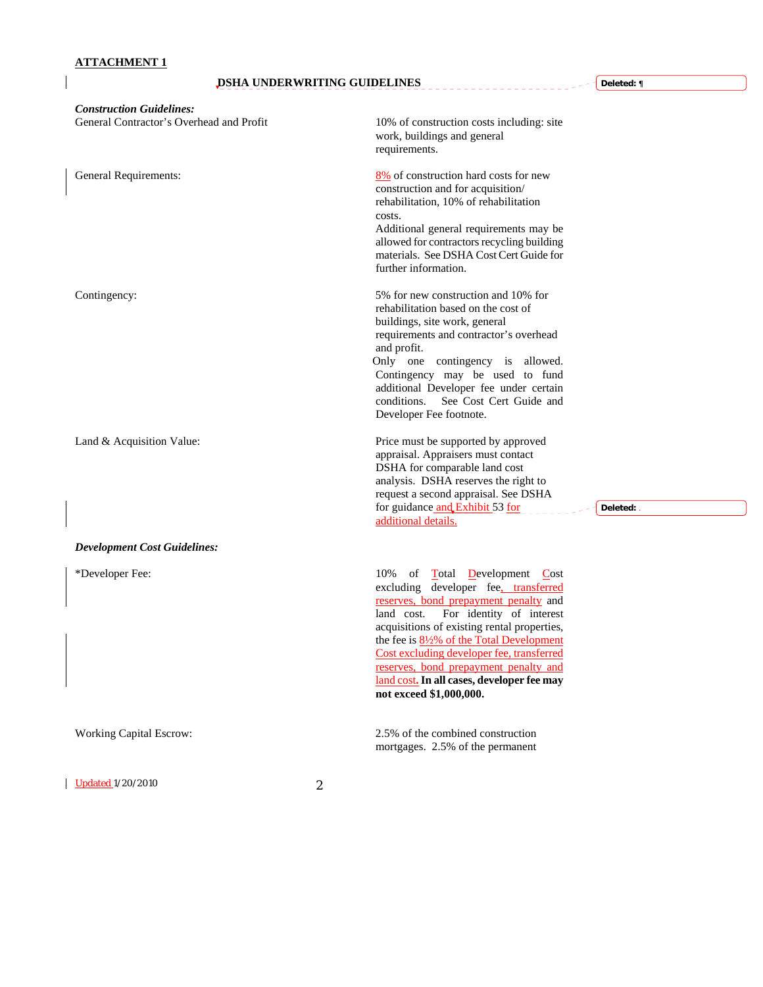$\overline{\phantom{a}}$ 

# **DSHA UNDERWRITING GUIDELINES**

J.  $\overline{a}$ 

| <b>Construction Guidelines:</b>          |                                                                                                                                                                                                                                                                                                                                                                                                                                                    |
|------------------------------------------|----------------------------------------------------------------------------------------------------------------------------------------------------------------------------------------------------------------------------------------------------------------------------------------------------------------------------------------------------------------------------------------------------------------------------------------------------|
| General Contractor's Overhead and Profit | 10% of construction costs including: site<br>work, buildings and general<br>requirements.                                                                                                                                                                                                                                                                                                                                                          |
| General Requirements:                    | 8% of construction hard costs for new<br>construction and for acquisition/<br>rehabilitation, 10% of rehabilitation<br>costs.<br>Additional general requirements may be<br>allowed for contractors recycling building<br>materials. See DSHA Cost Cert Guide for<br>further information.                                                                                                                                                           |
| Contingency:                             | 5% for new construction and 10% for<br>rehabilitation based on the cost of<br>buildings, site work, general<br>requirements and contractor's overhead<br>and profit.<br>Only one contingency is allowed.<br>Contingency may be used to fund<br>additional Developer fee under certain<br>conditions.<br>See Cost Cert Guide and<br>Developer Fee footnote.                                                                                         |
| Land & Acquisition Value:                | Price must be supported by approved<br>appraisal. Appraisers must contact<br>DSHA for comparable land cost<br>analysis. DSHA reserves the right to<br>request a second appraisal. See DSHA<br>for guidance and Exhibit 53 for<br>Deleted: .<br>additional details.                                                                                                                                                                                 |
| <b>Development Cost Guidelines:</b>      |                                                                                                                                                                                                                                                                                                                                                                                                                                                    |
| *Developer Fee:                          | 10%<br>of<br><b>Total Development Cost</b><br>excluding developer fee, transferred<br>reserves, bond prepayment penalty and<br>For identity of interest<br>land cost.<br>acquisitions of existing rental properties,<br>the fee is $8\frac{1}{2}\%$ of the Total Development<br>Cost excluding developer fee, transferred<br><u>reserves, bond prepayment penalty and</u><br>land cost. In all cases, developer fee may<br>not exceed \$1,000,000. |
| <b>Working Capital Escrow:</b>           | 2.5% of the combined construction<br>mortgages. 2.5% of the permanent                                                                                                                                                                                                                                                                                                                                                                              |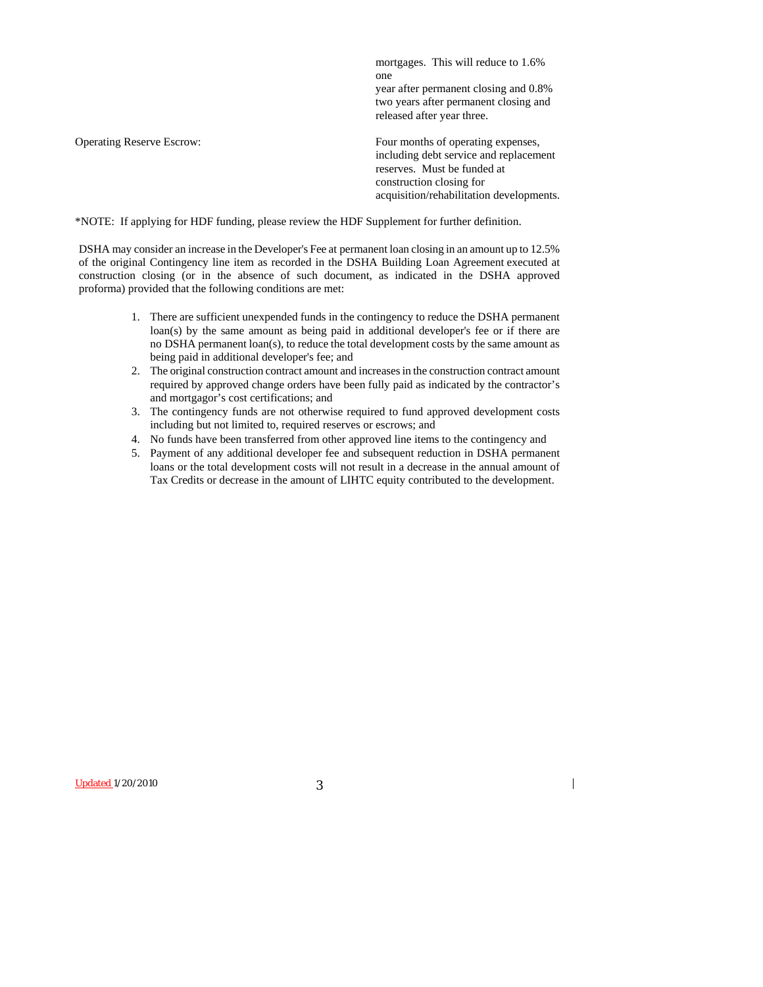mortgages. This will reduce to 1.6% one year after permanent closing and 0.8% two years after permanent closing and released after year three.

Operating Reserve Escrow: Four months of operating expenses, including debt service and replacement reserves. Must be funded at construction closing for acquisition/rehabilitation developments.

 $\overline{\phantom{a}}$ 

\*NOTE: If applying for HDF funding, please review the HDF Supplement for further definition.

DSHA may consider an increase in the Developer's Fee at permanent loan closing in an amount up to 12.5% of the original Contingency line item as recorded in the DSHA Building Loan Agreement executed at construction closing (or in the absence of such document, as indicated in the DSHA approved proforma) provided that the following conditions are met:

- 1. There are sufficient unexpended funds in the contingency to reduce the DSHA permanent loan(s) by the same amount as being paid in additional developer's fee or if there are no DSHA permanent loan(s), to reduce the total development costs by the same amount as being paid in additional developer's fee; and
- 2. The original construction contract amount and increases in the construction contract amount required by approved change orders have been fully paid as indicated by the contractor's and mortgagor's cost certifications; and
- 3. The contingency funds are not otherwise required to fund approved development costs including but not limited to, required reserves or escrows; and
- 4. No funds have been transferred from other approved line items to the contingency and
- 5. Payment of any additional developer fee and subsequent reduction in DSHA permanent loans or the total development costs will not result in a decrease in the annual amount of Tax Credits or decrease in the amount of LIHTC equity contributed to the development.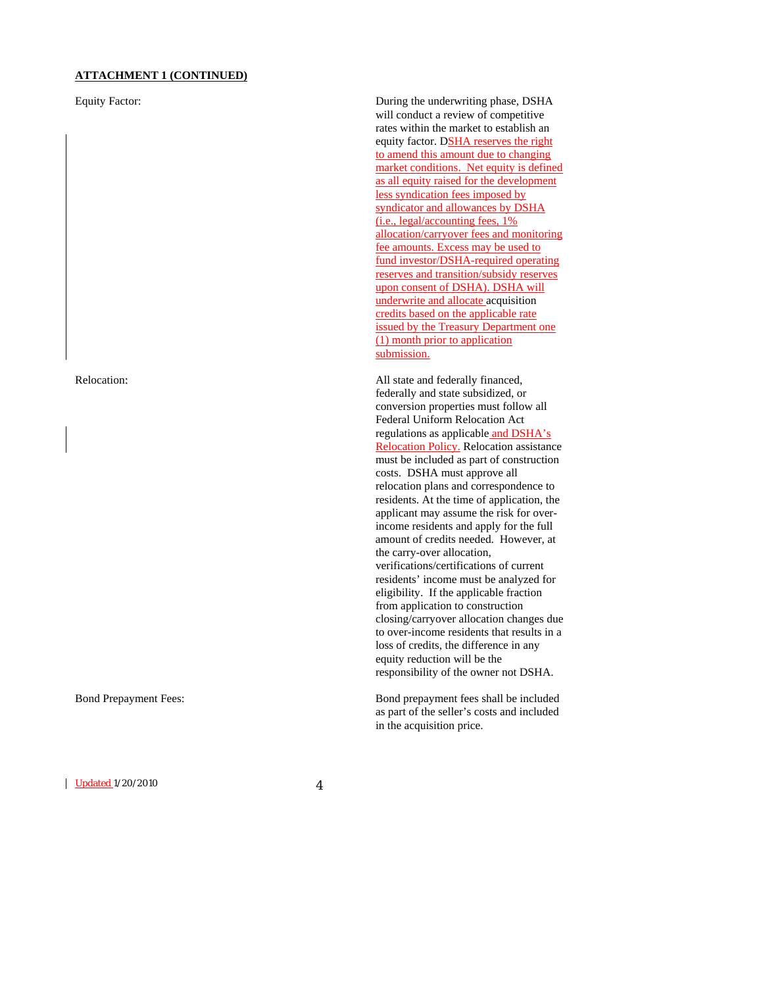#### **ATTACHMENT 1 (CONTINUED)**

Updated 1/20/2010 4

Equity Factor: During the underwriting phase, DSHA will conduct a review of competitive rates within the market to establish an equity factor. DSHA reserves the right to amend this amount due to changing market conditions. Net equity is defined as all equity raised for the development less syndication fees imposed by syndicator and allowances by DSHA (i.e., legal/accounting fees, 1% allocation/carryover fees and monitoring fee amounts. Excess may be used to fund investor/DSHA-required operating reserves and transition/subsidy reserves upon consent of DSHA). DSHA will underwrite and allocate acquisition credits based on the applicable rate issued by the Treasury Department one (1) month prior to application submission.

Relocation: All state and federally financed, federally and state subsidized, or conversion properties must follow all Federal Uniform Relocation Act regulations as applicable and DSHA's Relocation Policy. Relocation assistance must be included as part of construction costs. DSHA must approve all relocation plans and correspondence to residents. At the time of application, the applicant may assume the risk for overincome residents and apply for the full amount of credits needed. However, at the carry-over allocation, verifications/certifications of current residents' income must be analyzed for eligibility. If the applicable fraction from application to construction closing/carryover allocation changes due to over-income residents that results in a loss of credits, the difference in any equity reduction will be the responsibility of the owner not DSHA.

Bond Prepayment Fees: Bond prepayment fees shall be included as part of the seller's costs and included in the acquisition price.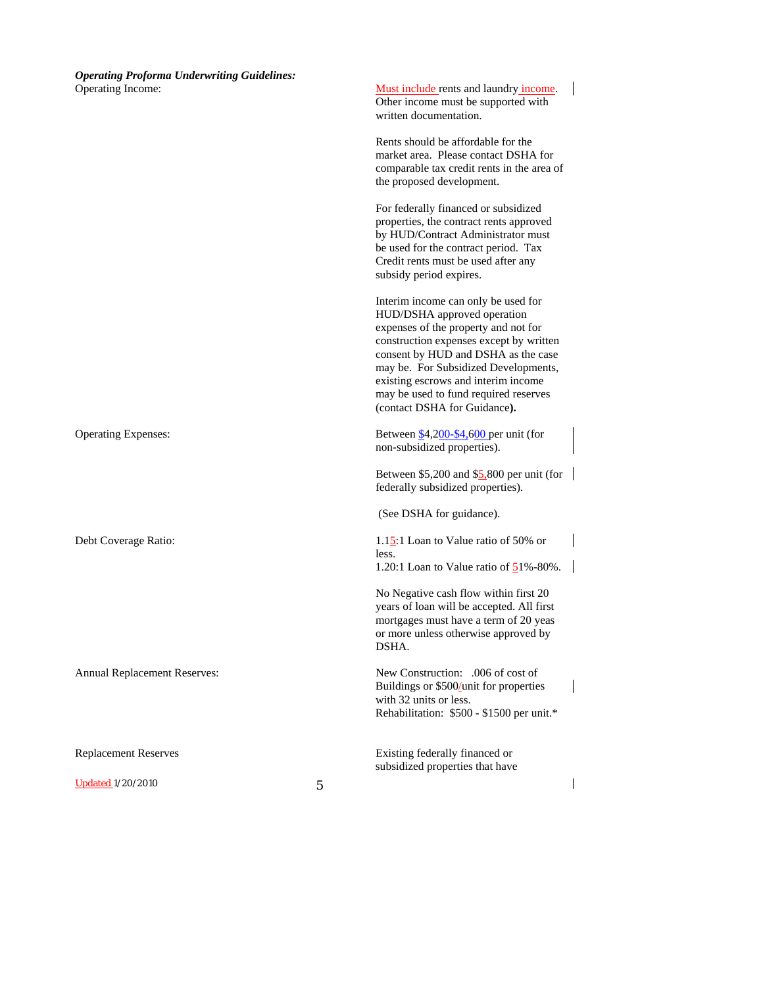| <b>Operating Proforma Underwriting Guidelines:</b> |   |                                                                                                                                                                                                                                                                                                                                                      |  |
|----------------------------------------------------|---|------------------------------------------------------------------------------------------------------------------------------------------------------------------------------------------------------------------------------------------------------------------------------------------------------------------------------------------------------|--|
| Operating Income:                                  |   | Must include rents and laundry income.<br>Other income must be supported with<br>written documentation.                                                                                                                                                                                                                                              |  |
|                                                    |   | Rents should be affordable for the<br>market area. Please contact DSHA for<br>comparable tax credit rents in the area of<br>the proposed development.                                                                                                                                                                                                |  |
|                                                    |   | For federally financed or subsidized<br>properties, the contract rents approved<br>by HUD/Contract Administrator must<br>be used for the contract period. Tax<br>Credit rents must be used after any<br>subsidy period expires.                                                                                                                      |  |
|                                                    |   | Interim income can only be used for<br>HUD/DSHA approved operation<br>expenses of the property and not for<br>construction expenses except by written<br>consent by HUD and DSHA as the case<br>may be. For Subsidized Developments,<br>existing escrows and interim income<br>may be used to fund required reserves<br>(contact DSHA for Guidance). |  |
| <b>Operating Expenses:</b>                         |   | Between \$4,200-\$4,600 per unit (for<br>non-subsidized properties).                                                                                                                                                                                                                                                                                 |  |
|                                                    |   | Between $$5,200$ and $$5,800$ per unit (for<br>federally subsidized properties).                                                                                                                                                                                                                                                                     |  |
|                                                    |   | (See DSHA for guidance).                                                                                                                                                                                                                                                                                                                             |  |
| Debt Coverage Ratio:                               |   | 1.15:1 Loan to Value ratio of 50% or<br>less.<br>1.20:1 Loan to Value ratio of $51\% - 80\%$ .                                                                                                                                                                                                                                                       |  |
|                                                    |   | No Negative cash flow within first 20<br>years of loan will be accepted. All first<br>mortgages must have a term of 20 yeas<br>or more unless otherwise approved by<br>DSHA.                                                                                                                                                                         |  |
| Annual Replacement Reserves:                       |   | New Construction: .006 of cost of<br>Buildings or \$500/unit for properties<br>with 32 units or less.<br>Rehabilitation: \$500 - \$1500 per unit.*                                                                                                                                                                                                   |  |
| <b>Replacement Reserves</b>                        |   | Existing federally financed or<br>subsidized properties that have                                                                                                                                                                                                                                                                                    |  |
| <b>Updated 1/20/2010</b>                           | 5 |                                                                                                                                                                                                                                                                                                                                                      |  |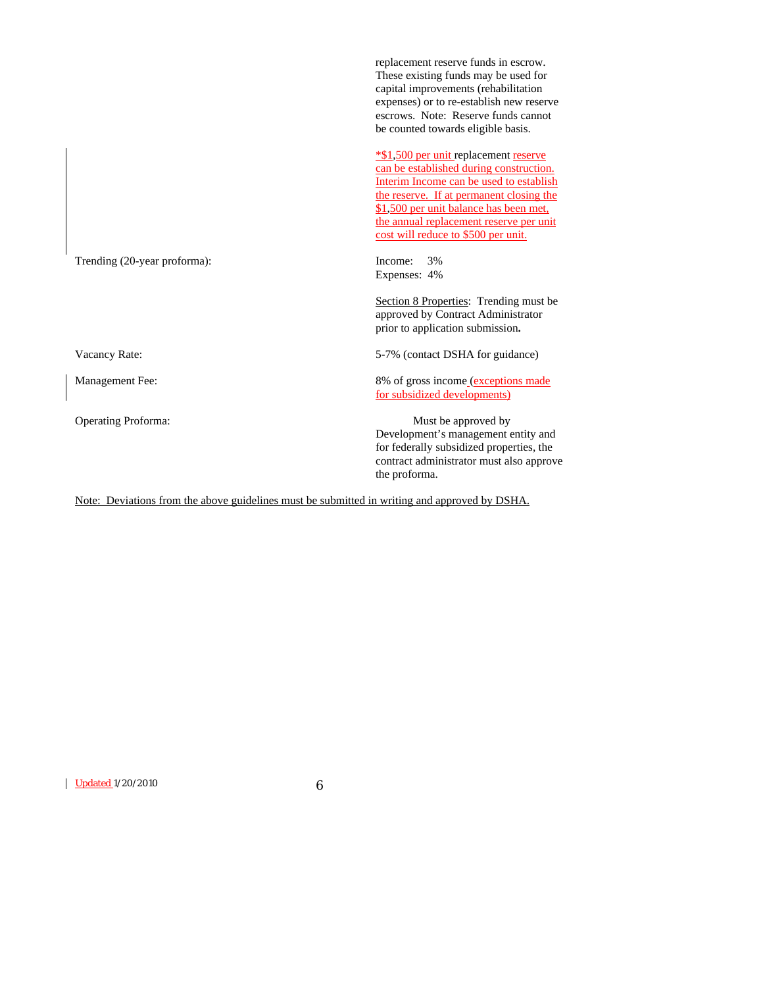|                              | These existing funds may be used for<br>capital improvements (rehabilitation<br>expenses) or to re-establish new reserve<br>escrows. Note: Reserve funds cannot<br>be counted towards eligible basis.                                                                                               |
|------------------------------|-----------------------------------------------------------------------------------------------------------------------------------------------------------------------------------------------------------------------------------------------------------------------------------------------------|
|                              | *\$1,500 per unit replacement reserve<br>can be established during construction.<br>Interim Income can be used to establish<br>the reserve. If at permanent closing the<br>\$1,500 per unit balance has been met,<br>the annual replacement reserve per unit<br>cost will reduce to \$500 per unit. |
| Trending (20-year proforma): | Income:<br>3%<br>Expenses: 4%                                                                                                                                                                                                                                                                       |
|                              | Section 8 Properties: Trending must be<br>approved by Contract Administrator<br>prior to application submission.                                                                                                                                                                                    |
| Vacancy Rate:                | 5-7% (contact DSHA for guidance)                                                                                                                                                                                                                                                                    |
| Management Fee:              | 8% of gross income (exceptions made<br>for subsidized developments)                                                                                                                                                                                                                                 |
| <b>Operating Proforma:</b>   | Must be approved by<br>Development's management entity and<br>for federally subsidized properties, the<br>contract administrator must also approve<br>the proforma.                                                                                                                                 |

replacement reserve funds in escrow.

Note: Deviations from the above guidelines must be submitted in writing and approved by DSHA.

Updated 1/20/2010 6

 $\overline{\phantom{a}}$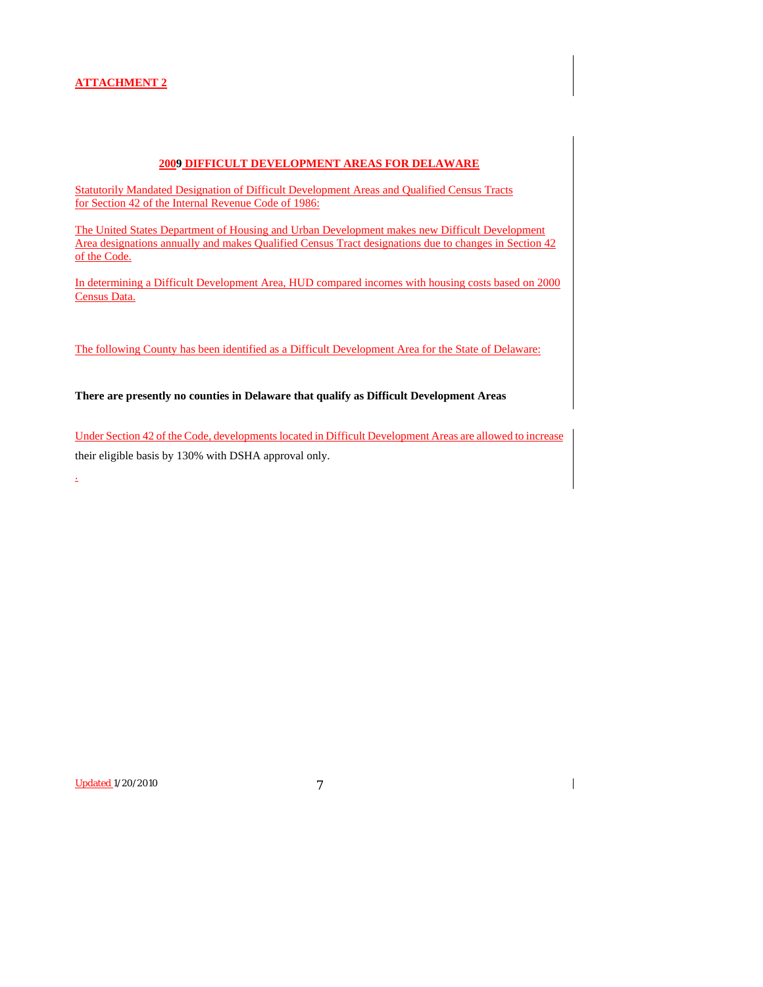#### **2009 DIFFICULT DEVELOPMENT AREAS FOR DELAWARE**

Statutorily Mandated Designation of Difficult Development Areas and Qualified Census Tracts for Section 42 of the Internal Revenue Code of 1986:

The United States Department of Housing and Urban Development makes new Difficult Development Area designations annually and makes Qualified Census Tract designations due to changes in Section 42 of the Code.

In determining a Difficult Development Area, HUD compared incomes with housing costs based on 2000 Census Data.

The following County has been identified as a Difficult Development Area for the State of Delaware:

**There are presently no counties in Delaware that qualify as Difficult Development Areas** 

Under Section 42 of the Code, developments located in Difficult Development Areas are allowed to increase their eligible basis by 130% with DSHA approval only.

Updated 1/20/2010 7

.

 $\overline{\phantom{a}}$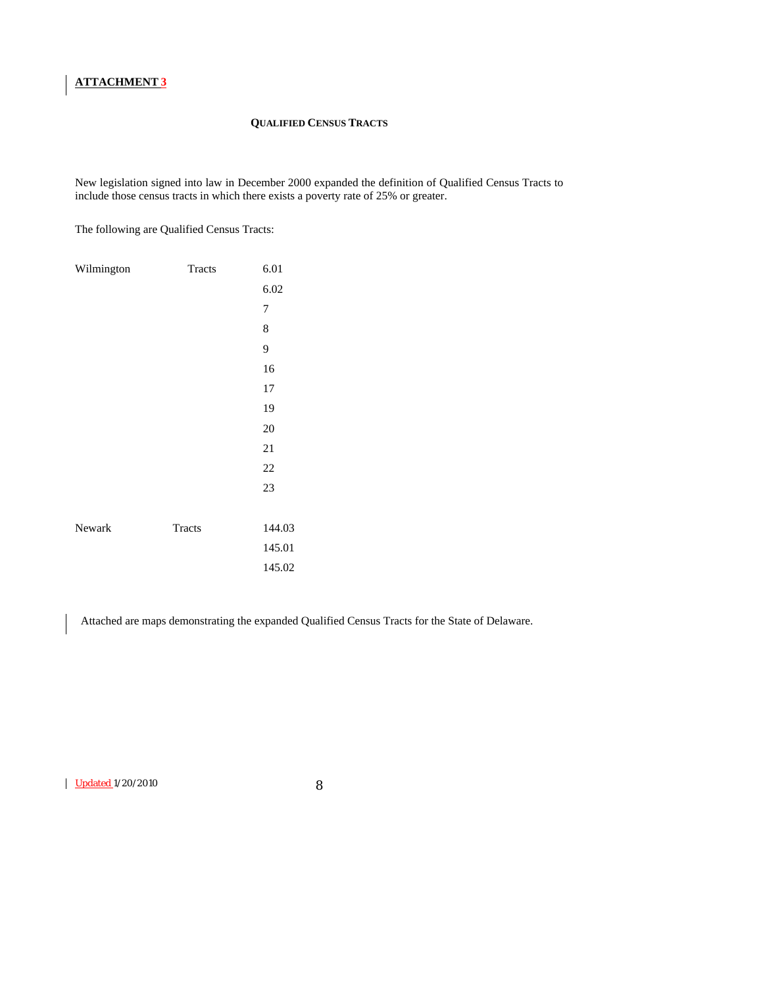#### **QUALIFIED CENSUS TRACTS**

New legislation signed into law in December 2000 expanded the definition of Qualified Census Tracts to include those census tracts in which there exists a poverty rate of 25% or greater.

The following are Qualified Census Tracts:

| Wilmington | Tracts | 6.01           |
|------------|--------|----------------|
|            |        | 6.02           |
|            |        | $\overline{7}$ |
|            |        | 8              |
|            |        | 9              |
|            |        | 16             |
|            |        | 17             |
|            |        | 19             |
|            |        | 20             |
|            |        | 21             |
|            |        | 22             |
|            |        | 23             |
|            |        |                |
| Newark     | Tracts | 144.03         |
|            |        | 145.01         |
|            |        | 145.02         |

Attached are maps demonstrating the expanded Qualified Census Tracts for the State of Delaware.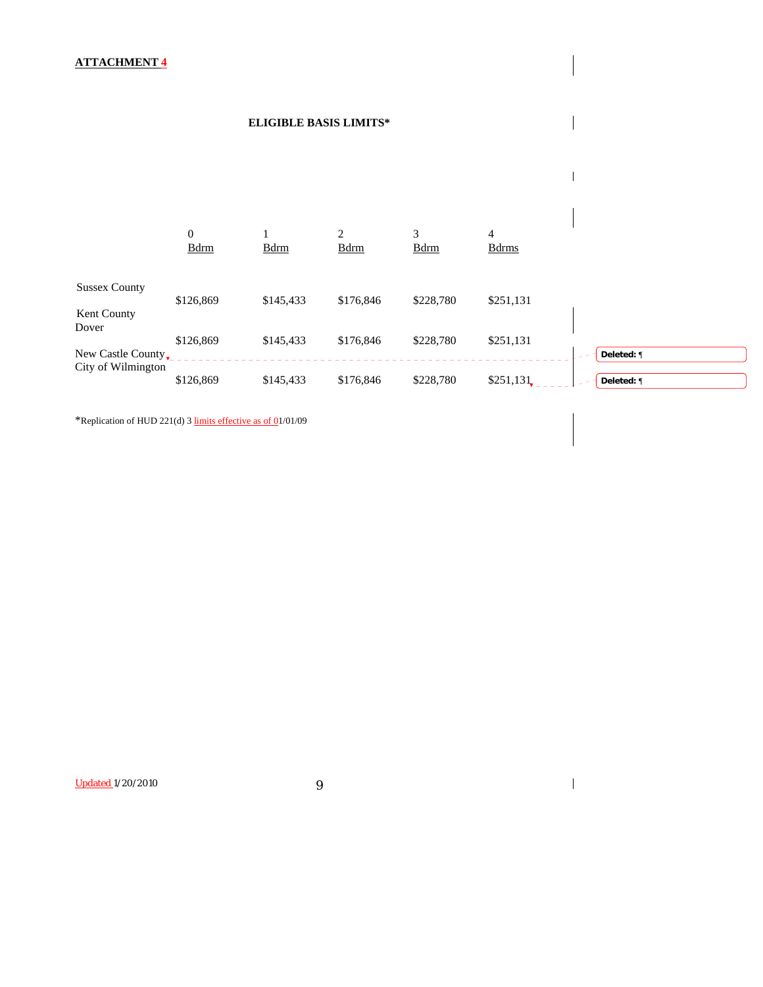## **ELIGIBLE BASIS LIMITS\***



\*Replication of HUD 221(d) 3 limits effective as of 01/01/09

Updated 1/20/2010 9

 $\mathbf{I}$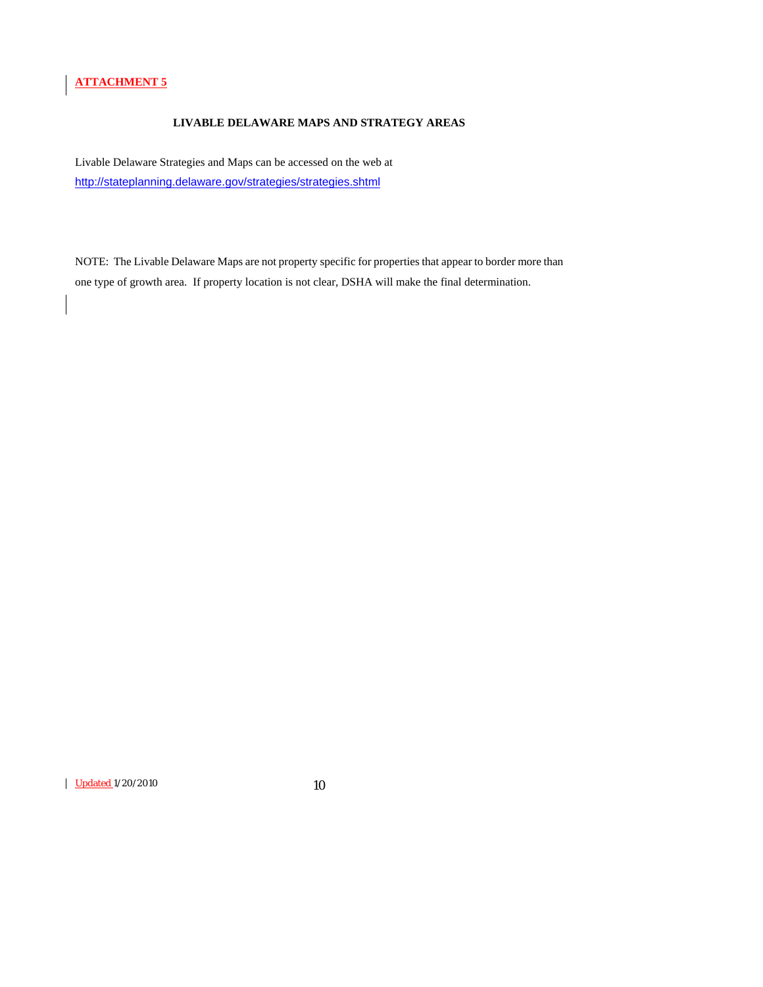## **LIVABLE DELAWARE MAPS AND STRATEGY AREAS**

Livable Delaware Strategies and Maps can be accessed on the web at <http://stateplanning.delaware.gov/strategies/strategies.shtml>

NOTE: The Livable Delaware Maps are not property specific for properties that appear to border more than one type of growth area. If property location is not clear, DSHA will make the final determination.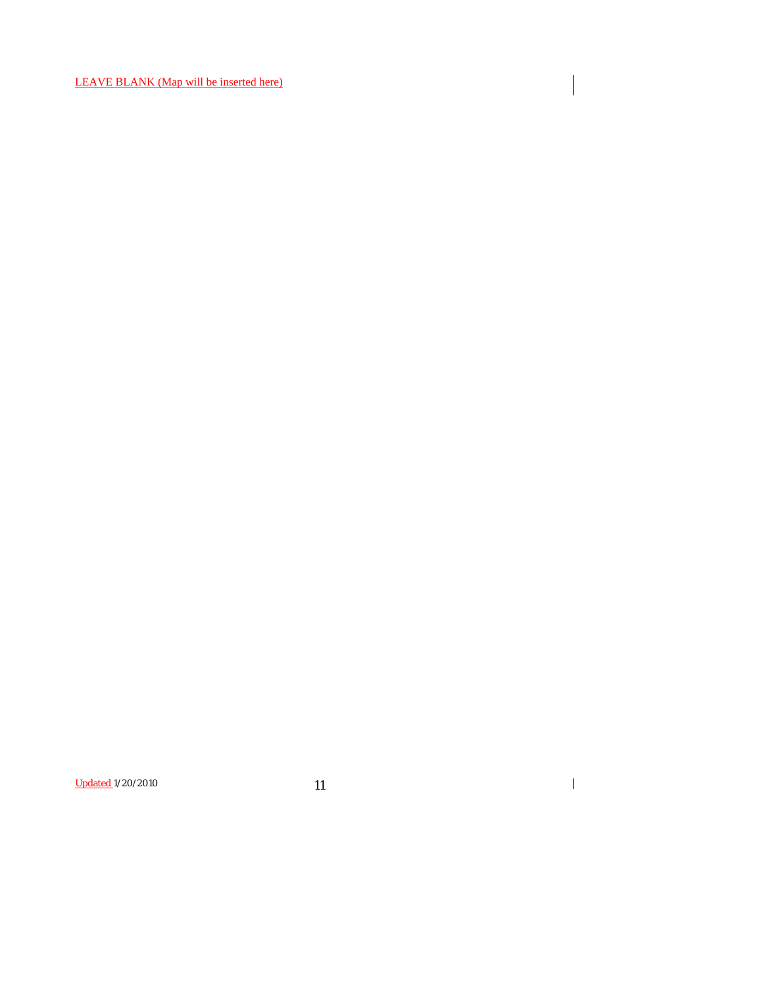LEAVE BLANK (Map will be inserted here)

Updated 1/20/2010 11

 $\overline{\phantom{a}}$ 

 $\overline{\mathbf{I}}$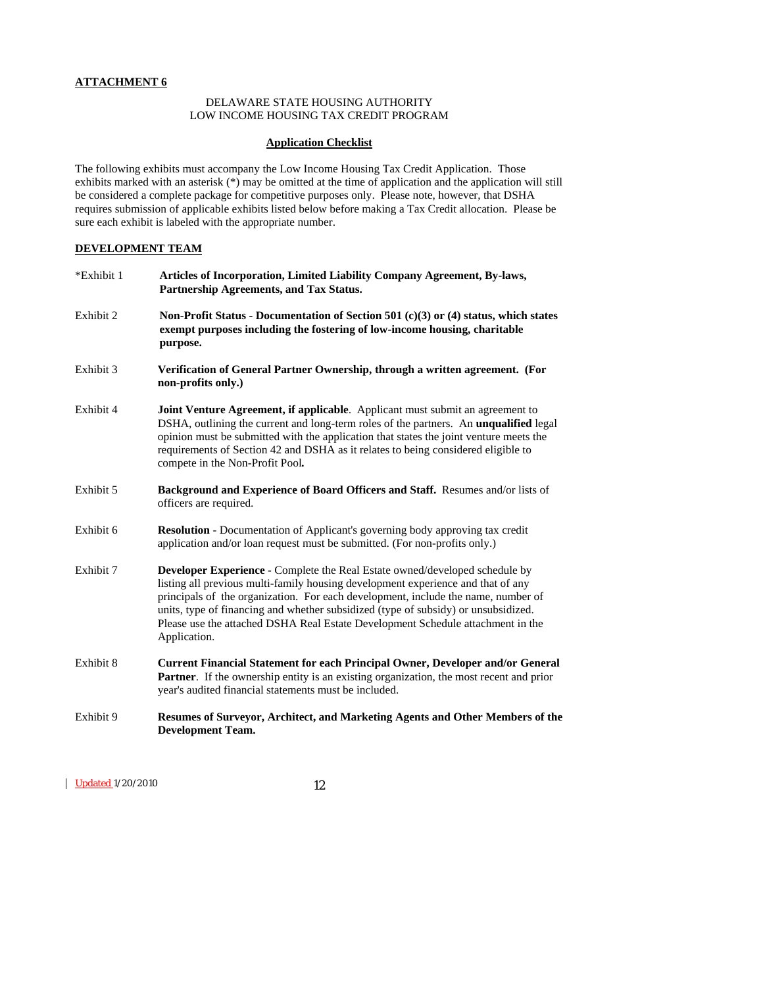#### DELAWARE STATE HOUSING AUTHORITY LOW INCOME HOUSING TAX CREDIT PROGRAM

#### **Application Checklist**

The following exhibits must accompany the Low Income Housing Tax Credit Application. Those exhibits marked with an asterisk (\*) may be omitted at the time of application and the application will still be considered a complete package for competitive purposes only. Please note, however, that DSHA requires submission of applicable exhibits listed below before making a Tax Credit allocation. Please be sure each exhibit is labeled with the appropriate number.

#### **DEVELOPMENT TEAM**

| *Exhibit 1 | Articles of Incorporation, Limited Liability Company Agreement, By-laws,<br>Partnership Agreements, and Tax Status.                                                                                                                                                                                                                                                                                                                                  |
|------------|------------------------------------------------------------------------------------------------------------------------------------------------------------------------------------------------------------------------------------------------------------------------------------------------------------------------------------------------------------------------------------------------------------------------------------------------------|
| Exhibit 2  | Non-Profit Status - Documentation of Section 501 (c)(3) or (4) status, which states<br>exempt purposes including the fostering of low-income housing, charitable<br>purpose.                                                                                                                                                                                                                                                                         |
| Exhibit 3  | Verification of General Partner Ownership, through a written agreement. (For<br>non-profits only.)                                                                                                                                                                                                                                                                                                                                                   |
| Exhibit 4  | Joint Venture Agreement, if applicable. Applicant must submit an agreement to<br>DSHA, outlining the current and long-term roles of the partners. An unqualified legal<br>opinion must be submitted with the application that states the joint venture meets the<br>requirements of Section 42 and DSHA as it relates to being considered eligible to<br>compete in the Non-Profit Pool.                                                             |
| Exhibit 5  | Background and Experience of Board Officers and Staff. Resumes and/or lists of<br>officers are required.                                                                                                                                                                                                                                                                                                                                             |
| Exhibit 6  | <b>Resolution</b> - Documentation of Applicant's governing body approving tax credit<br>application and/or loan request must be submitted. (For non-profits only.)                                                                                                                                                                                                                                                                                   |
| Exhibit 7  | <b>Developer Experience - Complete the Real Estate owned/developed schedule by</b><br>listing all previous multi-family housing development experience and that of any<br>principals of the organization. For each development, include the name, number of<br>units, type of financing and whether subsidized (type of subsidy) or unsubsidized.<br>Please use the attached DSHA Real Estate Development Schedule attachment in the<br>Application. |
| Exhibit 8  | Current Financial Statement for each Principal Owner, Developer and/or General<br>Partner. If the ownership entity is an existing organization, the most recent and prior<br>year's audited financial statements must be included.                                                                                                                                                                                                                   |
| Exhibit 9  | Resumes of Surveyor, Architect, and Marketing Agents and Other Members of the<br><b>Development Team.</b>                                                                                                                                                                                                                                                                                                                                            |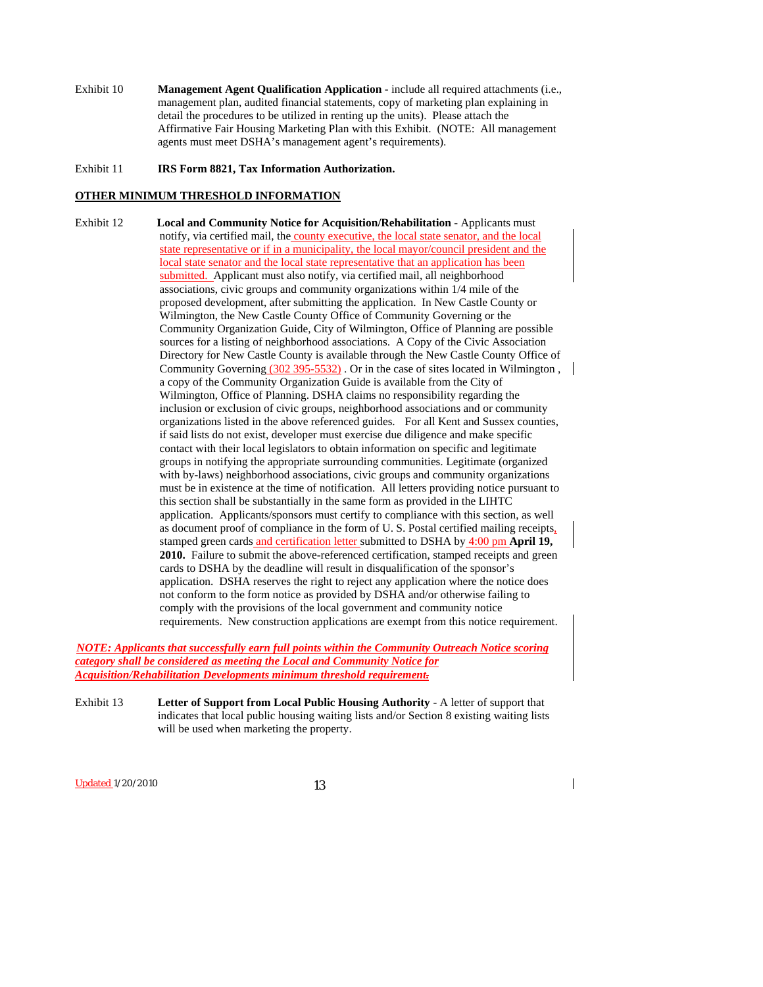Exhibit 10 **Management Agent Qualification Application** - include all required attachments (i.e., management plan, audited financial statements, copy of marketing plan explaining in detail the procedures to be utilized in renting up the units). Please attach the Affirmative Fair Housing Marketing Plan with this Exhibit. (NOTE: All management agents must meet DSHA's management agent's requirements).

#### Exhibit 11 **IRS Form 8821, Tax Information Authorization.**

## **OTHER MINIMUM THRESHOLD INFORMATION**

Exhibit 12 **Local and Community Notice for Acquisition/Rehabilitation** - Applicants must notify, via certified mail, the county executive, the local state senator, and the local state representative or if in a municipality, the local mayor/council president and the local state senator and the local state representative that an application has been submitted. Applicant must also notify, via certified mail, all neighborhood associations, civic groups and community organizations within 1/4 mile of the proposed development, after submitting the application. In New Castle County or Wilmington, the New Castle County Office of Community Governing or the Community Organization Guide, City of Wilmington, Office of Planning are possible sources for a listing of neighborhood associations. A Copy of the Civic Association Directory for New Castle County is available through the New Castle County Office of Community Governing (302 395-5532). Or in the case of sites located in Wilmington, a copy of the Community Organization Guide is available from the City of Wilmington, Office of Planning. DSHA claims no responsibility regarding the inclusion or exclusion of civic groups, neighborhood associations and or community organizations listed in the above referenced guides. For all Kent and Sussex counties, if said lists do not exist, developer must exercise due diligence and make specific contact with their local legislators to obtain information on specific and legitimate groups in notifying the appropriate surrounding communities. Legitimate (organized with by-laws) neighborhood associations, civic groups and community organizations must be in existence at the time of notification. All letters providing notice pursuant to this section shall be substantially in the same form as provided in the LIHTC application. Applicants/sponsors must certify to compliance with this section, as well as document proof of compliance in the form of U.S. Postal certified mailing receipts, stamped green cards and certification letter submitted to DSHA by 4:00 pm **April 19, 2010.** Failure to submit the above-referenced certification, stamped receipts and green cards to DSHA by the deadline will result in disqualification of the sponsor's application. DSHA reserves the right to reject any application where the notice does not conform to the form notice as provided by DSHA and/or otherwise failing to comply with the provisions of the local government and community notice requirements. New construction applications are exempt from this notice requirement.

*NOTE: Applicants that successfully earn full points within the Community Outreach Notice scoring category shall be considered as meeting the Local and Community Notice for Acquisition/Rehabilitation Developments minimum threshold requirement.* 

Exhibit 13 **Letter of Support from Local Public Housing Authority** - A letter of support that indicates that local public housing waiting lists and/or Section 8 existing waiting lists will be used when marketing the property.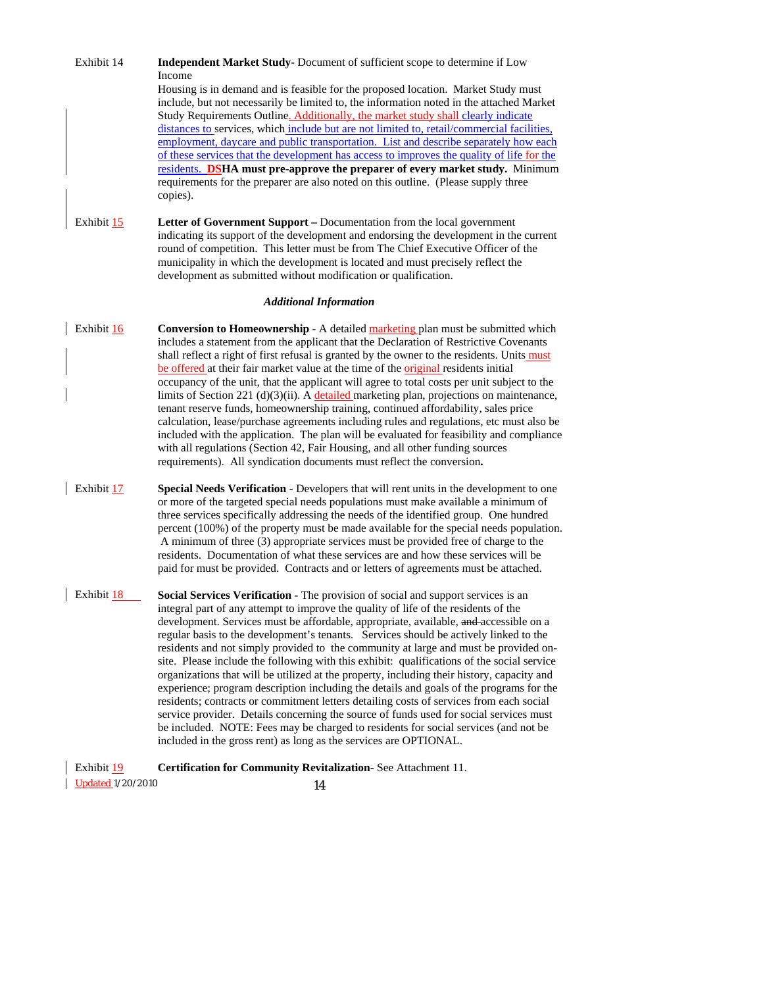| <b>Updated 1/20/2010</b> | 14                                                                                                                                                                                                                                                                                                                                                                                                                                                                                                                                                                                                                                                                                                                                                                                                                                                                                                                                                                                                                                                                                         |
|--------------------------|--------------------------------------------------------------------------------------------------------------------------------------------------------------------------------------------------------------------------------------------------------------------------------------------------------------------------------------------------------------------------------------------------------------------------------------------------------------------------------------------------------------------------------------------------------------------------------------------------------------------------------------------------------------------------------------------------------------------------------------------------------------------------------------------------------------------------------------------------------------------------------------------------------------------------------------------------------------------------------------------------------------------------------------------------------------------------------------------|
| Exhibit 19               | Certification for Community Revitalization- See Attachment 11.                                                                                                                                                                                                                                                                                                                                                                                                                                                                                                                                                                                                                                                                                                                                                                                                                                                                                                                                                                                                                             |
| Exhibit 18               | Social Services Verification - The provision of social and support services is an<br>integral part of any attempt to improve the quality of life of the residents of the<br>development. Services must be affordable, appropriate, available, and accessible on a<br>regular basis to the development's tenants. Services should be actively linked to the<br>residents and not simply provided to the community at large and must be provided on-<br>site. Please include the following with this exhibit: qualifications of the social service<br>organizations that will be utilized at the property, including their history, capacity and<br>experience; program description including the details and goals of the programs for the<br>residents; contracts or commitment letters detailing costs of services from each social<br>service provider. Details concerning the source of funds used for social services must<br>be included. NOTE: Fees may be charged to residents for social services (and not be<br>included in the gross rent) as long as the services are OPTIONAL. |
| Exhibit 17               | Special Needs Verification - Developers that will rent units in the development to one<br>or more of the targeted special needs populations must make available a minimum of<br>three services specifically addressing the needs of the identified group. One hundred<br>percent (100%) of the property must be made available for the special needs population.<br>A minimum of three (3) appropriate services must be provided free of charge to the<br>residents. Documentation of what these services are and how these services will be<br>paid for must be provided. Contracts and or letters of agreements must be attached.                                                                                                                                                                                                                                                                                                                                                                                                                                                        |
| Exhibit 16               | Conversion to Homeownership - A detailed marketing plan must be submitted which<br>includes a statement from the applicant that the Declaration of Restrictive Covenants<br>shall reflect a right of first refusal is granted by the owner to the residents. Units must<br>be offered at their fair market value at the time of the <i>original</i> residents initial<br>occupancy of the unit, that the applicant will agree to total costs per unit subject to the<br>limits of Section 221 (d)(3)(ii). A detailed marketing plan, projections on maintenance,<br>tenant reserve funds, homeownership training, continued affordability, sales price<br>calculation, lease/purchase agreements including rules and regulations, etc must also be<br>included with the application. The plan will be evaluated for feasibility and compliance<br>with all regulations (Section 42, Fair Housing, and all other funding sources<br>requirements). All syndication documents must reflect the conversion.                                                                                   |
|                          | <b>Additional Information</b>                                                                                                                                                                                                                                                                                                                                                                                                                                                                                                                                                                                                                                                                                                                                                                                                                                                                                                                                                                                                                                                              |
| Exhibit 15               | Letter of Government Support – Documentation from the local government<br>indicating its support of the development and endorsing the development in the current<br>round of competition. This letter must be from The Chief Executive Officer of the<br>municipality in which the development is located and must precisely reflect the<br>development as submitted without modification or qualification.                                                                                                                                                                                                                                                                                                                                                                                                                                                                                                                                                                                                                                                                                |
| Exhibit 14               | <b>Independent Market Study-Document of sufficient scope to determine if Low</b><br>Income<br>Housing is in demand and is feasible for the proposed location. Market Study must<br>include, but not necessarily be limited to, the information noted in the attached Market<br>Study Requirements Outline. Additionally, the market study shall clearly indicate<br>distances to services, which include but are not limited to, retail/commercial facilities,<br>employment, daycare and public transportation. List and describe separately how each<br>of these services that the development has access to improves the quality of life for the<br>residents. DSHA must pre-approve the preparer of every market study. Minimum<br>requirements for the preparer are also noted on this outline. (Please supply three<br>copies).                                                                                                                                                                                                                                                      |
|                          |                                                                                                                                                                                                                                                                                                                                                                                                                                                                                                                                                                                                                                                                                                                                                                                                                                                                                                                                                                                                                                                                                            |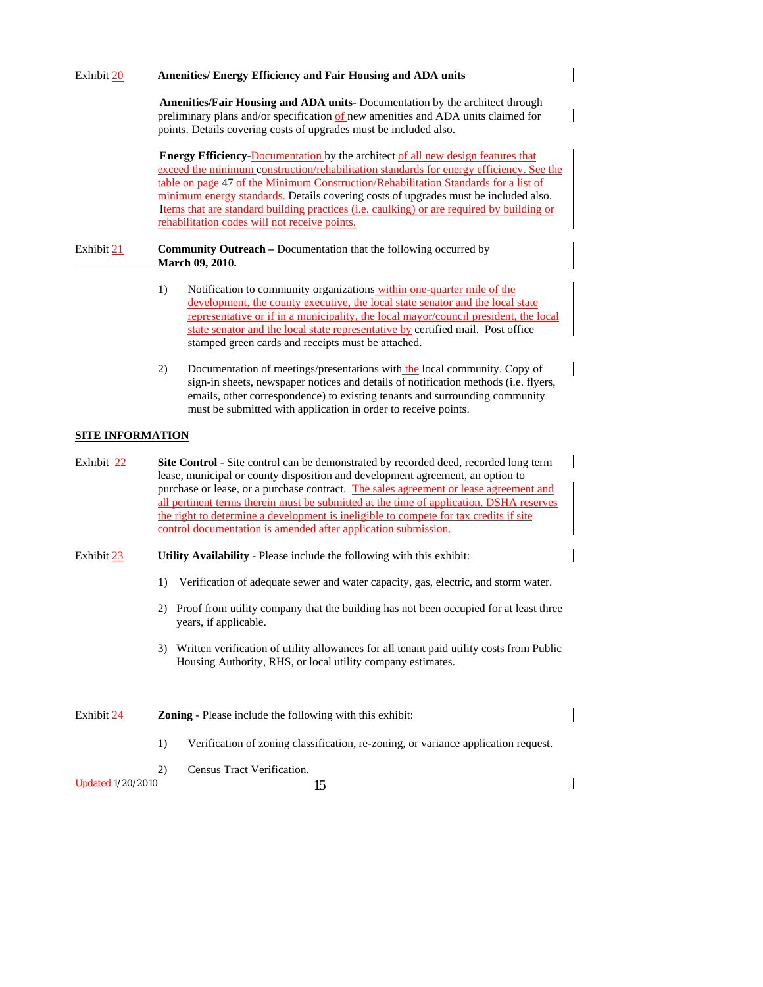| Exhibit 20                                                                           | Amenities/ Energy Efficiency and Fair Housing and ADA units                                                                                                                                                                                                                                                                                                                                                                                                                                                                  |  |  |  |
|--------------------------------------------------------------------------------------|------------------------------------------------------------------------------------------------------------------------------------------------------------------------------------------------------------------------------------------------------------------------------------------------------------------------------------------------------------------------------------------------------------------------------------------------------------------------------------------------------------------------------|--|--|--|
|                                                                                      | Amenities/Fair Housing and ADA units- Documentation by the architect through<br>preliminary plans and/or specification of new amenities and ADA units claimed for<br>points. Details covering costs of upgrades must be included also.                                                                                                                                                                                                                                                                                       |  |  |  |
|                                                                                      | <b>Energy Efficiency-Documentation</b> by the architect of all new design features that<br>exceed the minimum construction/rehabilitation standards for energy efficiency. See the<br>table on page 47 of the Minimum Construction/Rehabilitation Standards for a list of<br>minimum energy standards. Details covering costs of upgrades must be included also.<br>Items that are standard building practices (i.e. caulking) or are required by building or<br>rehabilitation codes will not receive points.               |  |  |  |
| Exhibit 21                                                                           | <b>Community Outreach</b> – Documentation that the following occurred by<br>March 09, 2010.                                                                                                                                                                                                                                                                                                                                                                                                                                  |  |  |  |
|                                                                                      | Notification to community organizations within one-quarter mile of the<br>1)<br>development, the county executive, the local state senator and the local state<br>representative or if in a municipality, the local mayor/council president, the local<br>state senator and the local state representative by certified mail. Post office<br>stamped green cards and receipts must be attached.                                                                                                                              |  |  |  |
|                                                                                      | Documentation of meetings/presentations with the local community. Copy of<br>2)<br>sign-in sheets, newspaper notices and details of notification methods (i.e. flyers,<br>emails, other correspondence) to existing tenants and surrounding community<br>must be submitted with application in order to receive points.                                                                                                                                                                                                      |  |  |  |
| <b>SITE INFORMATION</b>                                                              |                                                                                                                                                                                                                                                                                                                                                                                                                                                                                                                              |  |  |  |
| Exhibit 22                                                                           | <b>Site Control</b> - Site control can be demonstrated by recorded deed, recorded long term<br>lease, municipal or county disposition and development agreement, an option to<br>purchase or lease, or a purchase contract. The sales agreement or lease agreement and<br>all pertinent terms therein must be submitted at the time of application. DSHA reserves<br>the right to determine a development is ineligible to compete for tax credits if site<br>control documentation is amended after application submission. |  |  |  |
| Exhibit 23<br>Utility Availability - Please include the following with this exhibit: |                                                                                                                                                                                                                                                                                                                                                                                                                                                                                                                              |  |  |  |
|                                                                                      | Verification of adequate sewer and water capacity, gas, electric, and storm water.<br>1)                                                                                                                                                                                                                                                                                                                                                                                                                                     |  |  |  |
|                                                                                      | 2) Proof from utility company that the building has not been occupied for at least three<br>years, if applicable.                                                                                                                                                                                                                                                                                                                                                                                                            |  |  |  |
|                                                                                      | 3) Written verification of utility allowances for all tenant paid utility costs from Public<br>Housing Authority, RHS, or local utility company estimates.                                                                                                                                                                                                                                                                                                                                                                   |  |  |  |
| Exhibit 24                                                                           | Zoning - Please include the following with this exhibit:                                                                                                                                                                                                                                                                                                                                                                                                                                                                     |  |  |  |
|                                                                                      | Verification of zoning classification, re-zoning, or variance application request.<br>1)                                                                                                                                                                                                                                                                                                                                                                                                                                     |  |  |  |
| <b>Updated 1/20/2010</b>                                                             | Census Tract Verification.<br>2)<br>15                                                                                                                                                                                                                                                                                                                                                                                                                                                                                       |  |  |  |
|                                                                                      |                                                                                                                                                                                                                                                                                                                                                                                                                                                                                                                              |  |  |  |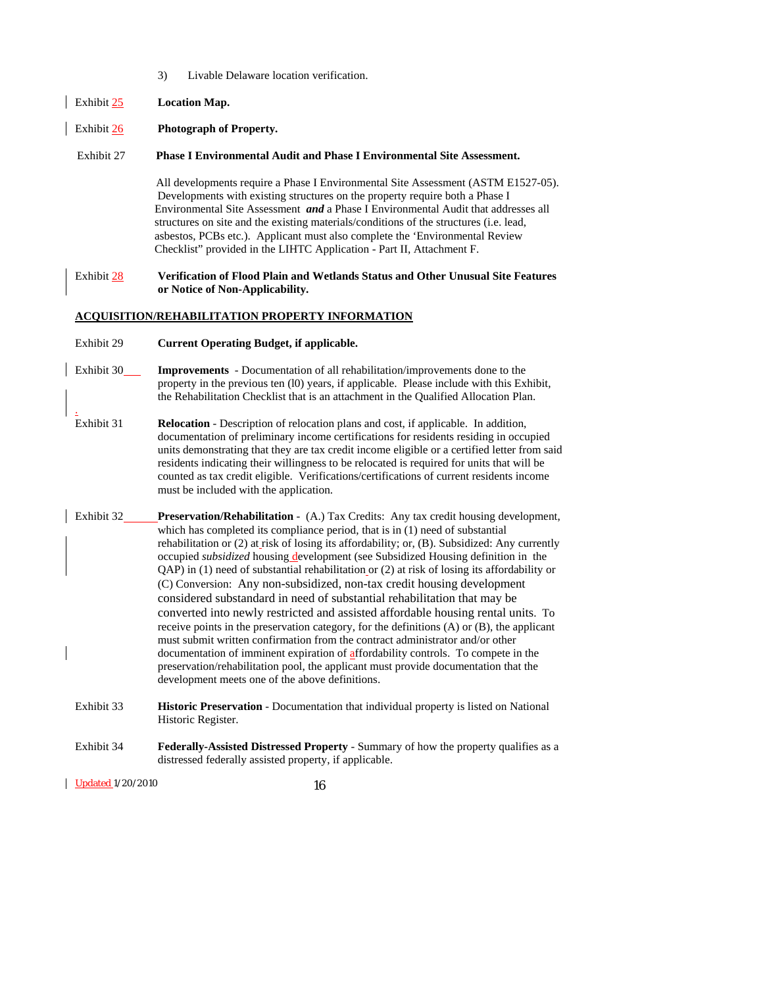- 3) Livable Delaware location verification.
- Exhibit 25 **Location Map.**
- Exhibit 26 **Photograph of Property.**

#### Exhibit 27 **Phase I Environmental Audit and Phase I Environmental Site Assessment.**

 All developments require a Phase I Environmental Site Assessment (ASTM E1527-05). Developments with existing structures on the property require both a Phase I Environmental Site Assessment *and* a Phase I Environmental Audit that addresses all structures on site and the existing materials/conditions of the structures (i.e. lead, asbestos, PCBs etc.). Applicant must also complete the 'Environmental Review Checklist" provided in the LIHTC Application - Part II, Attachment F.

#### Exhibit 28 **Verification of Flood Plain and Wetlands Status and Other Unusual Site Features or Notice of Non-Applicability.**

#### **ACQUISITION/REHABILITATION PROPERTY INFORMATION**

- Exhibit 29 **Current Operating Budget, if applicable.**
- Exhibit 30\_\_\_\_\_**Improvements** Documentation of all rehabilitation/improvements done to the property in the previous ten (l0) years, if applicable. Please include with this Exhibit, the Rehabilitation Checklist that is an attachment in the Qualified Allocation Plan.
- Exhibit 31 **Relocation** Description of relocation plans and cost, if applicable. In addition, documentation of preliminary income certifications for residents residing in occupied units demonstrating that they are tax credit income eligible or a certified letter from said residents indicating their willingness to be relocated is required for units that will be counted as tax credit eligible. Verifications/certifications of current residents income must be included with the application.
- Exhibit 32 **Preservation/Rehabilitation**  (A.) Tax Credits: Any tax credit housing development, which has completed its compliance period, that is in (1) need of substantial rehabilitation or (2) at risk of losing its affordability; or, (B). Subsidized: Any currently occupied *subsidized* housing development (see Subsidized Housing definition in the QAP) in (1) need of substantial rehabilitation or (2) at risk of losing its affordability or (C) Conversion: Any non-subsidized, non-tax credit housing development considered substandard in need of substantial rehabilitation that may be converted into newly restricted and assisted affordable housing rental units. To receive points in the preservation category, for the definitions (A) or (B), the applicant must submit written confirmation from the contract administrator and/or other documentation of imminent expiration of affordability controls. To compete in the preservation/rehabilitation pool, the applicant must provide documentation that the development meets one of the above definitions.
- Exhibit 33 **Historic Preservation**  Documentation that individual property is listed on National Historic Register.
- Exhibit 34 **Federally-Assisted Distressed Property** Summary of how the property qualifies as a distressed federally assisted property, if applicable.

Updated 1/20/2010 16

.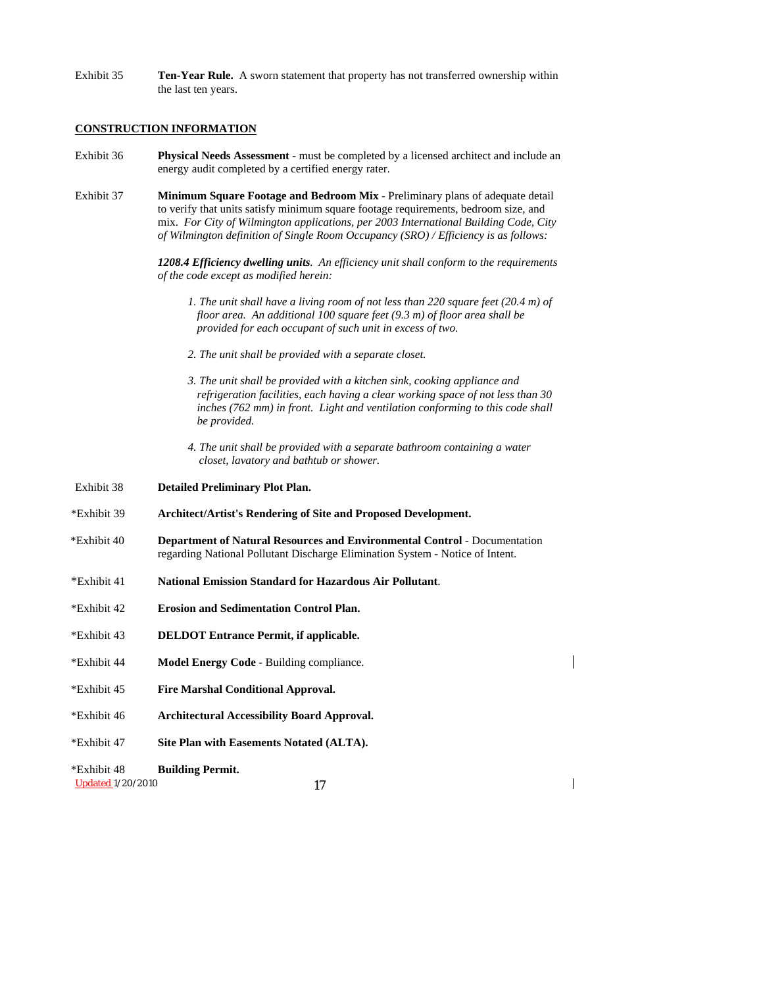Exhibit 35 **Ten-Year Rule.** A sworn statement that property has not transferred ownership within the last ten years.

#### **CONSTRUCTION INFORMATION**

- Exhibit 36 **Physical Needs Assessment** must be completed by a licensed architect and include an energy audit completed by a certified energy rater.
- Exhibit 37 **Minimum Square Footage and Bedroom Mix** Preliminary plans of adequate detail to verify that units satisfy minimum square footage requirements, bedroom size, and mix. *For City of Wilmington applications, per 2003 International Building Code, City of Wilmington definition of Single Room Occupancy (SRO) / Efficiency is as follows:*

 *1208.4 Efficiency dwelling units. An efficiency unit shall conform to the requirements of the code except as modified herein:* 

- *1. The unit shall have a living room of not less than 220 square feet (20.4 m) of floor area. An additional 100 square feet (9.3 m) of floor area shall be provided for each occupant of such unit in excess of two.*
- *2. The unit shall be provided with a separate closet.*
- *3. The unit shall be provided with a kitchen sink, cooking appliance and refrigeration facilities, each having a clear working space of not less than 30 inches (762 mm) in front. Light and ventilation conforming to this code shall be provided.*
- *4. The unit shall be provided with a separate bathroom containing a water closet, lavatory and bathtub or shower.*

Exhibit 38 **Detailed Preliminary Plot Plan.**

- \*Exhibit 39 **Architect/Artist's Rendering of Site and Proposed Development.**
- \*Exhibit 40 **Department of Natural Resources and Environmental Control** Documentation regarding National Pollutant Discharge Elimination System - Notice of Intent.
- \*Exhibit 41 **National Emission Standard for Hazardous Air Pollutant**.
- \*Exhibit 42 **Erosion and Sedimentation Control Plan.**
- \*Exhibit 43 **DELDOT Entrance Permit, if applicable.**
- \*Exhibit 44 **Model Energy Code** Building compliance.
- \*Exhibit 45 **Fire Marshal Conditional Approval.**
- \*Exhibit 46 **Architectural Accessibility Board Approval.**
- \*Exhibit 47 **Site Plan with Easements Notated (ALTA).**
- \*Exhibit 48 **Building Permit.**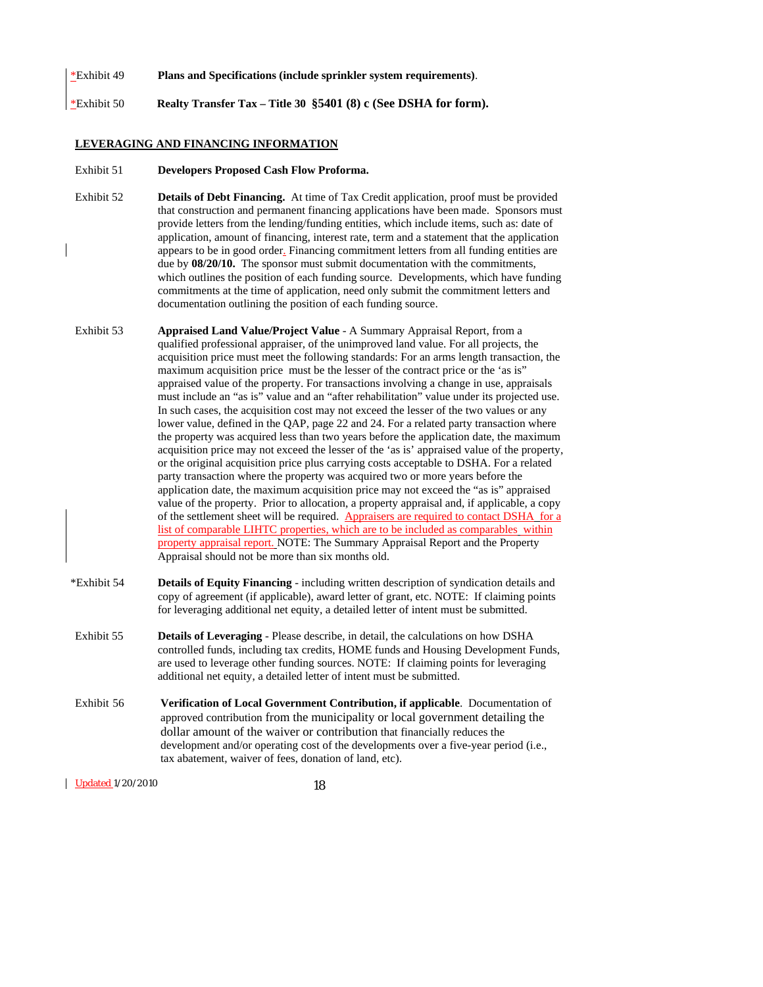#### \*Exhibit 49 **Plans and Specifications (include sprinkler system requirements)**.

\*Exhibit 50 **Realty Transfer Tax – Title 30 §5401 (8) c (See DSHA for form).**

#### **LEVERAGING AND FINANCING INFORMATION**

#### Exhibit 51 **Developers Proposed Cash Flow Proforma.**

- Exhibit 52 **Details of Debt Financing.** At time of Tax Credit application, proof must be provided that construction and permanent financing applications have been made. Sponsors must provide letters from the lending/funding entities, which include items, such as: date of application, amount of financing, interest rate, term and a statement that the application appears to be in good order. Financing commitment letters from all funding entities are due by **08/20/10.** The sponsor must submit documentation with the commitments, which outlines the position of each funding source. Developments, which have funding commitments at the time of application, need only submit the commitment letters and documentation outlining the position of each funding source.
- Exhibit 53 **Appraised Land Value/Project Value** A Summary Appraisal Report, from a qualified professional appraiser, of the unimproved land value. For all projects, the acquisition price must meet the following standards: For an arms length transaction, the maximum acquisition price must be the lesser of the contract price or the 'as is" appraised value of the property. For transactions involving a change in use, appraisals must include an "as is" value and an "after rehabilitation" value under its projected use. In such cases, the acquisition cost may not exceed the lesser of the two values or any lower value, defined in the QAP, page 22 and 24. For a related party transaction where the property was acquired less than two years before the application date, the maximum acquisition price may not exceed the lesser of the 'as is' appraised value of the property, or the original acquisition price plus carrying costs acceptable to DSHA. For a related party transaction where the property was acquired two or more years before the application date, the maximum acquisition price may not exceed the "as is" appraised value of the property. Prior to allocation, a property appraisal and, if applicable, a copy of the settlement sheet will be required. Appraisers are required to contact DSHA for a list of comparable LIHTC properties, which are to be included as comparables within property appraisal report. NOTE: The Summary Appraisal Report and the Property Appraisal should not be more than six months old.
- \*Exhibit 54 **Details of Equity Financing** including written description of syndication details and copy of agreement (if applicable), award letter of grant, etc. NOTE: If claiming points for leveraging additional net equity, a detailed letter of intent must be submitted.
- Exhibit 55 **Details of Leveraging** Please describe, in detail, the calculations on how DSHA controlled funds, including tax credits, HOME funds and Housing Development Funds, are used to leverage other funding sources. NOTE: If claiming points for leveraging additional net equity, a detailed letter of intent must be submitted.
- Exhibit 56 **Verification of Local Government Contribution, if applicable**. Documentation of approved contribution from the municipality or local government detailing the dollar amount of the waiver or contribution that financially reduces the development and/or operating cost of the developments over a five-year period (i.e., tax abatement, waiver of fees, donation of land, etc).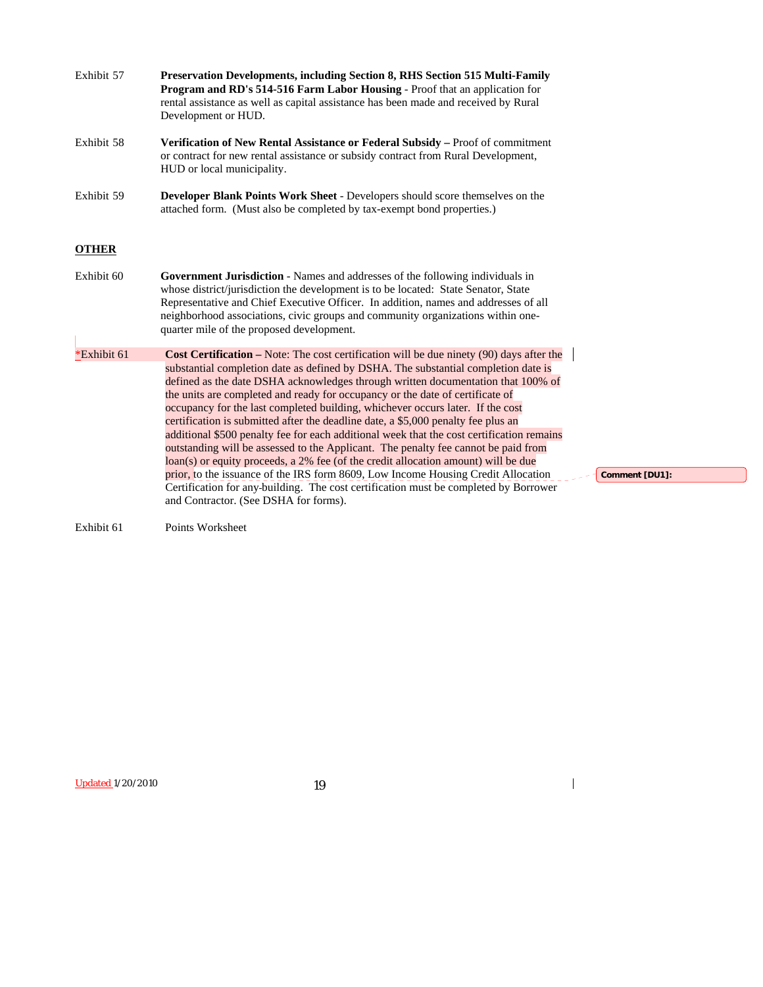| Exhibit 57   | <b>Preservation Developments, including Section 8, RHS Section 515 Multi-Family</b><br>Program and RD's 514-516 Farm Labor Housing - Proof that an application for<br>rental assistance as well as capital assistance has been made and received by Rural<br>Development or HUD.                                                                                                                                                                                                                                                                                                                                                                                                                                                                                                                                                                                                                                                                                                                                          |
|--------------|---------------------------------------------------------------------------------------------------------------------------------------------------------------------------------------------------------------------------------------------------------------------------------------------------------------------------------------------------------------------------------------------------------------------------------------------------------------------------------------------------------------------------------------------------------------------------------------------------------------------------------------------------------------------------------------------------------------------------------------------------------------------------------------------------------------------------------------------------------------------------------------------------------------------------------------------------------------------------------------------------------------------------|
| Exhibit 58   | Verification of New Rental Assistance or Federal Subsidy – Proof of commitment<br>or contract for new rental assistance or subsidy contract from Rural Development,<br>HUD or local municipality.                                                                                                                                                                                                                                                                                                                                                                                                                                                                                                                                                                                                                                                                                                                                                                                                                         |
| Exhibit 59   | <b>Developer Blank Points Work Sheet - Developers should score themselves on the</b><br>attached form. (Must also be completed by tax-exempt bond properties.)                                                                                                                                                                                                                                                                                                                                                                                                                                                                                                                                                                                                                                                                                                                                                                                                                                                            |
| <b>OTHER</b> |                                                                                                                                                                                                                                                                                                                                                                                                                                                                                                                                                                                                                                                                                                                                                                                                                                                                                                                                                                                                                           |
| Exhibit 60   | <b>Government Jurisdiction</b> - Names and addresses of the following individuals in<br>whose district/jurisdiction the development is to be located: State Senator, State<br>Representative and Chief Executive Officer. In addition, names and addresses of all<br>neighborhood associations, civic groups and community organizations within one-<br>quarter mile of the proposed development.                                                                                                                                                                                                                                                                                                                                                                                                                                                                                                                                                                                                                         |
| *Exhibit 61  | Cost Certification – Note: The cost certification will be due ninety (90) days after the<br>substantial completion date as defined by DSHA. The substantial completion date is<br>defined as the date DSHA acknowledges through written documentation that 100% of<br>the units are completed and ready for occupancy or the date of certificate of<br>occupancy for the last completed building, whichever occurs later. If the cost<br>certification is submitted after the deadline date, a \$5,000 penalty fee plus an<br>additional \$500 penalty fee for each additional week that the cost certification remains<br>outstanding will be assessed to the Applicant. The penalty fee cannot be paid from<br>loan(s) or equity proceeds, a 2% fee (of the credit allocation amount) will be due<br>prior, to the issuance of the IRS form 8609, Low Income Housing Credit Allocation<br>Certification for any-building. The cost certification must be completed by Borrower<br>and Contractor. (See DSHA for forms). |
| Exhibit 61   | Points Worksheet                                                                                                                                                                                                                                                                                                                                                                                                                                                                                                                                                                                                                                                                                                                                                                                                                                                                                                                                                                                                          |

**Comment [DU1]:** 

 $\begin{array}{c} \hline \end{array}$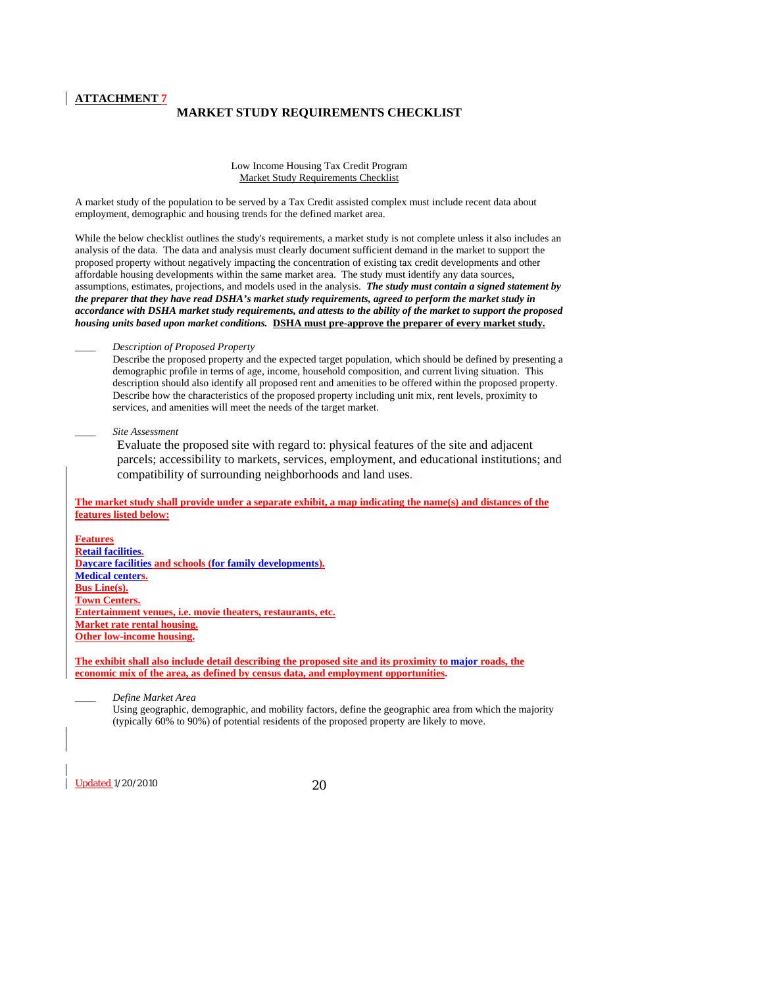## **MARKET STUDY REQUIREMENTS CHECKLIST**

Low Income Housing Tax Credit Program Market Study Requirements Checklist

A market study of the population to be served by a Tax Credit assisted complex must include recent data about employment, demographic and housing trends for the defined market area.

While the below checklist outlines the study's requirements, a market study is not complete unless it also includes an analysis of the data. The data and analysis must clearly document sufficient demand in the market to support the proposed property without negatively impacting the concentration of existing tax credit developments and other affordable housing developments within the same market area. The study must identify any data sources, assumptions, estimates, projections, and models used in the analysis. *The study must contain a signed statement by the preparer that they have read DSHA's market study requirements, agreed to perform the market study in accordance with DSHA market study requirements, and attests to the ability of the market to support the proposed housing units based upon market conditions.* **DSHA must pre-approve the preparer of every market study.**

\_\_\_\_ *Description of Proposed Property*

Describe the proposed property and the expected target population, which should be defined by presenting a demographic profile in terms of age, income, household composition, and current living situation. This description should also identify all proposed rent and amenities to be offered within the proposed property. Describe how the characteristics of the proposed property including unit mix, rent levels, proximity to services, and amenities will meet the needs of the target market.

\_\_\_\_ *Site Assessment* 

Evaluate the proposed site with regard to: physical features of the site and adjacent parcels; accessibility to markets, services, employment, and educational institutions; and compatibility of surrounding neighborhoods and land uses.

**The market study shall provide under a separate exhibit, a map indicating the name(s) and distances of the features listed below:**

**Features Retail facilities. Daycare facilities and schools (for family developments). Medical centers. Bus Line(s). Town Centers. Entertainment venues, i.e. movie theaters, restaurants, etc. Market rate rental housing. Other low-income housing.** 

**The exhibit shall also include detail describing the proposed site and its proximity to major roads, the economic mix of the area, as defined by census data, and employment opportunities.**

\_\_\_\_ *Define Market Area* 

Using geographic, demographic, and mobility factors, define the geographic area from which the majority (typically 60% to 90%) of potential residents of the proposed property are likely to move.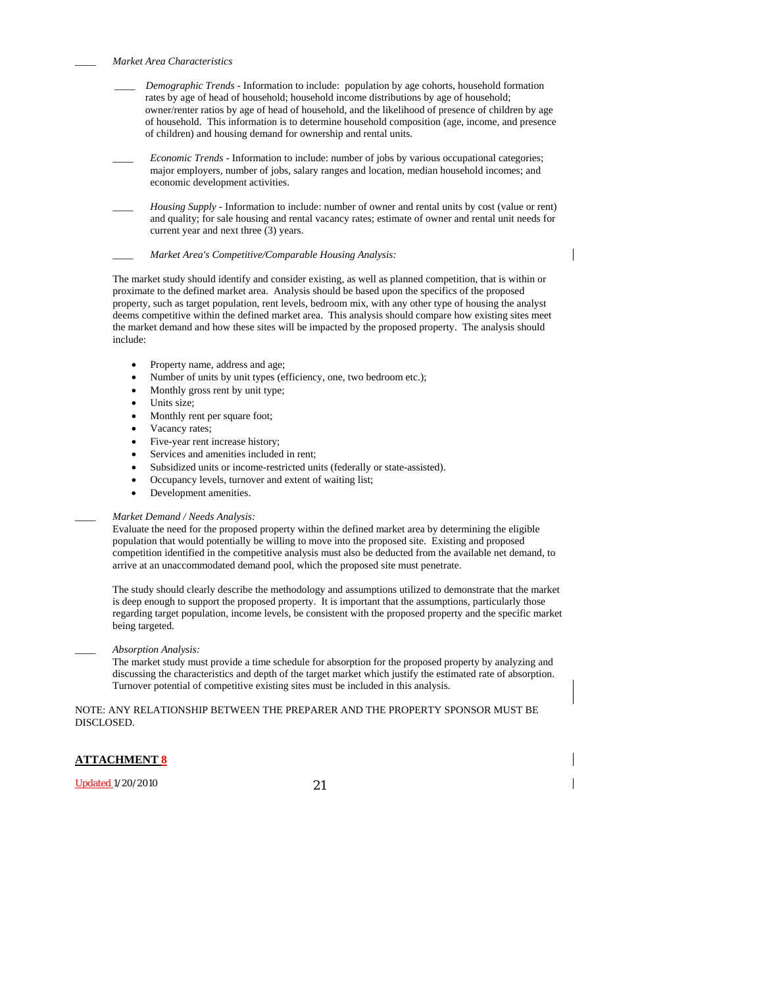\_\_\_\_ *Market Area Characteristics* 

- \_\_\_\_ *Demographic Trends* Information to include: population by age cohorts, household formation rates by age of head of household; household income distributions by age of household; owner/renter ratios by age of head of household, and the likelihood of presence of children by age of household. This information is to determine household composition (age, income, and presence of children) and housing demand for ownership and rental units.
- \_\_\_\_ *Economic Trends* Information to include: number of jobs by various occupational categories; major employers, number of jobs, salary ranges and location, median household incomes; and economic development activities.
- \_\_\_\_ *Housing Supply* Information to include: number of owner and rental units by cost (value or rent) and quality; for sale housing and rental vacancy rates; estimate of owner and rental unit needs for current year and next three (3) years.

\_\_\_\_ *Market Area's Competitive/Comparable Housing Analysis:*

 $\overline{\phantom{a}}$ 

The market study should identify and consider existing, as well as planned competition, that is within or proximate to the defined market area. Analysis should be based upon the specifics of the proposed property, such as target population, rent levels, bedroom mix, with any other type of housing the analyst deems competitive within the defined market area. This analysis should compare how existing sites meet the market demand and how these sites will be impacted by the proposed property. The analysis should include:

- Property name, address and age;
- Number of units by unit types (efficiency, one, two bedroom etc.);
- Monthly gross rent by unit type;
- Units size;
- Monthly rent per square foot;
- Vacancy rates;
- Five-year rent increase history:
- Services and amenities included in rent;
- Subsidized units or income-restricted units (federally or state-assisted).
- Occupancy levels, turnover and extent of waiting list;
- Development amenities.

#### \_\_\_\_ *Market Demand / Needs Analysis:*

Evaluate the need for the proposed property within the defined market area by determining the eligible population that would potentially be willing to move into the proposed site. Existing and proposed competition identified in the competitive analysis must also be deducted from the available net demand, to arrive at an unaccommodated demand pool, which the proposed site must penetrate.

The study should clearly describe the methodology and assumptions utilized to demonstrate that the market is deep enough to support the proposed property. It is important that the assumptions, particularly those regarding target population, income levels, be consistent with the proposed property and the specific market being targeted.

#### *\_\_\_\_ Absorption Analysis:*

The market study must provide a time schedule for absorption for the proposed property by analyzing and discussing the characteristics and depth of the target market which justify the estimated rate of absorption. Turnover potential of competitive existing sites must be included in this analysis.

NOTE: ANY RELATIONSHIP BETWEEN THE PREPARER AND THE PROPERTY SPONSOR MUST BE DISCLOSED.

#### **ATTACHMENT 8**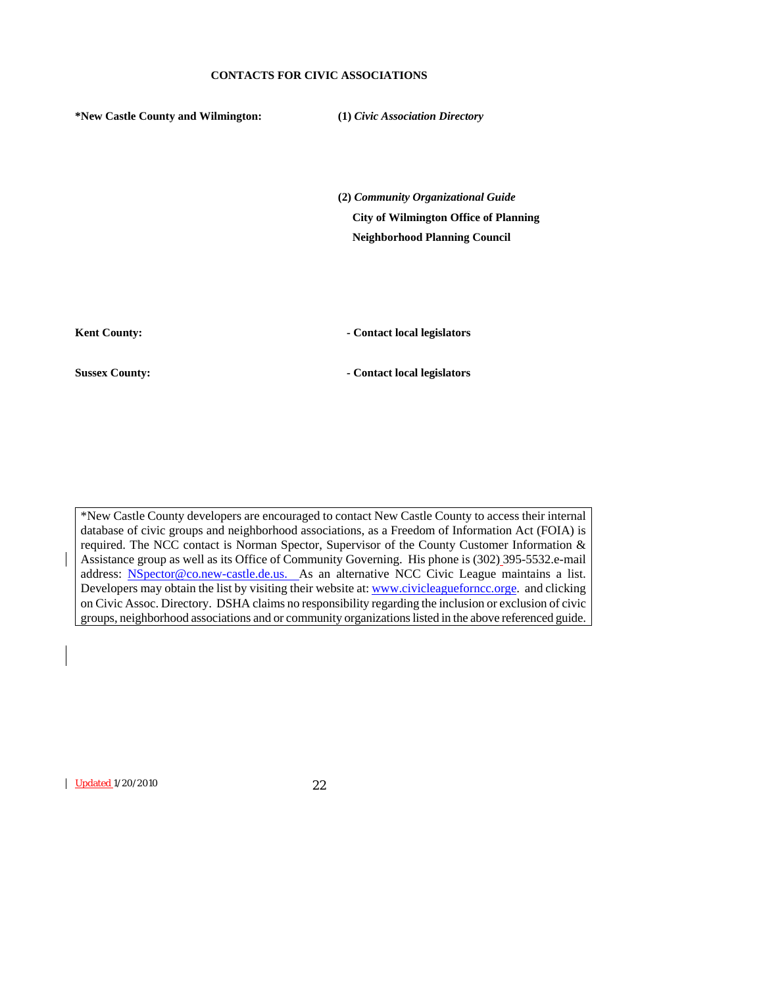#### **CONTACTS FOR CIVIC ASSOCIATIONS**

**\*New Castle County and Wilmington: (1)** *Civic Association Directory* 

**(2)** *Community Organizational Guide*   **City of Wilmington Office of Planning Neighborhood Planning Council** 

Kent County: **- Contact local legislators** 

**Sussex County:**  $\qquad \qquad$  **Contact local legislators** 

\*New Castle County developers are encouraged to contact New Castle County to access their internal database of civic groups and neighborhood associations, as a Freedom of Information Act (FOIA) is required. The NCC contact is Norman Spector, Supervisor of the County Customer Information & Assistance group as well as its Office of Community Governing. His phone is (302) 395-5532.e-mail address: **[NSpector@co.new-castle.de.us](mailto:NSpector@co.new-castle.de.us).** As an alternative NCC Civic League maintains a list. Developers may obtain the list by visiting their website at: [www.civicleagueforncc.orge.](http://www.civicleagueforncc.orge/) and clicking on Civic Assoc. Directory. DSHA claims no responsibility regarding the inclusion or exclusion of civic groups, neighborhood associations and or community organizations listed in the above referenced guide.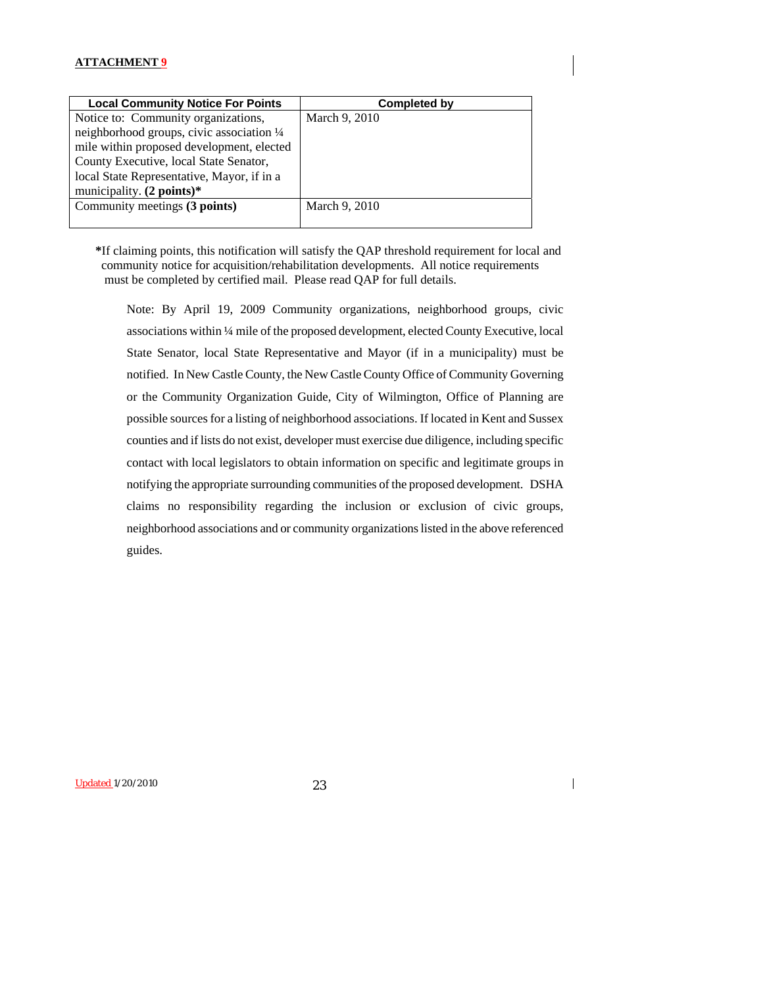| <b>Local Community Notice For Points</b>   | Completed by  |
|--------------------------------------------|---------------|
| Notice to: Community organizations,        | March 9, 2010 |
| neighborhood groups, civic association 1/4 |               |
| mile within proposed development, elected  |               |
| County Executive, local State Senator,     |               |
| local State Representative, Mayor, if in a |               |
| municipality. $(2 points)*$                |               |
| Community meetings (3 points)              | March 9, 2010 |
|                                            |               |

**\***If claiming points, this notification will satisfy the QAP threshold requirement for local and community notice for acquisition/rehabilitation developments. All notice requirements must be completed by certified mail. Please read QAP for full details.

Note: By April 19, 2009 Community organizations, neighborhood groups, civic associations within ¼ mile of the proposed development, elected County Executive, local State Senator, local State Representative and Mayor (if in a municipality) must be notified. In New Castle County, the New Castle County Office of Community Governing or the Community Organization Guide, City of Wilmington, Office of Planning are possible sources for a listing of neighborhood associations. If located in Kent and Sussex counties and if lists do not exist, developer must exercise due diligence, including specific contact with local legislators to obtain information on specific and legitimate groups in notifying the appropriate surrounding communities of the proposed development. DSHA claims no responsibility regarding the inclusion or exclusion of civic groups, neighborhood associations and or community organizations listed in the above referenced guides.

Updated 1/20/2010 23

 $\overline{\phantom{a}}$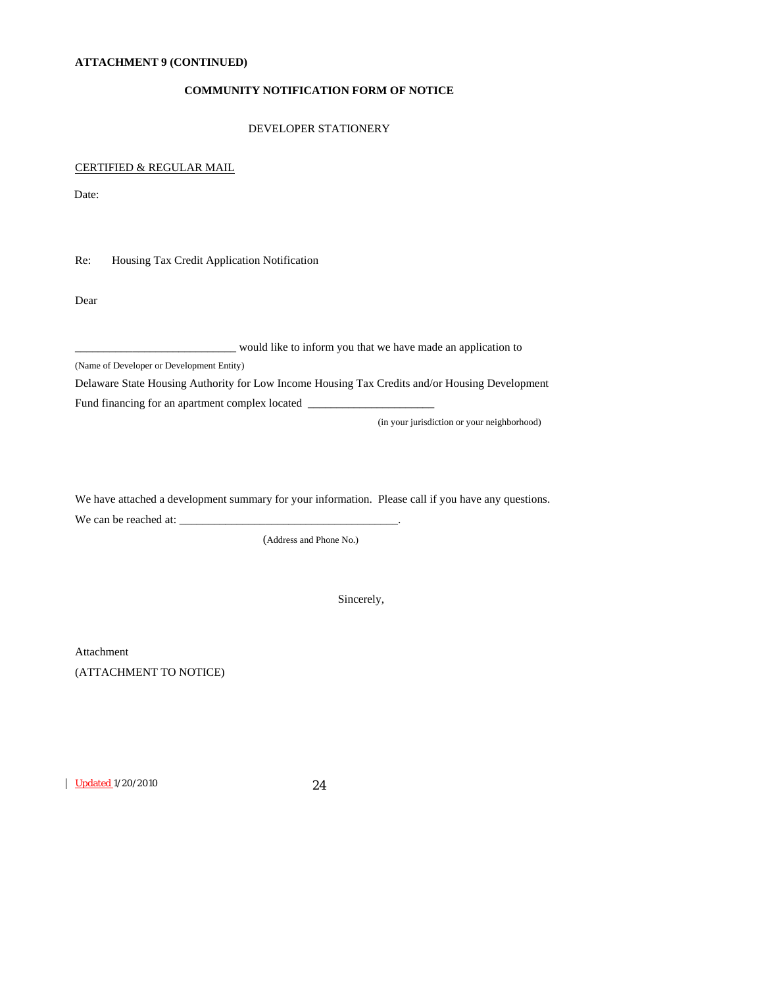#### **ATTACHMENT 9 (CONTINUED)**

# **COMMUNITY NOTIFICATION FORM OF NOTICE**

#### DEVELOPER STATIONERY

#### CERTIFIED & REGULAR MAIL

Date:

Re: Housing Tax Credit Application Notification

Dear

\_\_\_\_\_\_\_\_\_\_\_\_\_\_\_\_\_\_\_\_\_\_\_\_\_\_\_\_ would like to inform you that we have made an application to

(Name of Developer or Development Entity)

Delaware State Housing Authority for Low Income Housing Tax Credits and/or Housing Development

Fund financing for an apartment complex located \_\_\_\_\_\_\_\_\_\_\_\_\_\_\_\_\_\_\_\_\_\_\_\_\_\_\_\_\_\_\_\_\_

(in your jurisdiction or your neighborhood)

We have attached a development summary for your information. Please call if you have any questions. We can be reached at: \_\_\_\_\_\_\_\_\_\_\_\_\_\_\_\_\_\_\_\_\_\_\_\_\_\_\_\_\_\_\_\_\_\_\_\_\_\_.

(Address and Phone No.)

Sincerely,

Attachment (ATTACHMENT TO NOTICE)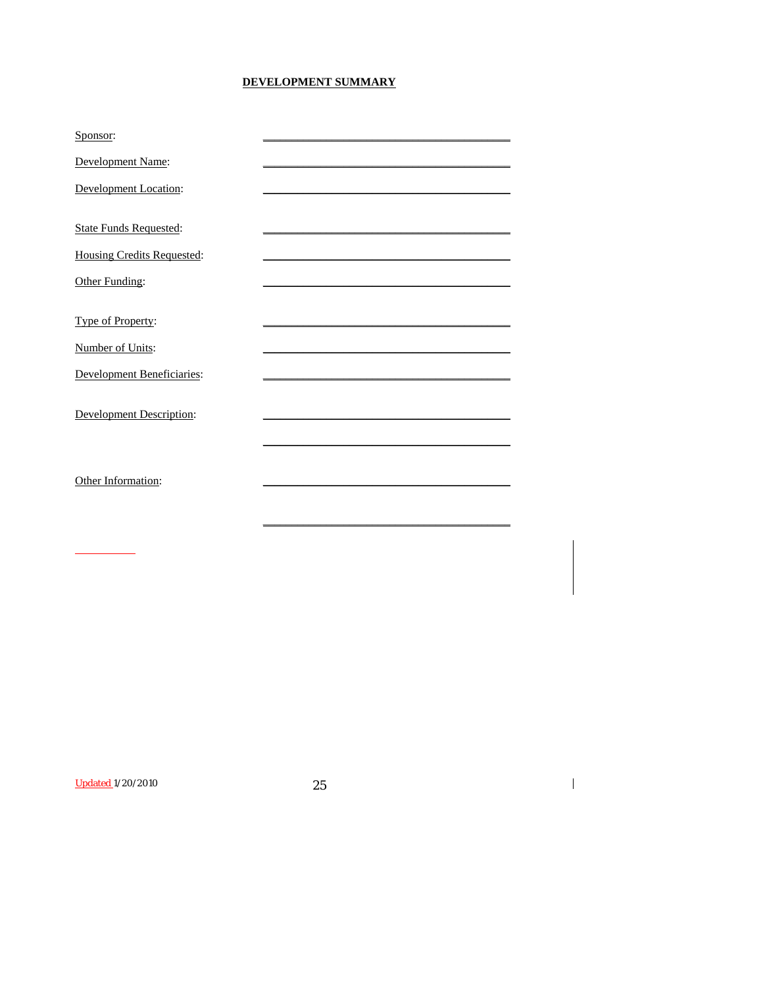# DEVELOPMENT SUMMARY

| Sponsor:                          |  |
|-----------------------------------|--|
| Development Name:                 |  |
| <b>Development Location:</b>      |  |
|                                   |  |
| <b>State Funds Requested:</b>     |  |
| <b>Housing Credits Requested:</b> |  |
| Other Funding:                    |  |
|                                   |  |
| Type of Property:                 |  |
| Number of Units:                  |  |
| <b>Development Beneficiaries:</b> |  |
| <b>Development Description:</b>   |  |
|                                   |  |
|                                   |  |
| Other Information:                |  |
|                                   |  |
|                                   |  |
|                                   |  |

**Updated 1/20/2010** 

25

 $\overline{\mathbf{I}}$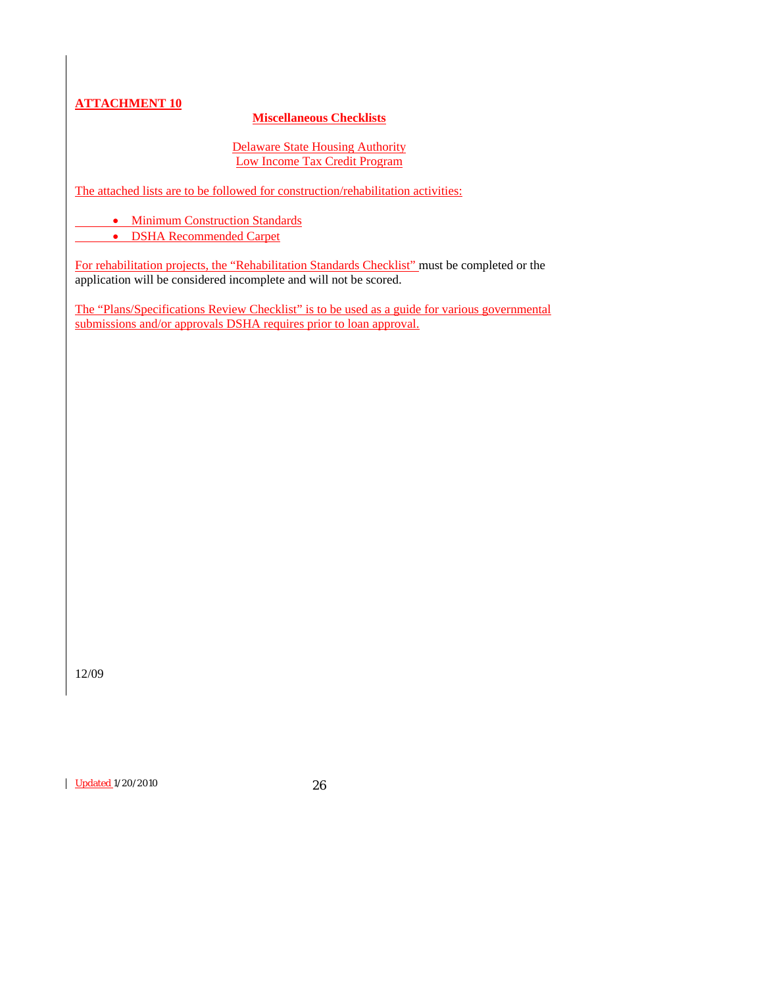# **Miscellaneous Checklists**

# Delaware State Housing Authority Low Income Tax Credit Program

The attached lists are to be followed for construction/rehabilitation activities:

• Minimum Construction Standards

• DSHA Recommended Carpet

For rehabilitation projects, the "Rehabilitation Standards Checklist" must be completed or the application will be considered incomplete and will not be scored.

The "Plans/Specifications Review Checklist" is to be used as a guide for various governmental submissions and/or approvals DSHA requires prior to loan approval.

12/09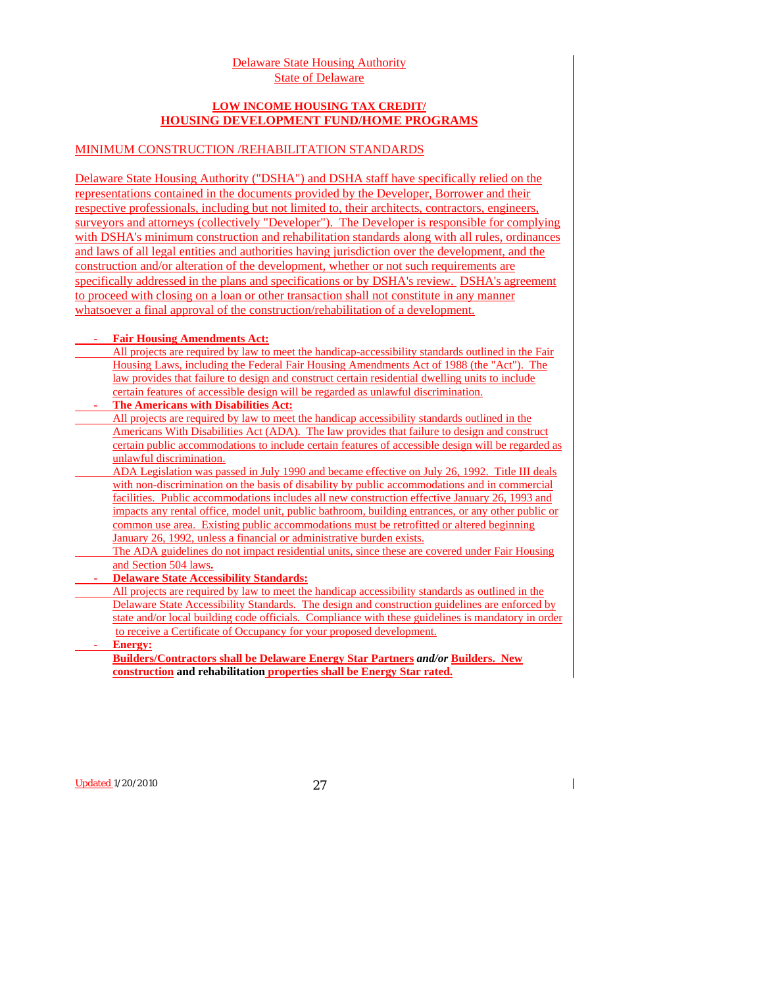## Delaware State Housing Authority State of Delaware

# **LOW INCOME HOUSING TAX CREDIT/ HOUSING DEVELOPMENT FUND/HOME PROGRAMS**

# MINIMUM CONSTRUCTION /REHABILITATION STANDARDS

Delaware State Housing Authority ("DSHA") and DSHA staff have specifically relied on the representations contained in the documents provided by the Developer, Borrower and their respective professionals, including but not limited to, their architects, contractors, engineers, surveyors and attorneys (collectively "Developer"). The Developer is responsible for complying with DSHA's minimum construction and rehabilitation standards along with all rules, ordinances and laws of all legal entities and authorities having jurisdiction over the development, and the construction and/or alteration of the development, whether or not such requirements are specifically addressed in the plans and specifications or by DSHA's review. DSHA's agreement to proceed with closing on a loan or other transaction shall not constitute in any manner whatsoever a final approval of the construction/rehabilitation of a development.

#### **Fair Housing Amendments Act:**

All projects are required by law to meet the handicap-accessibility standards outlined in the Fair Housing Laws, including the Federal Fair Housing Amendments Act of 1988 (the "Act"). The law provides that failure to design and construct certain residential dwelling units to include certain features of accessible design will be regarded as unlawful discrimination.

# **The Americans with Disabilities Act:**

All projects are required by law to meet the handicap accessibility standards outlined in the Americans With Disabilities Act (ADA). The law provides that failure to design and construct certain public accommodations to include certain features of accessible design will be regarded as unlawful discrimination.

 ADA Legislation was passed in July 1990 and became effective on July 26, 1992. Title III deals with non-discrimination on the basis of disability by public accommodations and in commercial facilities. Public accommodations includes all new construction effective January 26, 1993 and impacts any rental office, model unit, public bathroom, building entrances, or any other public or common use area. Existing public accommodations must be retrofitted or altered beginning January 26, 1992, unless a financial or administrative burden exists.

 The ADA guidelines do not impact residential units, since these are covered under Fair Housing and Section 504 laws**.**

# **- Delaware State Accessibility Standards:**

 All projects are required by law to meet the handicap accessibility standards as outlined in the Delaware State Accessibility Standards. The design and construction guidelines are enforced by state and/or local building code officials. Compliance with these guidelines is mandatory in order to receive a Certificate of Occupancy for your proposed development.

## **Energy:**

**Builders/Contractors shall be Delaware Energy Star Partners** *and/or* **Builders. New construction and rehabilitation properties shall be Energy Star rated.**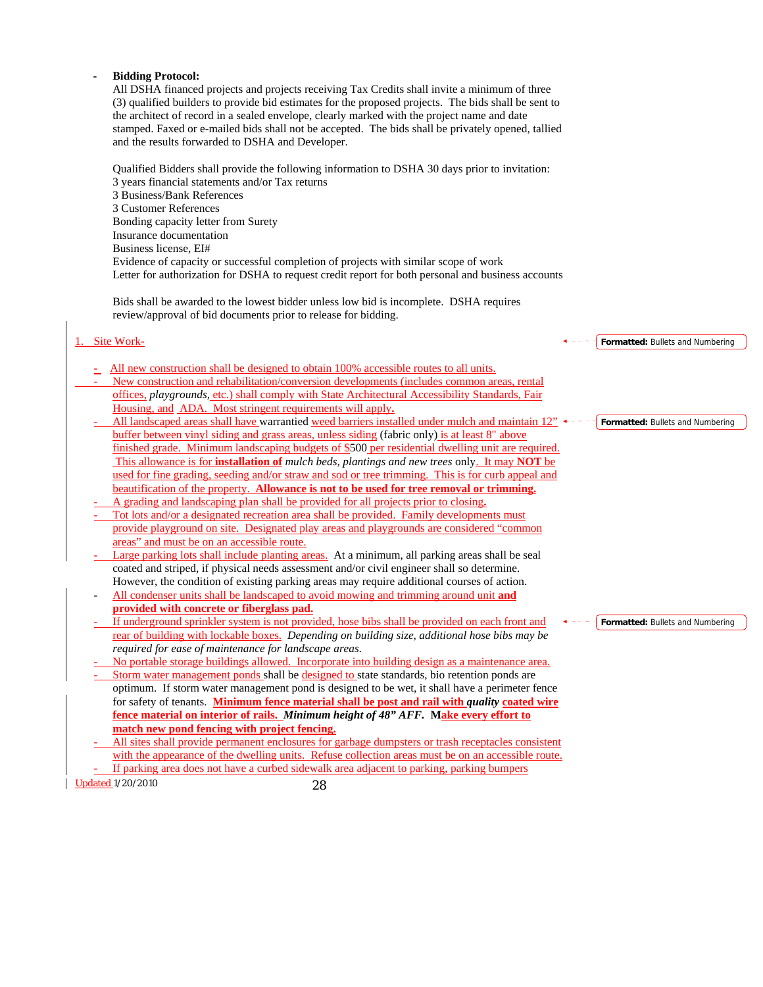#### **- Bidding Protocol:** All DSHA financed projects and projects receiving Tax Credits shall invite a minimum of three (3) qualified builders to provide bid estimates for the proposed projects. The bids shall be sent to the architect of record in a sealed envelope, clearly marked with the project name and date stamped. Faxed or e-mailed bids shall not be accepted. The bids shall be privately opened, tallied and the results forwarded to DSHA and Developer. Qualified Bidders shall provide the following information to DSHA 30 days prior to invitation: 3 years financial statements and/or Tax returns 3 Business/Bank References 3 Customer References Bonding capacity letter from Surety Insurance documentation Business license, EI# Evidence of capacity or successful completion of projects with similar scope of work Letter for authorization for DSHA to request credit report for both personal and business accounts Bids shall be awarded to the lowest bidder unless low bid is incomplete. DSHA requires review/approval of bid documents prior to release for bidding. 1. Site Work- **-** All new construction shall be designed to obtain 100% accessible routes to all units. New construction and rehabilitation/conversion developments (includes common areas, rental offices, *playgrounds,* etc.) shall comply with State Architectural Accessibility Standards, Fair Housing, and ADA. Most stringent requirements will apply**.** All landscaped areas shall have warrantied weed barriers installed under mulch and maintain 12" buffer between vinyl siding and grass areas, unless siding (fabric only) is at least 8" above finished grade. Minimum landscaping budgets of \$500 per residential dwelling unit are required. This allowance is for **installation of** *mulch beds, plantings and new trees* only. It may **NOT** be used for fine grading, seeding and/or straw and sod or tree trimming. This is for curb appeal and beautification of the property. **Allowance is not to be used for tree removal or trimming.** - A grading and landscaping plan shall be provided for all projects prior to closing**.** - Tot lots and/or a designated recreation area shall be provided. Family developments must provide playground on site. Designated play areas and playgrounds are considered "common areas" and must be on an accessible route. Large parking lots shall include planting areas. At a minimum, all parking areas shall be seal coated and striped, if physical needs assessment and/or civil engineer shall so determine. However, the condition of existing parking areas may require additional courses of action. - All condenser units shall be landscaped to avoid mowing and trimming around unit **and provided with concrete or fiberglass pad.** If underground sprinkler system is not provided, hose bibs shall be provided on each front and rear of building with lockable boxes. *Depending on building size, additional hose bibs may be required for ease of maintenance for landscape areas.* - No portable storage buildings allowed. Incorporate into building design as a maintenance area. Storm water management ponds shall be designed to state standards, bio retention ponds are optimum. If storm water management pond is designed to be wet, it shall have a perimeter fence for safety of tenants. **Minimum fence material shall be post and rail with** *quality* **coated wire fence material on interior of rails.** *Minimum height of 48" AFF.* **Make every effort to match new pond fencing with project fencing. Formatted:** Bullets and Numbering **Formatted:** Bullets and Numbering **Formatted:** Bullets and Numbering

All sites shall provide permanent enclosures for garbage dumpsters or trash receptacles consistent with the appearance of the dwelling units. Refuse collection areas must be on an accessible route. If parking area does not have a curbed sidewalk area adjacent to parking, parking bumpers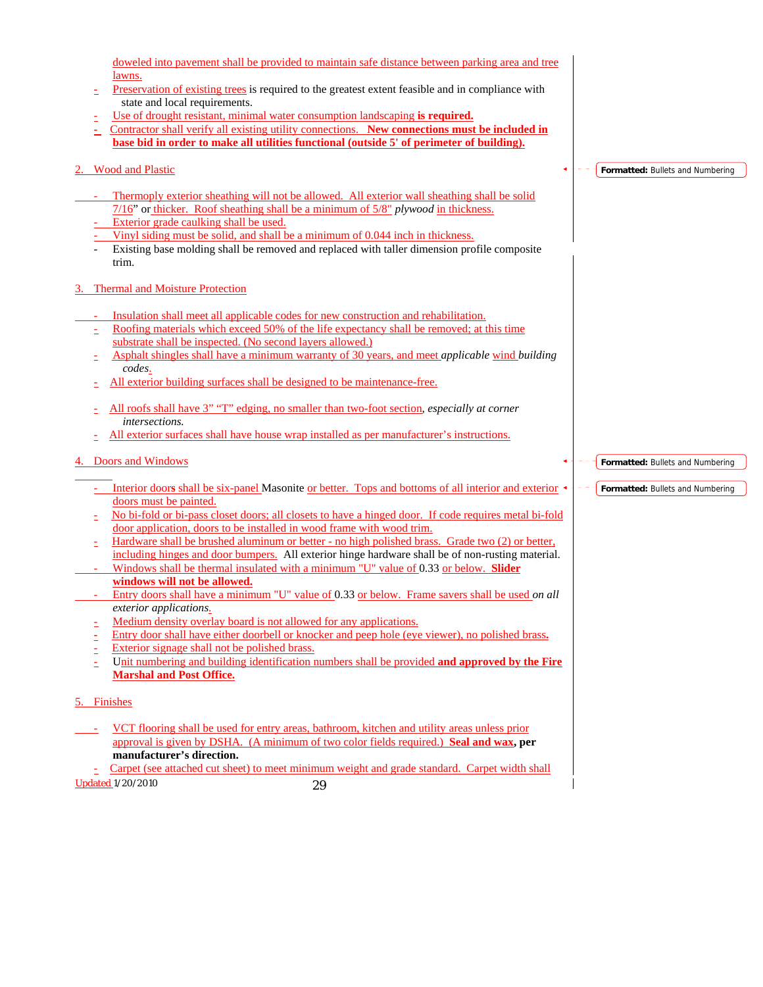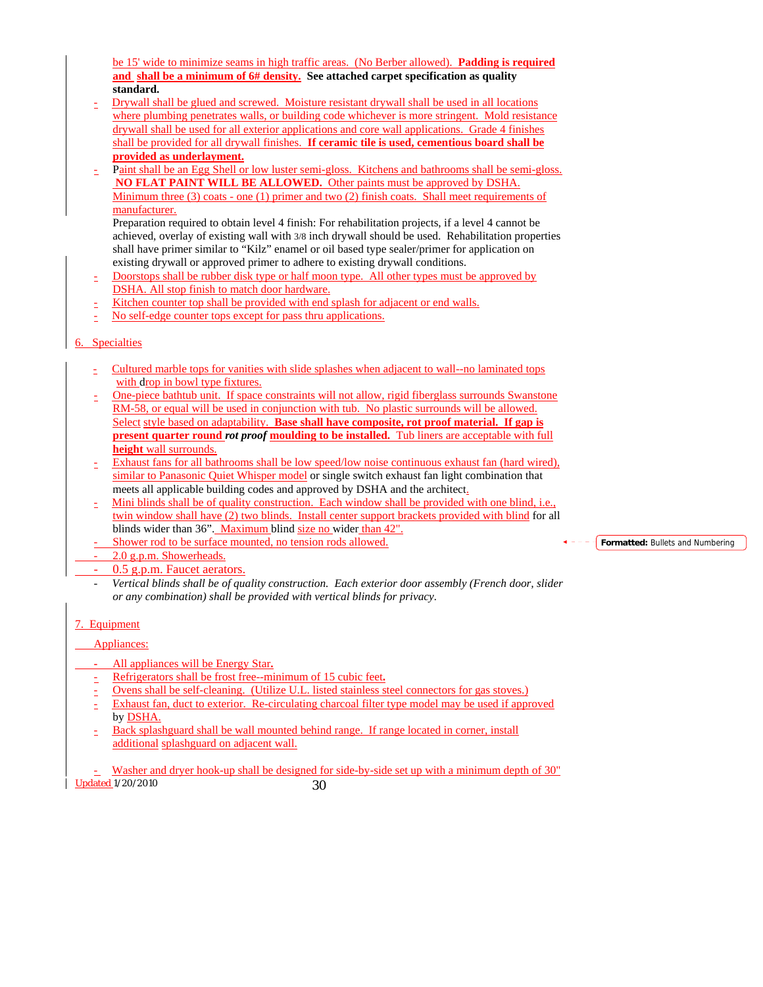be 15' wide to minimize seams in high traffic areas. (No Berber allowed). **Padding is required and shall be a minimum of 6# density. See attached carpet specification as quality standard.**

- Drywall shall be glued and screwed. Moisture resistant drywall shall be used in all locations where plumbing penetrates walls, or building code whichever is more stringent. Mold resistance drywall shall be used for all exterior applications and core wall applications. Grade 4 finishes shall be provided for all drywall finishes. **If ceramic tile is used, cementious board shall be provided as underlayment.**
- Paint shall be an Egg Shell or low luster semi-gloss. Kitchens and bathrooms shall be semi-gloss. **NO FLAT PAINT WILL BE ALLOWED.** Other paints must be approved by DSHA. Minimum three  $(3)$  coats - one  $(1)$  primer and two  $(2)$  finish coats. Shall meet requirements of manufacturer.

Preparation required to obtain level 4 finish: For rehabilitation projects, if a level 4 cannot be achieved, overlay of existing wall with 3/8 inch drywall should be used. Rehabilitation properties shall have primer similar to "Kilz" enamel or oil based type sealer/primer for application on existing drywall or approved primer to adhere to existing drywall conditions.

- Doorstops shall be rubber disk type or half moon type. All other types must be approved by DSHA. All stop finish to match door hardware.
- Kitchen counter top shall be provided with end splash for adjacent or end walls.
- No self-edge counter tops except for pass thru applications.

# 6. Specialties

- Cultured marble tops for vanities with slide splashes when adjacent to wall--no laminated tops with drop in bowl type fixtures.
- One-piece bathtub unit. If space constraints will not allow, rigid fiberglass surrounds Swanstone RM-58, or equal will be used in conjunction with tub. No plastic surrounds will be allowed. Select style based on adaptability. **Base shall have composite, rot proof material. If gap is present quarter round** *rot proof* **moulding to be installed.** Tub liners are acceptable with full **height** wall surrounds.
- Exhaust fans for all bathrooms shall be low speed/low noise continuous exhaust fan (hard wired), similar to Panasonic Quiet Whisper model or single switch exhaust fan light combination that meets all applicable building codes and approved by DSHA and the architect.
- Mini blinds shall be of quality construction. Each window shall be provided with one blind, i.e., twin window shall have (2) two blinds. Install center support brackets provided with blind for all blinds wider than 36". Maximum blind size no wider than 42".
- Shower rod to be surface mounted, no tension rods allowed.
- 2.0 g.p.m. Showerheads.
	- 0.5 g.p.m. Faucet aerators.
	- *Vertical blinds shall be of quality construction. Each exterior door assembly (French door, slider or any combination) shall be provided with vertical blinds for privacy.*

# 7. Equipment

# Appliances:

- All appliances will be Energy Star.
- Refrigerators shall be frost free--minimum of 15 cubic feet**.**
- Ovens shall be self-cleaning. (Utilize U.L. listed stainless steel connectors for gas stoves.)
- Exhaust fan, duct to exterior. Re-circulating charcoal filter type model may be used if approved by DSHA.
- Back splashguard shall be wall mounted behind range. If range located in corner, install additional splashguard on adjacent wall.

Updated 1/20/2010 30 - Washer and dryer hook-up shall be designed for side-by-side set up with a minimum depth of 30" **Formatted:** Bullets and Numbering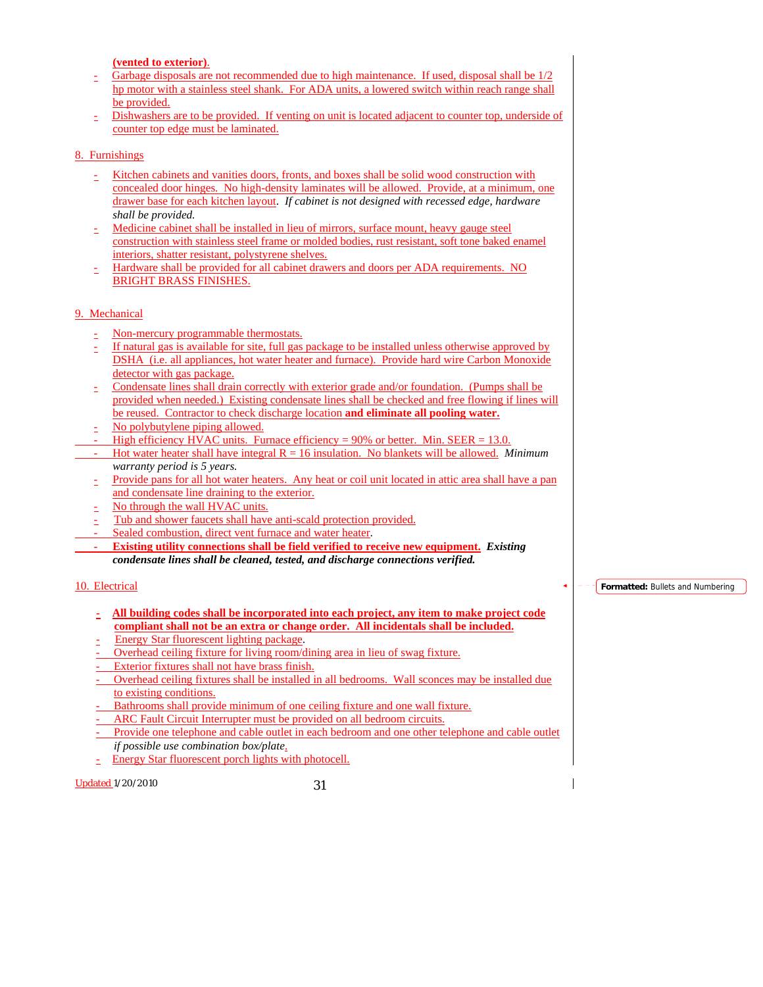**(vented to exterior)**.

- Garbage disposals are not recommended due to high maintenance. If used, disposal shall be 1/2 hp motor with a stainless steel shank. For ADA units, a lowered switch within reach range shall be provided.
- Dishwashers are to be provided. If venting on unit is located adjacent to counter top, underside of counter top edge must be laminated.

#### 8. Furnishings

- Kitchen cabinets and vanities doors, fronts, and boxes shall be solid wood construction with concealed door hinges. No high-density laminates will be allowed. Provide, at a minimum, one drawer base for each kitchen layout. *If cabinet is not designed with recessed edge, hardware shall be provided.*
- Medicine cabinet shall be installed in lieu of mirrors, surface mount, heavy gauge steel construction with stainless steel frame or molded bodies, rust resistant, soft tone baked enamel interiors, shatter resistant, polystyrene shelves.
- Hardware shall be provided for all cabinet drawers and doors per ADA requirements. NO BRIGHT BRASS FINISHES.

#### 9. Mechanical

- Non-mercury programmable thermostats.
- If natural gas is available for site, full gas package to be installed unless otherwise approved by DSHA (i.e. all appliances, hot water heater and furnace). Provide hard wire Carbon Monoxide detector with gas package.
- Condensate lines shall drain correctly with exterior grade and/or foundation. (Pumps shall be provided when needed.) Existing condensate lines shall be checked and free flowing if lines will be reused. Contractor to check discharge location **and eliminate all pooling water.**
- No polybutylene piping allowed.
- High efficiency HVAC units. Furnace efficiency =  $90\%$  or better. Min. SEER = 13.0.
- Hot water heater shall have integral R = 16 insulation. No blankets will be allowed. *Minimum warranty period is 5 years.*
- Provide pans for all hot water heaters. Any heat or coil unit located in attic area shall have a pan and condensate line draining to the exterior.
- No through the wall HVAC units.
- Tub and shower faucets shall have anti-scald protection provided.
- Sealed combustion, direct vent furnace and water heater.
- **Existing utility connections shall be field verified to receive new equipment.** *Existing condensate lines shall be cleaned, tested, and discharge connections verified.*

# 10. Electrical

- **All building codes shall be incorporated into each project, any item to make project code compliant shall not be an extra or change order. All incidentals shall be included.**
- Energy Star fluorescent lighting package.
- Overhead ceiling fixture for living room/dining area in lieu of swag fixture.
- Exterior fixtures shall not have brass finish.
- Overhead ceiling fixtures shall be installed in all bedrooms. Wall sconces may be installed due to existing conditions.
- Bathrooms shall provide minimum of one ceiling fixture and one wall fixture.
- ARC Fault Circuit Interrupter must be provided on all bedroom circuits.
- Provide one telephone and cable outlet in each bedroom and one other telephone and cable outlet *if possible use combination box/plate*.
- Energy Star fluorescent porch lights with photocell.

Updated 1/20/2010 31

**Formatted:** Bullets and Numbering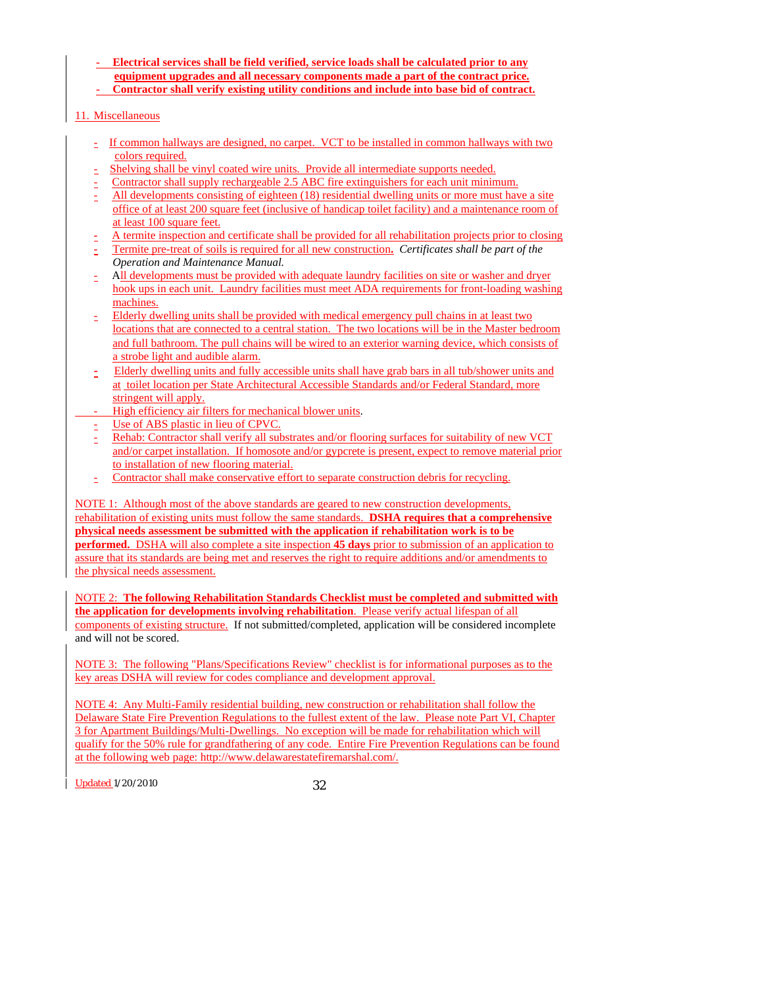- **Electrical services shall be field verified, service loads shall be calculated prior to any equipment upgrades and all necessary components made a part of the contract price.**
- **Contractor shall verify existing utility conditions and include into base bid of contract.**

## 11. Miscellaneous

- If common hallways are designed, no carpet. VCT to be installed in common hallways with two colors required.
- Shelving shall be vinyl coated wire units. Provide all intermediate supports needed.
- Contractor shall supply rechargeable 2.5 ABC fire extinguishers for each unit minimum.
- All developments consisting of eighteen (18) residential dwelling units or more must have a site office of at least 200 square feet (inclusive of handicap toilet facility) and a maintenance room of at least 100 square feet.
- A termite inspection and certificate shall be provided for all rehabilitation projects prior to closing
- Termite pre-treat of soils is required for all new construction**.** *Certificates shall be part of the Operation and Maintenance Manual.*
- All developments must be provided with adequate laundry facilities on site or washer and dryer hook ups in each unit. Laundry facilities must meet ADA requirements for front-loading washing machines.
- Elderly dwelling units shall be provided with medical emergency pull chains in at least two locations that are connected to a central station. The two locations will be in the Master bedroom and full bathroom. The pull chains will be wired to an exterior warning device, which consists of a strobe light and audible alarm.
- Elderly dwelling units and fully accessible units shall have grab bars in all tub/shower units and at toilet location per State Architectural Accessible Standards and/or Federal Standard, more stringent will apply.
- High efficiency air filters for mechanical blower units.
- Use of ABS plastic in lieu of CPVC.
- Rehab: Contractor shall verify all substrates and/or flooring surfaces for suitability of new VCT and/or carpet installation. If homosote and/or gypcrete is present, expect to remove material prior to installation of new flooring material.
- Contractor shall make conservative effort to separate construction debris for recycling.

#### NOTE 1: Although most of the above standards are geared to new construction developments, rehabilitation of existing units must follow the same standards. **DSHA requires that a comprehensive physical needs assessment be submitted with the application if rehabilitation work is to be performed.** DSHA will also complete a site inspection **45 days** prior to submission of an application to assure that its standards are being met and reserves the right to require additions and/or amendments to the physical needs assessment.

NOTE 2: **The following Rehabilitation Standards Checklist must be completed and submitted with the application for developments involving rehabilitation**. Please verify actual lifespan of all components of existing structure. If not submitted/completed, application will be considered incomplete and will not be scored.

NOTE 3: The following "Plans/Specifications Review" checklist is for informational purposes as to the key areas DSHA will review for codes compliance and development approval.

NOTE 4: Any Multi-Family residential building, new construction or rehabilitation shall follow the Delaware State Fire Prevention Regulations to the fullest extent of the law. Please note Part VI, Chapter 3 for Apartment Buildings/Multi-Dwellings. No exception will be made for rehabilitation which will qualify for the 50% rule for grandfathering of any code. Entire Fire Prevention Regulations can be found at the following web page: http://www.delawarestatefiremarshal.com/.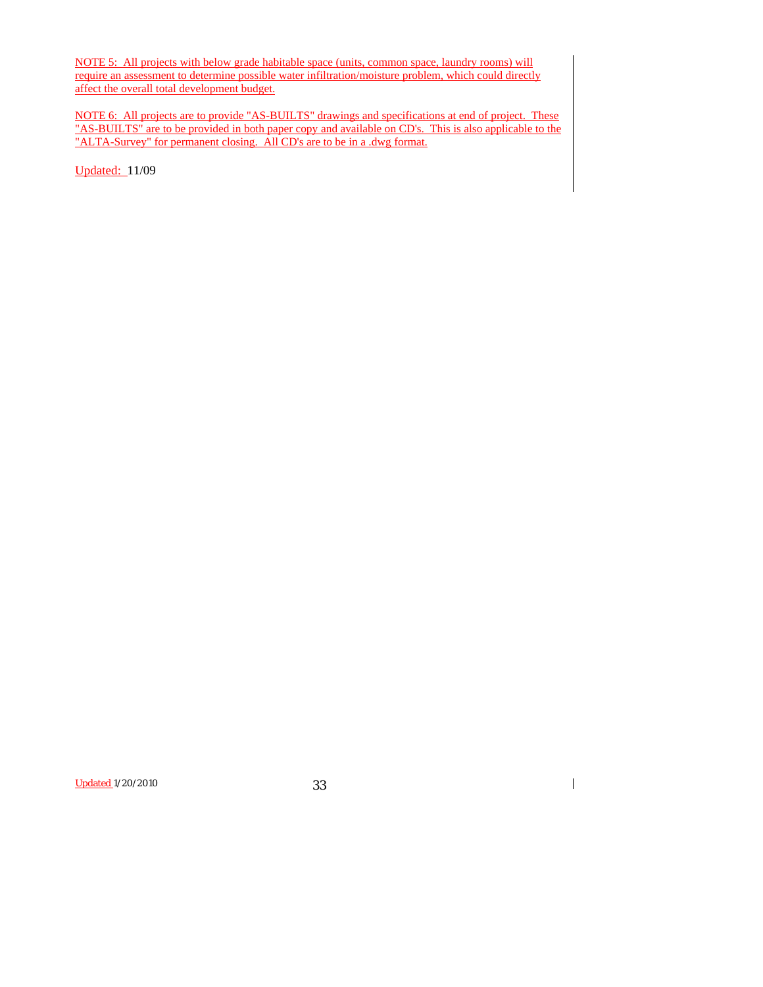NOTE 5: All projects with below grade habitable space (units, common space, laundry rooms) will require an assessment to determine possible water infiltration/moisture problem, which could directly affect the overall total development budget.

NOTE 6: All projects are to provide "AS-BUILTS" drawings and specifications at end of project. These "AS-BUILTS" are to be provided in both paper copy and available on CD's. This is also applicable to the "ALTA-Survey" for permanent closing. All CD's are to be in a .dwg format.

Updated: 11/09

Updated 1/20/2010 33

 $\overline{\phantom{a}}$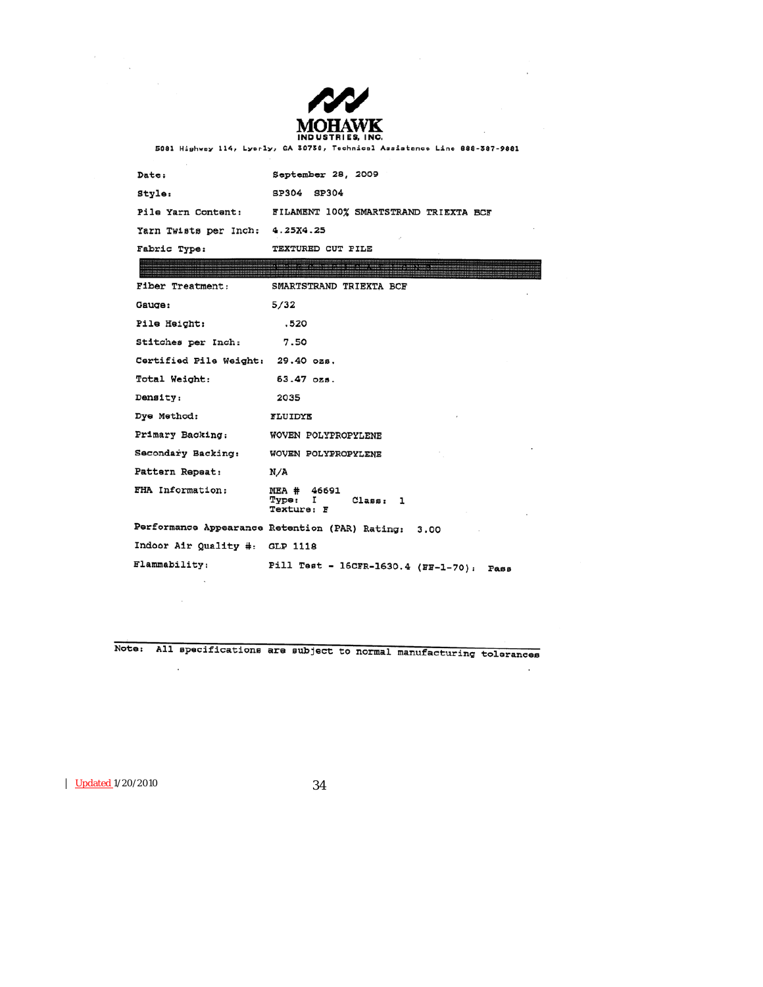

 $\overline{\phantom{a}}$ 

 $\cdot$ 

5081 Highway 114, Lyerly, GA 30730, Technical Assistance Line 888-387-9881

| Date:                 | September 28, 2009                                                                                                                                                                                                            |  |
|-----------------------|-------------------------------------------------------------------------------------------------------------------------------------------------------------------------------------------------------------------------------|--|
| Style:                | SP304<br>SP304                                                                                                                                                                                                                |  |
| Pile Yarn Content:    | FILAMENT 100% SMARTSTRAND TRIEXTA BCF                                                                                                                                                                                         |  |
| Yarn Twists per Inch: | 4.25X4.25                                                                                                                                                                                                                     |  |
| Fabric Type:          | TEXTURED CUT PILE                                                                                                                                                                                                             |  |
|                       | CONDOSTRATIONS INTO THE RESERVED TO THE RESERVED ON THE SERVE OF THE RESERVED OF A STREAM VEHICLE OF SERVE A GROUN WERE A HERE A GROUN BEFORE A SERVE A SERVE A SERVE A SERVE A SERVE A SERVE A SERVE A SERVE A SERVE A SERVE |  |

| Fiber Treatment:                  | SMARTSTRAND TRIEXTA BCF                             |
|-----------------------------------|-----------------------------------------------------|
| Gauge:                            | 5/32                                                |
| Pile Height:                      | .520                                                |
| Stitches per Inch:                | 7.50                                                |
| Certified Pile Weight: 29.40 ozs. |                                                     |
| Total Weight:                     | 63.47 ozs.                                          |
| Density:                          | 2035                                                |
| Dye Method:                       | FLUIDYE                                             |
| Primary Backing:                  | WOVEN POLYPROPYLENE                                 |
| Secondary Backing:                | WOVEN POLYPROPYLENE                                 |
| Pattern Repeat:                   | N/A                                                 |
| FHA Information:                  | MEA # 46691<br>Type: I<br>Class: 1<br>Texture: F    |
|                                   | Performance Appearance Retention (PAR) Rating: 3.00 |
| Indoor Air Quality #: GLP 1118    |                                                     |
| Flammability:                     | Pill Test - 16CFR-1630.4 (FF-1-70):<br>Равв         |

Note: All specifications are subject to normal manufacturing tolerances

Updated 1/20/2010 34

 $\sim$ 

 $\sim$ 

 $\label{eq:2} \frac{d\mathbf{r}}{dt} = \frac{d\mathbf{r}}{dt} \frac{d\mathbf{r}}{dt}$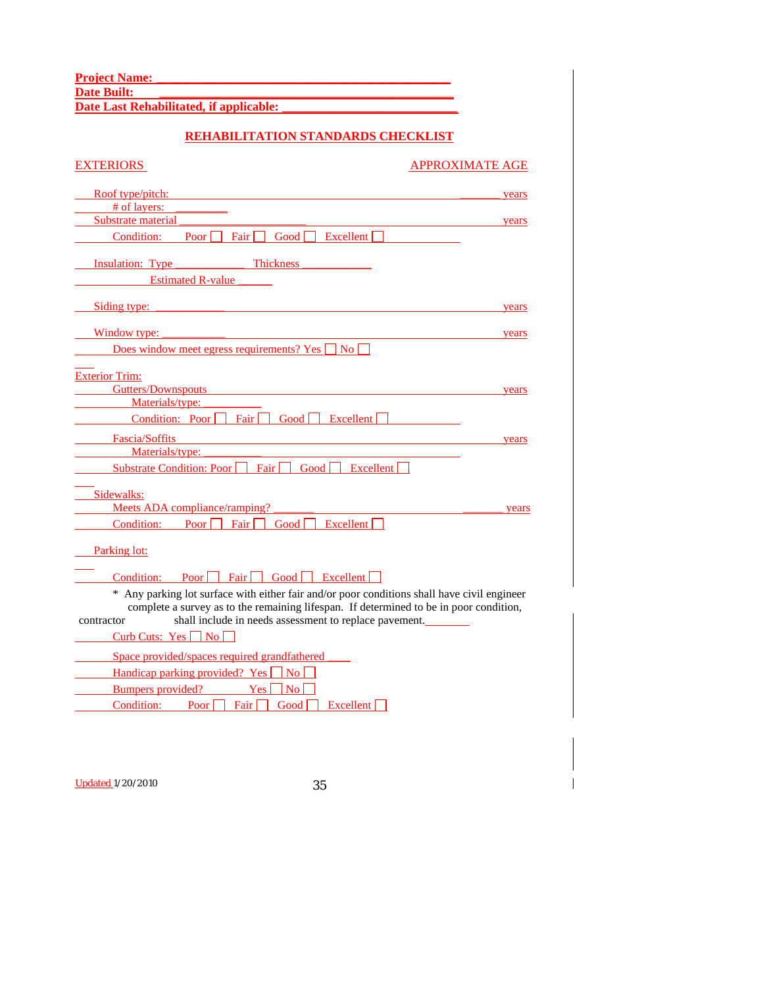**Project Name: \_\_\_\_\_\_\_\_\_\_\_\_\_\_\_\_\_\_\_\_\_\_\_\_\_\_\_\_\_\_\_\_\_\_\_\_\_\_\_\_\_\_\_\_\_\_\_ Date Built: \_\_\_\_\_\_\_\_\_\_\_\_\_\_\_\_\_\_\_\_\_\_\_\_\_\_\_\_\_\_\_\_\_\_\_\_\_\_\_\_\_\_\_\_\_\_\_**

**Date Last Rehabilitated, if applicable: \_\_\_\_\_\_\_\_\_\_\_\_\_\_\_\_\_\_\_\_\_\_\_\_\_\_\_\_** 

# **REHABILITATION STANDARDS CHECKLIST**

| EXTERIORS                                                                                                                                                                             | <b>APPROXIMATE AGE</b> |
|---------------------------------------------------------------------------------------------------------------------------------------------------------------------------------------|------------------------|
| Roof type/pitch:                                                                                                                                                                      | years                  |
| # of layers:                                                                                                                                                                          |                        |
| Substrate material                                                                                                                                                                    | years                  |
| $\boxed{\phantom{0}}$ Good $\boxed{\phantom{0}}$ Excellent $\boxed{\phantom{0}}$<br>Fair $\Box$<br>Condition:<br>Poor $\vert$                                                         |                        |
| Thickness<br><b>Insulation:</b> Type                                                                                                                                                  |                        |
| <b>Estimated R-value</b>                                                                                                                                                              |                        |
| Siding type:                                                                                                                                                                          | years                  |
| Window type:                                                                                                                                                                          | years                  |
| Does window meet egress requirements? Yes $\Box$ No $\Box$                                                                                                                            |                        |
| <b>Exterior Trim:</b>                                                                                                                                                                 |                        |
| Gutters/Downspouts                                                                                                                                                                    | years                  |
| Materials/type:                                                                                                                                                                       |                        |
| Condition: Poor Fair<br>$\boxed{\phantom{0} \text{Good} \phantom{\,}\overline{\phantom{0}} \phantom{\,}\text{Excellent} \phantom{\,}\overline{\phantom{0}}}$                          |                        |
| Fascia/Soffits                                                                                                                                                                        |                        |
| Materials/type:                                                                                                                                                                       | years                  |
| Fair $\Box$ Good $\Box$<br>Substrate Condition: Poor $\Box$<br>$\vert$ Excellent                                                                                                      |                        |
|                                                                                                                                                                                       |                        |
| Sidewalks:                                                                                                                                                                            |                        |
| Meets ADA compliance/ramping?                                                                                                                                                         | years                  |
| Condition: Poor $\Box$ Fair $\Box$ Good $\Box$ Excellent $\Box$                                                                                                                       |                        |
| Parking lot:                                                                                                                                                                          |                        |
| Condition: Poor Fair Good Excellent                                                                                                                                                   |                        |
| * Any parking lot surface with either fair and/or poor conditions shall have civil engineer<br>complete a survey as to the remaining lifespan. If determined to be in poor condition, |                        |
| shall include in needs assessment to replace pavement.<br>contractor<br>Curb Cuts: $Yes \nightharpoonup No$                                                                           |                        |
| Space provided/spaces required grandfathered                                                                                                                                          |                        |
| Handicap parking provided? Yes No                                                                                                                                                     |                        |
| Bumpers provided?<br>$Yes \Box No$                                                                                                                                                    |                        |
| Condition: Poor Fair Good Excellent                                                                                                                                                   |                        |
|                                                                                                                                                                                       |                        |
|                                                                                                                                                                                       |                        |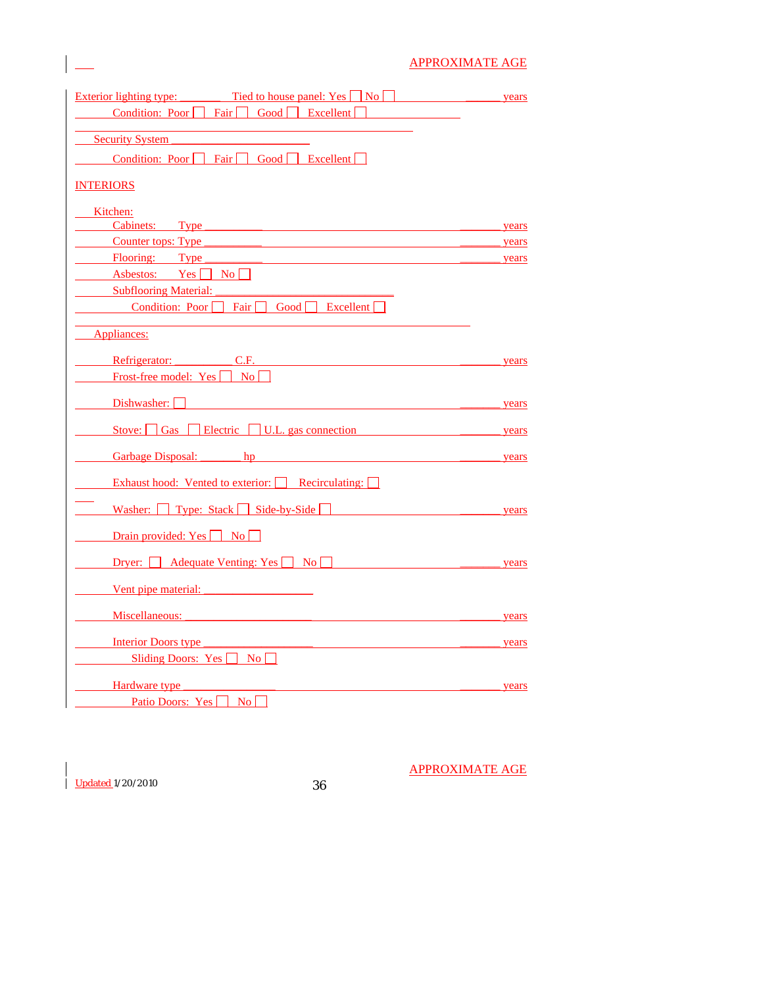# APPROXIMATE AGE

| Tied to house panel: $Yes \Box No \Box$<br><b>Exterior lighting type:</b>                               | years |
|---------------------------------------------------------------------------------------------------------|-------|
| Condition: Poor<br>Fair $\Box$<br>Good Excellent                                                        |       |
| <b>Security System</b>                                                                                  |       |
| Condition: Poor Fair Good Excellent                                                                     |       |
|                                                                                                         |       |
| <b>INTERIORS</b>                                                                                        |       |
| Kitchen:                                                                                                |       |
| Cabinets: Type                                                                                          | years |
| Counter tops: Type                                                                                      | years |
| Flooring: Type                                                                                          | years |
| Asbestos: $Yes \nightharpoonup No \nightharpoonup$                                                      |       |
| <b>Subflooring Material:</b>                                                                            |       |
| Condition: Poor Fair Good Excellent                                                                     |       |
| Appliances:                                                                                             |       |
| C.F.<br>Refrigerator:                                                                                   | years |
| Frost-free model: Yes<br>$\overline{N_{0}}$                                                             |       |
|                                                                                                         |       |
| Dishwasher:                                                                                             | years |
| Stove: $\Box$ Gas $\Box$ Electric $\Box$ U.L. gas connection                                            | years |
| Garbage Disposal: hp                                                                                    | years |
| Exhaust hood: Vented to exterior: Recirculating:                                                        |       |
| Washer: Type: Stack Side-by-Side                                                                        | years |
| Drain provided: Yes No                                                                                  |       |
| Dryer: $\Box$ Adequate Venting: Yes $\Box$ No $\Box$                                                    | years |
| Vent pipe material:                                                                                     |       |
| Miscellaneous:                                                                                          | years |
|                                                                                                         | years |
|                                                                                                         |       |
|                                                                                                         |       |
|                                                                                                         | years |
| Interior Doors type<br>Sliding Doors: Yes No<br>Hardware type<br>Patio Doors: Yes<br>$\overline{N_{0}}$ |       |

Updated 1/20/2010 36

APPROXIMATE AGE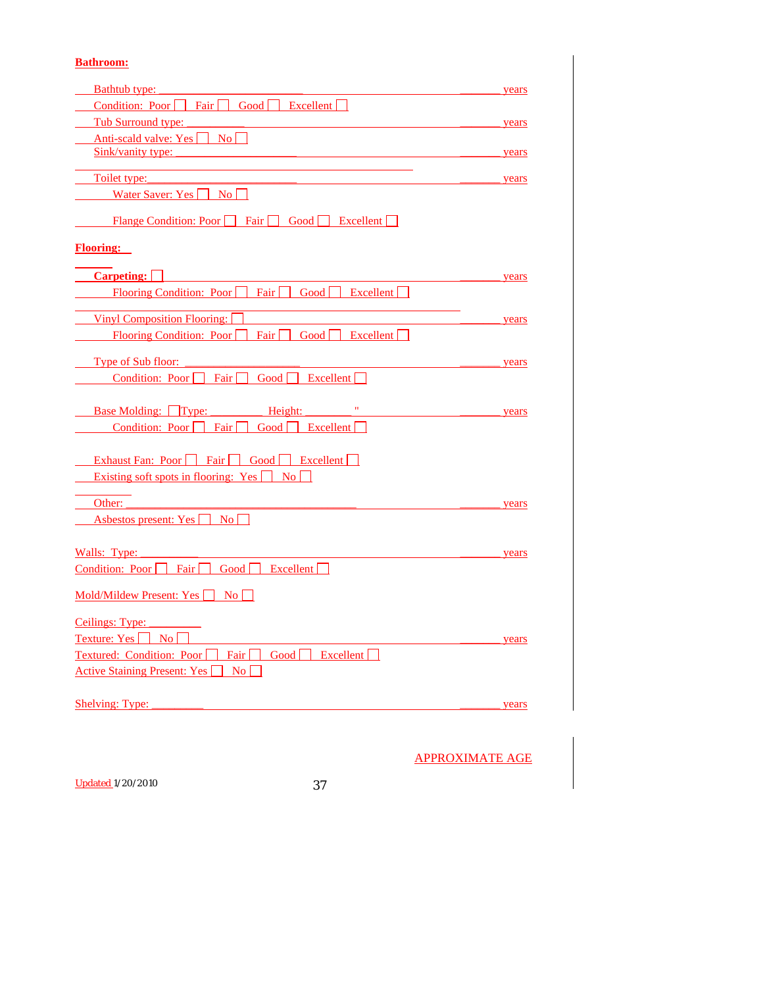# **Bathroom:**

| <b>Bathtub type:</b>                                                     | years |
|--------------------------------------------------------------------------|-------|
| Condition: Poor $\Box$ Fair $\Box$ Good $\Box$ Excellent $\Box$          |       |
| Tub Surround type:                                                       | years |
| Anti-scald valve: Yes No                                                 |       |
| Sink/vanity type:                                                        | years |
|                                                                          |       |
| Toilet type:                                                             | years |
| Water Saver: Yes $\Box$ No $\Box$                                        |       |
| Flange Condition: Poor     Fair     Good     Excellent                   |       |
| <b>Flooring:</b>                                                         |       |
| <b>Carpeting:</b>                                                        | years |
| Flooring Condition: Poor $\Box$ Fair $\Box$ Good $\Box$ Excellent $\Box$ |       |
| <b>Vinyl Composition Flooring:</b>                                       | years |
| Flooring Condition: Poor $\Box$ Fair $\Box$ Good $\Box$ Excellent $\Box$ |       |
| <b>Type of Sub floor:</b>                                                | years |
| Condition: Poor $\Box$ Fair $\Box$ Good $\Box$ Excellent $\Box$          |       |
|                                                                          |       |
| $\mathbf{H}_{\perp}$<br>Base Molding: Type: Height:                      | years |
| Good $\Box$ Excellent $\Box$<br>Condition: Poor     Fair                 |       |
| Exhaust Fan: Poor Fair Good Excellent                                    |       |
| Existing soft spots in flooring: Yes $\Box$ No $\Box$                    |       |
| Other:                                                                   | years |
| Asbestos present: Yes     No                                             |       |
|                                                                          |       |
| Walls: Type: $\frac{\ }{\ }$                                             | years |
| Good   Excellent  <br>Condition: Poor Fair                               |       |
| $\text{Mold/Mildew Present: Yes}$ No                                     |       |
| Ceilings: Type:                                                          |       |
| Texture: Yes     No                                                      | years |
| Textured: Condition: Poor Fair Good Bxcellent                            |       |
| <b>Active Staining Present: Yes</b><br>$\mathbf{No}$                     |       |
|                                                                          |       |
| <b>Shelving: Type:</b>                                                   | years |

APPROXIMATE AGE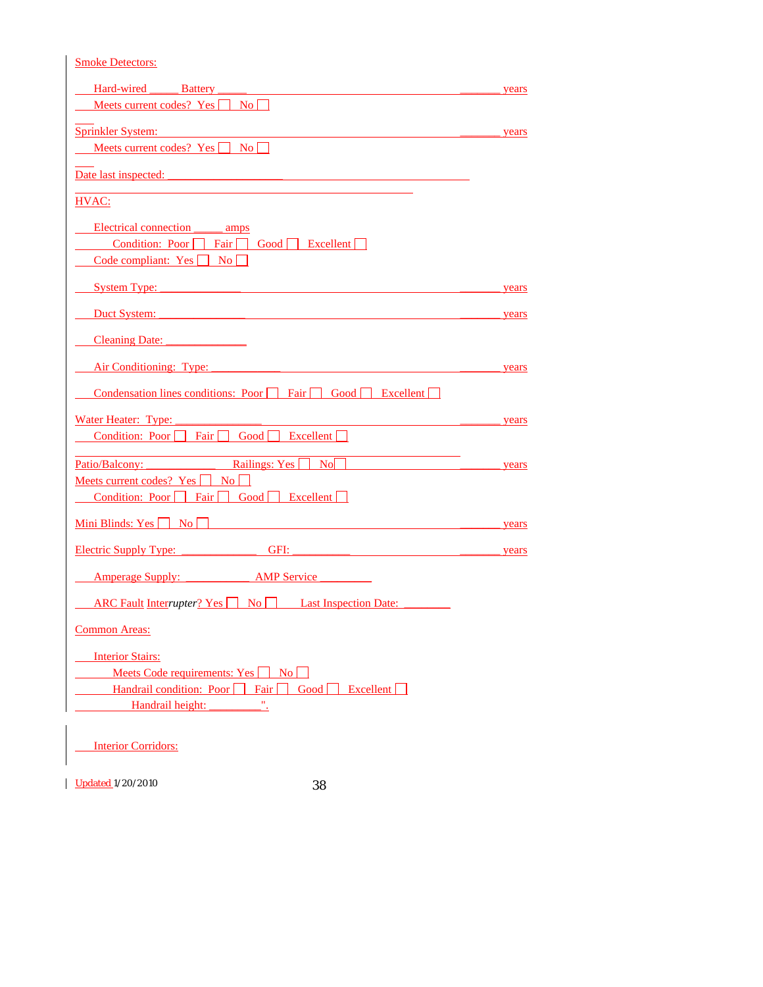| <b>Smoke Detectors:</b>                                                                                                                                                                                                        |       |
|--------------------------------------------------------------------------------------------------------------------------------------------------------------------------------------------------------------------------------|-------|
| Hard-wired Battery                                                                                                                                                                                                             | years |
| Meets current codes? Yes No                                                                                                                                                                                                    |       |
| Sprinkler System:                                                                                                                                                                                                              | years |
| Meets current codes? Yes No                                                                                                                                                                                                    |       |
| Date last inspected:                                                                                                                                                                                                           |       |
| HVAC:                                                                                                                                                                                                                          |       |
| Electrical connection amps                                                                                                                                                                                                     |       |
| Condition: Poor Fair Good Excellent                                                                                                                                                                                            |       |
| Code compliant: Yes No                                                                                                                                                                                                         |       |
| System Type: 2008 and 2008 and 2008 and 2008 and 2008 and 2008 and 2008 and 2008 and 2008 and 2008 and 2008 and 2008 and 2008 and 2008 and 2008 and 2008 and 2008 and 2008 and 2008 and 2008 and 2008 and 2008 and 2008 and 20 | years |
|                                                                                                                                                                                                                                | years |
| Cleaning Date:                                                                                                                                                                                                                 |       |
| Air Conditioning: Type:                                                                                                                                                                                                        | years |
| Condensation lines conditions: Poor     Fair     Good     Excellent                                                                                                                                                            |       |
| Water Heater: Type:                                                                                                                                                                                                            | years |
| Condition: Poor Fair Good Excellent                                                                                                                                                                                            |       |
| Patio/Balcony: $\qquad \qquad$ Railings: Yes $\qquad \qquad$ No                                                                                                                                                                | years |
| Meets current codes? $Yes \cup No \cup$                                                                                                                                                                                        |       |
| Condition: Poor Fair Good Excellent                                                                                                                                                                                            |       |
| Mini Blinds: $Yes \fbox{} No \fbox{}$                                                                                                                                                                                          | years |
| Electric Supply Type: GFI: GFI: Supply Type: years                                                                                                                                                                             |       |
| Amperage Supply: AMP Service                                                                                                                                                                                                   |       |
| ARC Fault Interrupter? Yes No Last Inspection Date:                                                                                                                                                                            |       |
| <b>Common Areas:</b>                                                                                                                                                                                                           |       |
| <b>Interior Stairs:</b>                                                                                                                                                                                                        |       |
| Meets Code requirements: $Yes \frown No \frown$                                                                                                                                                                                |       |
| Handrail condition: Poor $\Box$ Fair $\Box$ Good $\Box$ Excellent $\Box$                                                                                                                                                       |       |
| $\mathbf{H}$<br>Handrail height:                                                                                                                                                                                               |       |
| <b>Interior Corridors:</b>                                                                                                                                                                                                     |       |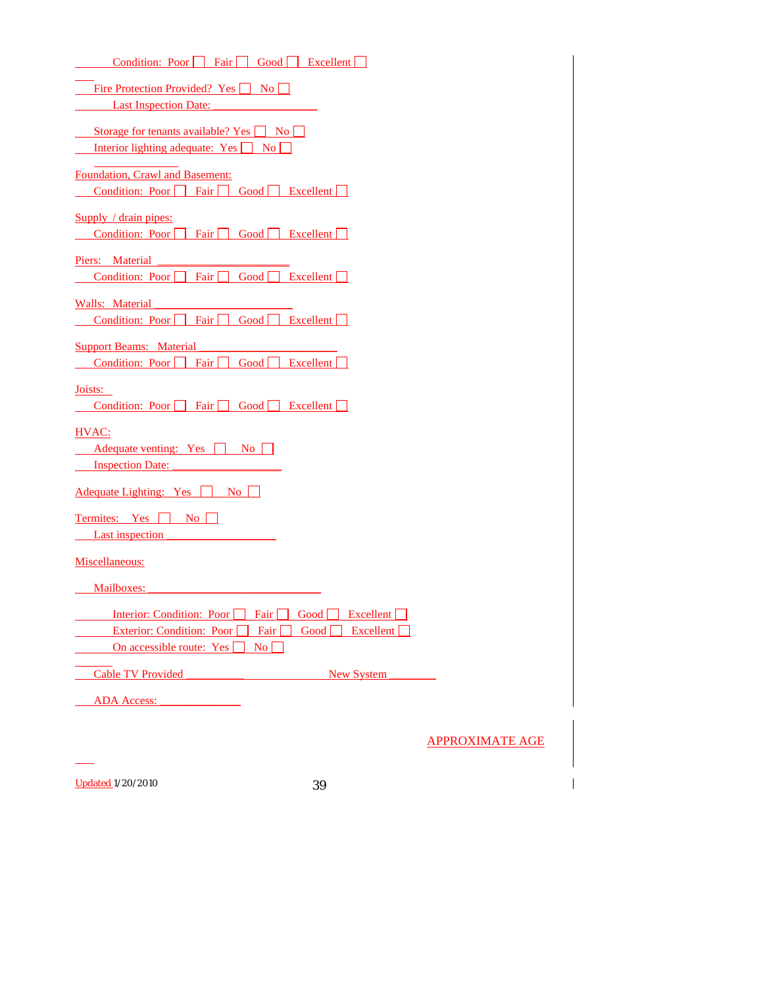| Condition: Poor     Fair     Good  <br>$\vert$ Excellent $\vert$                                                                |                        |
|---------------------------------------------------------------------------------------------------------------------------------|------------------------|
| Fire Protection Provided? Yes No                                                                                                |                        |
| <b>Last Inspection Date:</b>                                                                                                    |                        |
| Storage for tenants available? Yes No<br>Interior lighting adequate: Yes No                                                     |                        |
| Foundation, Crawl and Basement:                                                                                                 |                        |
| Condition: Poor Fair<br>Good <sub>1</sub><br>Excellent                                                                          |                        |
| Supply / drain pipes:<br>Condition: Poor<br><b>Excellent</b><br>Fair  <br>Good                                                  |                        |
| Piers: Material                                                                                                                 |                        |
| Fair  <br>Excellent<br>Condition: Poor<br>Good                                                                                  |                        |
| <b>Walls: Material</b>                                                                                                          |                        |
| Fair<br>Good  <br>Excellent<br>Condition: Poor                                                                                  |                        |
| <b>Support Beams: Material</b><br>Condition: Poor Fair<br>Good<br>Excellent                                                     |                        |
| Joists:                                                                                                                         |                        |
| Fair<br>Good<br>Excellent<br>Condition: Poor                                                                                    |                        |
| HVAC:<br>Adequate venting: Yes<br>No    <br><b>Inspection Date:</b>                                                             |                        |
| <b>Adequate Lighting:</b> Yes<br>No.                                                                                            |                        |
| Termites: Yes<br>$\overline{N_{0}}$<br><b>Last inspection</b>                                                                   |                        |
| Miscellaneous:                                                                                                                  |                        |
| Mailboxes:                                                                                                                      |                        |
| Excellent [<br>Interior: Condition: Poor<br>Fair  <br>Good [<br><b>Exterior: Condition: Poor</b><br>Fair<br>Good [<br>Excellent |                        |
| On accessible route: Yes<br>$\overline{N_0}$                                                                                    |                        |
| <b>Cable TV Provided</b><br><b>New System</b>                                                                                   |                        |
| <b>ADA Access:</b>                                                                                                              |                        |
|                                                                                                                                 |                        |
|                                                                                                                                 | <b>APPROXIMATE AGE</b> |
|                                                                                                                                 |                        |
| <b>Updated 1/20/2010</b><br>39                                                                                                  |                        |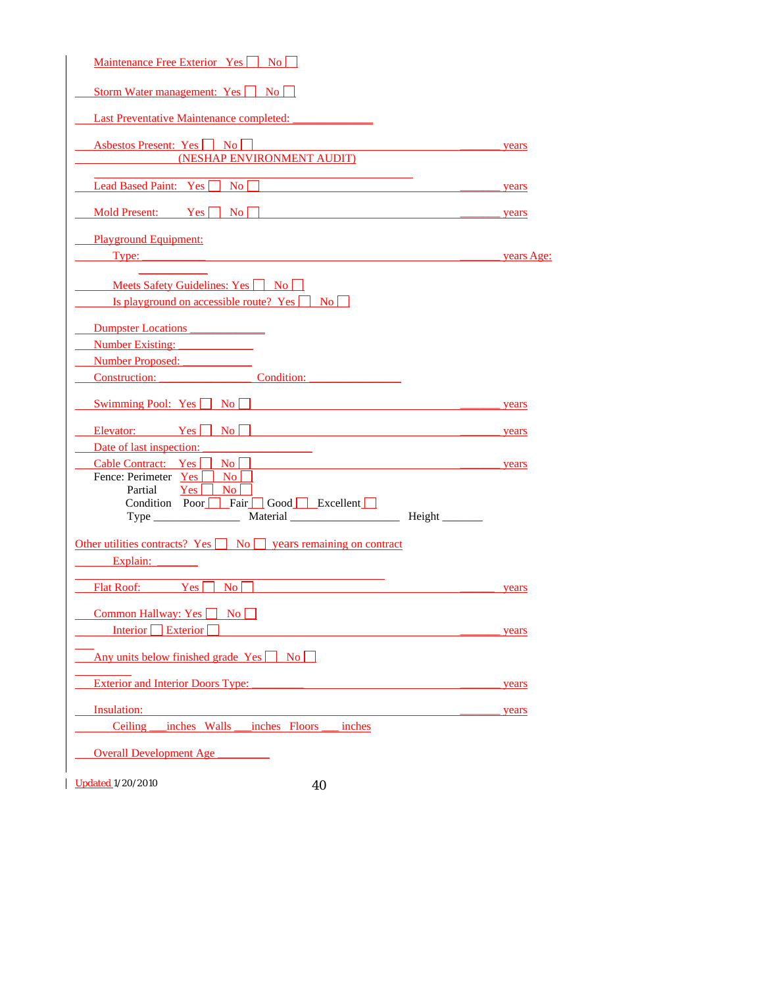| Maintenance Free Exterior Yes     No                                                                                                                                                              |            |
|---------------------------------------------------------------------------------------------------------------------------------------------------------------------------------------------------|------------|
| Storm Water management: Yes No                                                                                                                                                                    |            |
| <b>Last Preventative Maintenance completed:</b>                                                                                                                                                   |            |
| Asbestos Present: Yes No<br>(NESHAP ENVIRONMENT AUDIT)                                                                                                                                            | years      |
| Lead Based Paint: Yes<br>$\Box$ No                                                                                                                                                                | years      |
| Mold Present: $Yes \nightharpoonup No \nightharpoonup$                                                                                                                                            | years      |
| <b>Playground Equipment:</b><br>Type:                                                                                                                                                             | years Age: |
| <b>Meets Safety Guidelines: Yes</b> $\Box$ No<br>Is playground on accessible route? Yes $\Box$ No                                                                                                 |            |
| Dumpster Locations<br>Number Existing:<br>Number Proposed:<br><b>Construction:</b> Condition:                                                                                                     |            |
| Swimming Pool: $Yes \n\boxed{No}$                                                                                                                                                                 | years      |
| Elevator: Yes No                                                                                                                                                                                  | years      |
| Date of last inspection:<br>Cable Contract: Yes<br>$\overline{N_0}$    <br>Fence: Perimeter Yes<br>$\overline{N_0}$<br>Partial<br>Yes  <br>$\overline{N_0}$<br>Condition Poor Fair Good Excellent | years      |
| Other utilities contracts? Yes $\Box$ No $\Box$ years remaining on contract<br>Explain:                                                                                                           |            |
| <b>Flat Roof:</b><br>$\overline{N_{0}}$<br>Yes                                                                                                                                                    | years      |
| Common Hallway: Yes<br>N <sub>0</sub><br>Interior Exterior                                                                                                                                        | years      |
| Any units below finished grade Yes<br>$\overline{\phantom{a}}$ No $\overline{\phantom{a}}$                                                                                                        |            |
| <b>Exterior and Interior Doors Type:</b>                                                                                                                                                          | years      |
| Insulation:                                                                                                                                                                                       | years      |
| inches Floors<br>inches<br>Ceiling<br>inches Walls                                                                                                                                                |            |
| <b>Overall Development Age</b>                                                                                                                                                                    |            |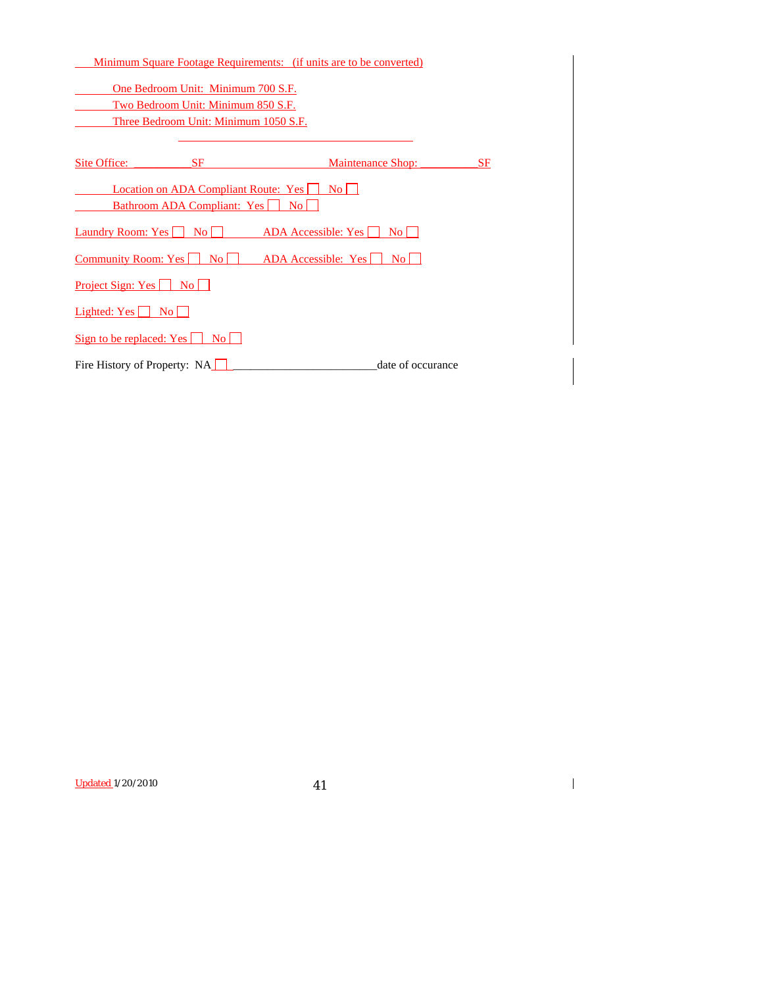|                                           |                                       | <u>Minimum Square Footage Requirements: (if units are to be converted)</u> |    |
|-------------------------------------------|---------------------------------------|----------------------------------------------------------------------------|----|
|                                           | One Bedroom Unit: Minimum 700 S.F.    |                                                                            |    |
|                                           | Two Bedroom Unit: Minimum 850 S.F.    |                                                                            |    |
|                                           | Three Bedroom Unit: Minimum 1050 S.F. |                                                                            |    |
|                                           |                                       |                                                                            |    |
| Site Office:                              | <b>SF</b>                             | <b>Maintenance Shop:</b>                                                   | SF |
|                                           | Location on ADA Compliant Route: Yes  | $\rm{No}$ $\vert$                                                          |    |
|                                           | Bathroom ADA Compliant: Yes           | No                                                                         |    |
| Laundry Room: Yes     No                  |                                       | ADA Accessible: $Yes \mid \mid$<br>$\overline{N_0}$                        |    |
| <b>Community Room: Yes</b> No             |                                       | ADA Accessible: Yes<br>No L                                                |    |
| <u>Project Sign: Yes No</u>               |                                       |                                                                            |    |
| Lighted: $Yes \Box No \Box$               |                                       |                                                                            |    |
| Sign to be replaced: $Yes \mid \text{No}$ |                                       |                                                                            |    |
| Fire History of Property: NA              |                                       | date of occurance                                                          |    |

Updated 1/20/2010 41

 $\begin{array}{c} \hline \end{array}$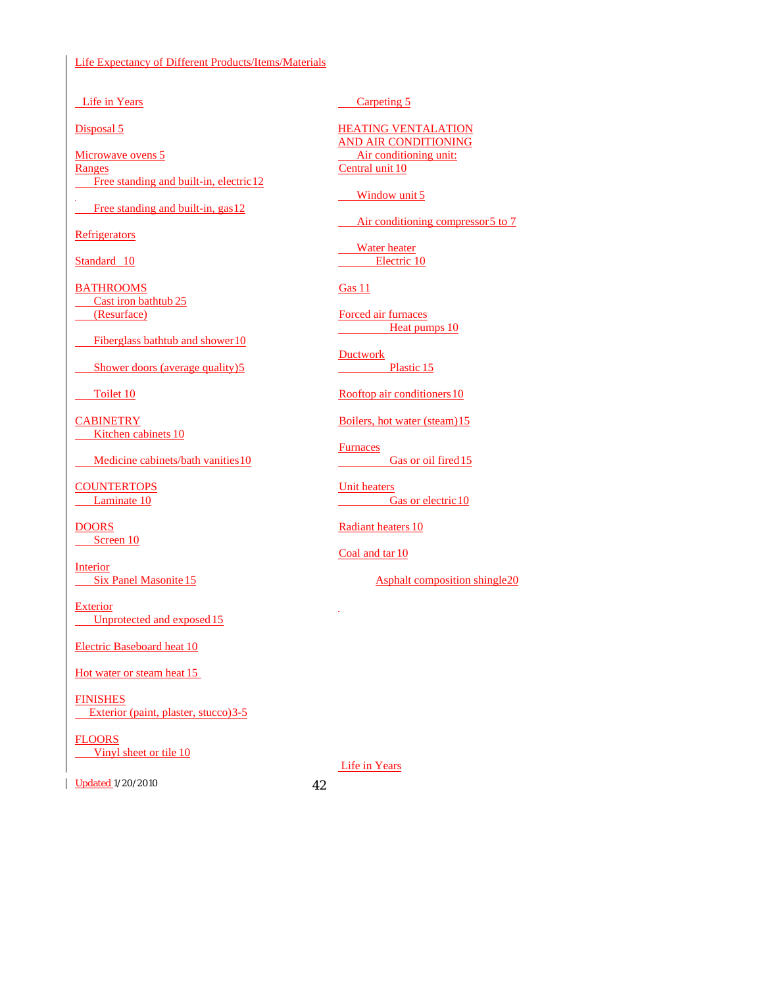#### Life Expectancy of Different Products/Items/Materials

Life in Years

Disposal 5

Microwave ovens 5 Ranges Free standing and built-in, electric 12

Free standing and built-in, gas 12

**Refrigerators** 

Standard 10

**BATHROOMS** Cast iron bathtub 25 (Resurface)

Fiberglass bathtub and shower 10

Shower doors (average quality) 5

Toilet 10

**CABINETRY** Kitchen cabinets 10

Medicine cabinets/bath vanities 10

**COUNTERTOPS** Laminate 10

**DOORS** Screen 10

Interior **Six Panel Masonite 15** 

**Exterior** Unprotected and exposed 15

Electric Baseboard heat 10

Hot water or steam heat 15

**FINISHES Exterior (paint, plaster, stucco) 3-5** 

FLOORS Vinyl sheet or tile 10

Updated 1/20/2010 42

Carpeting 5

HEATING VENTALATION AND AIR CONDITIONING Air conditioning unit: Central unit 10

Window unit 5

Air conditioning compressor 5 to 7

 Water heater Electric 10

Gas 11

 Forced air furnaces Heat pumps 10

 Ductwork Plastic 15

Rooftop air conditioners 10

Boilers, hot water (steam) 15

**Furnaces** Gas or oil fired 15

 Unit heaters Gas or electric 10

Radiant heaters 10

Coal and tar 10

J

Asphalt composition shingle 20

Life in Years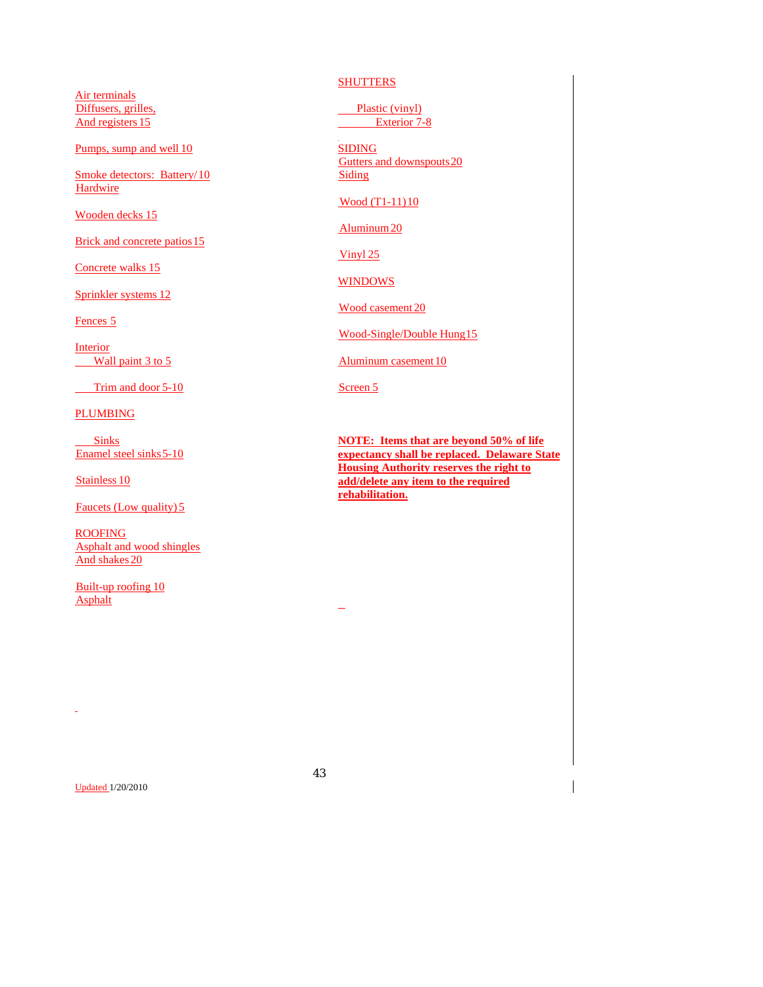Air terminals Diffusers, grilles, And registers 15

Pumps, sump and well 10

Smoke detectors: Battery/ 10 **Hardwire** 

Wooden decks 15

Brick and concrete patios 15

Concrete walks 15

Sprinkler systems 12

Fences 5

Interior Wall paint  $3$  to  $5$ 

Trim and door 5-10

PLUMBING

 Sinks Enamel steel sinks 5-10

Stainless 10

Faucets (Low quality) 5

ROOFING Asphalt and wood shingles And shakes 20

 Built-up roofing 10 Asphalt

**SHUTTERS** 

 Plastic (vinyl) Exterior 7-8

SIDING Gutters and downspouts 20 Siding

Wood (T1-11) 10

Aluminum 20

Vinyl 25

**WINDOWS** 

Wood casement 20

Wood-Single/Double Hung 15

Aluminum casement 10

Screen 5

**NOTE: Items that are beyond 50% of life expectancy shall be replaced. Delaware State Housing Authority reserves the right to add/delete any item to the required rehabilitation.**

Updated 1/20/2010

l,

43

 $\overline{\phantom{0}}$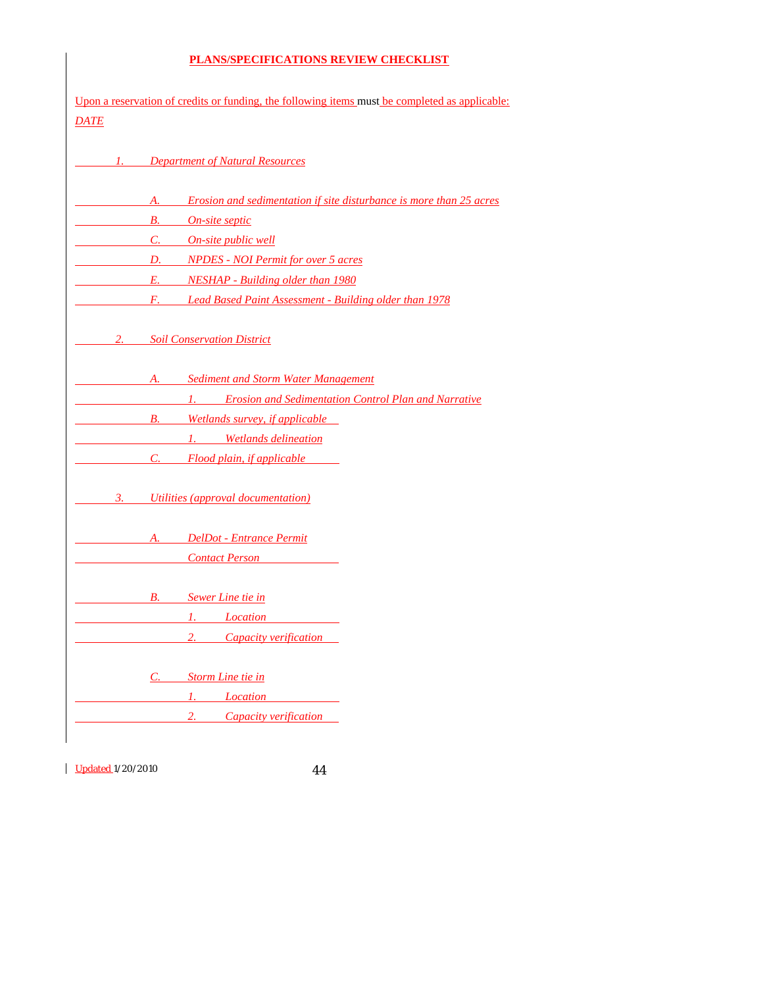# **PLANS/SPECIFICATIONS REVIEW CHECKLIST**

| <b>DATE</b> | Upon a reservation of credits or funding, the following items must be completed as applicable: |
|-------------|------------------------------------------------------------------------------------------------|
|             | <b>Department of Natural Resources</b>                                                         |
|             | Erosion and sedimentation if site disturbance is more than 25 acres<br>А.                      |
|             | On-site septic<br>В.                                                                           |
|             | <u>On-site public well</u><br>$C_{\cdot}$                                                      |
|             | <b>NPDES</b> - NOI Permit for over 5 acres<br>D.                                               |
|             | E.<br><b>NESHAP</b> - Building older than 1980                                                 |
|             | <b>Lead Based Paint Assessment - Building older than 1978</b><br>$F_{\rm c}$ and $F_{\rm c}$   |
| 2.          | <b>Soil Conservation District</b>                                                              |
|             | <b>Sediment and Storm Water Management</b><br>A.                                               |
|             | 1. Erosion and Sedimentation Control Plan and Narrative                                        |
|             | Wetlands survey, if applicable<br><b>B.</b>                                                    |
|             | 1. Wetlands delineation                                                                        |
|             | Flood plain, if applicable<br>C.                                                               |
| 3.          | Utilities (approval documentation)                                                             |
|             | A. DelDot - Entrance Permit                                                                    |
|             | <b>Contact Person</b>                                                                          |
|             | <b>B.</b> Sewer Line tie in                                                                    |
|             | 1. <i>Location</i>                                                                             |
|             | 2.<br><b>Capacity verification</b>                                                             |
|             | Storm Line tie in<br>C.                                                                        |
|             | 1.<br>Location                                                                                 |
|             | 2.<br>Capacity verification                                                                    |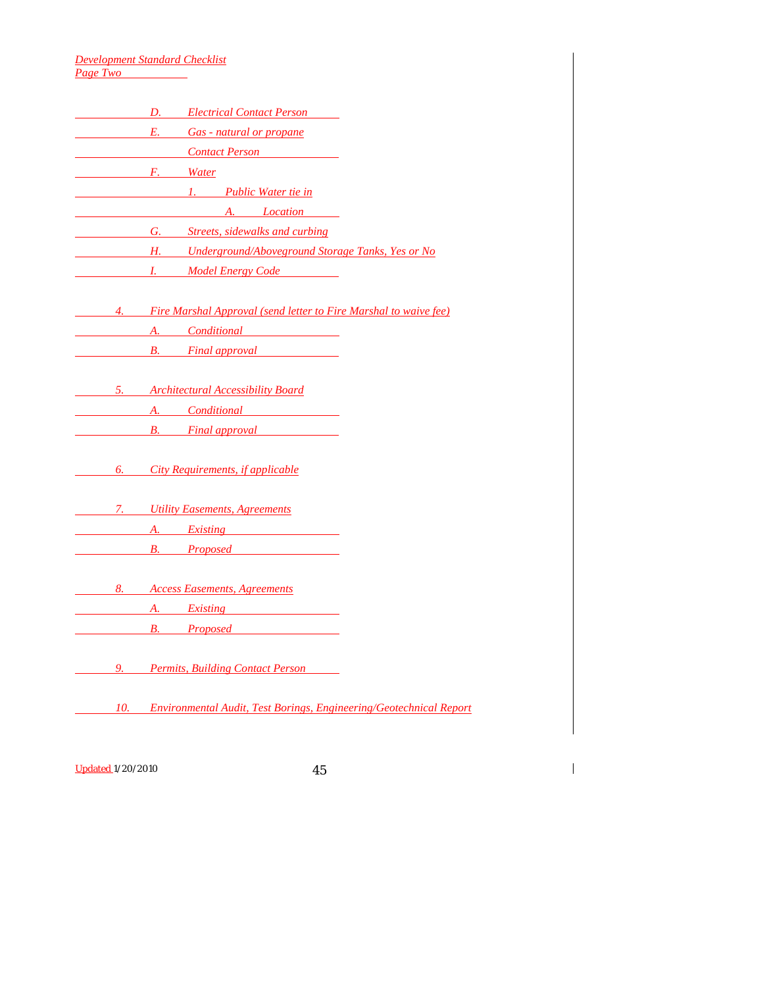*Development Standard Checklist Page Two* 

| <i>D. Electrical Contact Person</i>                                                                                                                                                                                                  |
|--------------------------------------------------------------------------------------------------------------------------------------------------------------------------------------------------------------------------------------|
| <i>E.</i> Gas - natural or propane                                                                                                                                                                                                   |
| <b>Contact Person</b>                                                                                                                                                                                                                |
| <b>Example 12 Example 12 Water</b>                                                                                                                                                                                                   |
| <u>1. Public Water tie in</u>                                                                                                                                                                                                        |
| <i>A. Location</i>                                                                                                                                                                                                                   |
| <b>G.</b> Streets, sidewalks and curbing                                                                                                                                                                                             |
| <b>H.</b> Underground/Aboveground Storage Tanks, Yes or No                                                                                                                                                                           |
| <i>Example 1. Model Energy Code</i>                                                                                                                                                                                                  |
|                                                                                                                                                                                                                                      |
| 4. Fire Marshal Approval (send letter to Fire Marshal to waive fee)                                                                                                                                                                  |
| <i>A. Conditional</i>                                                                                                                                                                                                                |
| <b>Example 12 Simular Example 2 Service 2 Service 2 Service 2 Service 2 Service 2 Service 2 Service 2 Service 2 Service 2 Service 2 Service 2 Service 2 Service 2 Service 2 Service 2 Service 2 Service 2 Service 2 Service 2 Se</b> |
|                                                                                                                                                                                                                                      |
| 5. Architectural Accessibility Board                                                                                                                                                                                                 |
| <i>A.</i> Conditional <i>Conditional</i>                                                                                                                                                                                             |
| <b>EXECUTE:</b> B. Final approval                                                                                                                                                                                                    |
|                                                                                                                                                                                                                                      |
| 6. City Requirements, if applicable                                                                                                                                                                                                  |
|                                                                                                                                                                                                                                      |
| <b>2.</b> <i>Utility Easements, Agreements</i>                                                                                                                                                                                       |
| <i>A. Existing</i>                                                                                                                                                                                                                   |
| <i>B. Proposed</i> <b>Example 20</b>                                                                                                                                                                                                 |
|                                                                                                                                                                                                                                      |
| 8. Access Easements, Agreements                                                                                                                                                                                                      |
| <i>A. Existing</i>                                                                                                                                                                                                                   |
| <i>B.</i> Proposed B.                                                                                                                                                                                                                |
|                                                                                                                                                                                                                                      |
| 9. Permits, Building Contact Person                                                                                                                                                                                                  |
|                                                                                                                                                                                                                                      |
| 10. Environmental Audit, Test Borings, Engineering/Geotechnical Report                                                                                                                                                               |
|                                                                                                                                                                                                                                      |

Updated 1/20/2010 45

 $\overline{\phantom{a}}$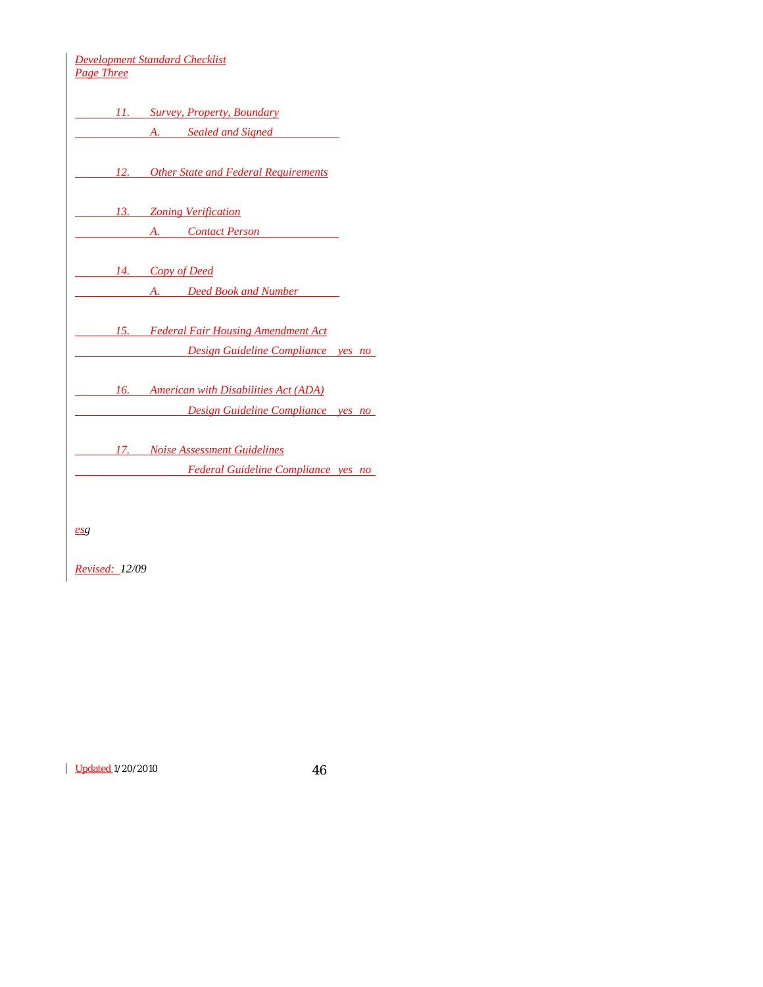| 11. Survey, Property, Boundary<br>A. Sealed and Signed<br>12. Other State and Federal Requirements<br>13. Zoning Verification<br>A. Contact Person<br>14. Copy of Deed<br>A. Deed Book and Number<br><u>15. Federal Fair Housing Amendment Act</u><br>Design Guideline Compliance yes no<br>16. American with Disabilities Act (ADA)<br><u> Design Guideline Compliance yes no</u><br>17. Noise Assessment Guidelines<br>Federal Guideline Compliance yes no | Page Three | <b>Development Standard Checklist</b> |  |
|--------------------------------------------------------------------------------------------------------------------------------------------------------------------------------------------------------------------------------------------------------------------------------------------------------------------------------------------------------------------------------------------------------------------------------------------------------------|------------|---------------------------------------|--|
|                                                                                                                                                                                                                                                                                                                                                                                                                                                              |            |                                       |  |
|                                                                                                                                                                                                                                                                                                                                                                                                                                                              |            |                                       |  |
|                                                                                                                                                                                                                                                                                                                                                                                                                                                              |            |                                       |  |
|                                                                                                                                                                                                                                                                                                                                                                                                                                                              |            |                                       |  |
|                                                                                                                                                                                                                                                                                                                                                                                                                                                              |            |                                       |  |
|                                                                                                                                                                                                                                                                                                                                                                                                                                                              |            |                                       |  |
|                                                                                                                                                                                                                                                                                                                                                                                                                                                              |            |                                       |  |
|                                                                                                                                                                                                                                                                                                                                                                                                                                                              |            |                                       |  |
|                                                                                                                                                                                                                                                                                                                                                                                                                                                              |            |                                       |  |
|                                                                                                                                                                                                                                                                                                                                                                                                                                                              |            |                                       |  |
|                                                                                                                                                                                                                                                                                                                                                                                                                                                              |            |                                       |  |
|                                                                                                                                                                                                                                                                                                                                                                                                                                                              |            |                                       |  |
|                                                                                                                                                                                                                                                                                                                                                                                                                                                              |            |                                       |  |

*esg*

*Revised: 12/09*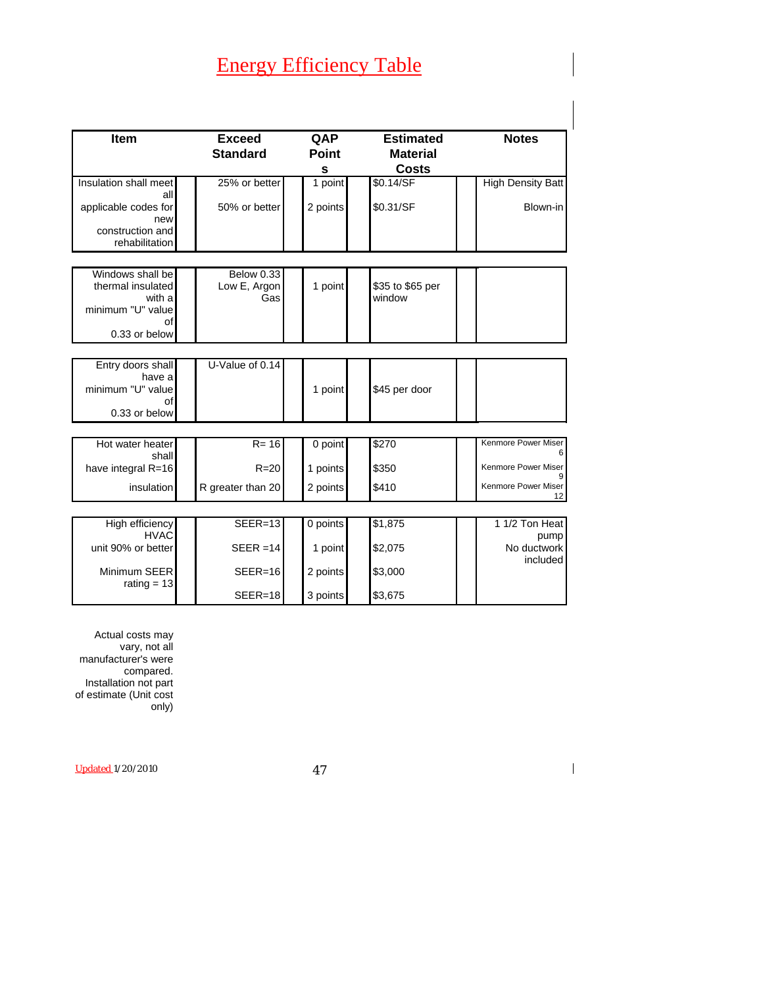# Energy Efficiency Table

| <b>Item</b>                                                                                 | <b>Exceed</b><br><b>Standard</b>         | QAP<br><b>Point</b><br>$\mathbf{s}$ | <b>Estimated</b><br><b>Material</b><br><b>Costs</b> | <b>Notes</b>                          |
|---------------------------------------------------------------------------------------------|------------------------------------------|-------------------------------------|-----------------------------------------------------|---------------------------------------|
| Insulation shall meet                                                                       | 25% or better                            | 1 point                             | \$0.14/SF                                           | <b>High Density Batt</b>              |
| all<br>applicable codes for<br>new<br>construction and<br>rehabilitation                    | 50% or better                            | 2 points                            | \$0.31/SF                                           | Blown-in                              |
|                                                                                             |                                          |                                     |                                                     |                                       |
| Windows shall be<br>thermal insulated<br>with a<br>minimum "U" value<br>οf<br>0.33 or below | <b>Below 0.33</b><br>Low E, Argon<br>Gas | 1 point                             | \$35 to \$65 per<br>window                          |                                       |
|                                                                                             |                                          |                                     |                                                     |                                       |
| Entry doors shall<br>have a<br>minimum "U" value<br>Ωf<br>0.33 or below                     | U-Value of 0.14                          | 1 point                             | \$45 per door                                       |                                       |
|                                                                                             |                                          |                                     |                                                     |                                       |
| Hot water heater<br>shall                                                                   | $R = 16$                                 | 0 point                             | \$270                                               | Kenmore Power Miser<br>6              |
| have integral R=16                                                                          | $R = 20$                                 | 1 points                            | \$350                                               | Kenmore Power Miser                   |
| insulation                                                                                  | R greater than 20                        | 2 points                            | \$410                                               | Kenmore Power Miser<br>12             |
|                                                                                             |                                          |                                     |                                                     |                                       |
| High efficiency<br><b>HVAC</b><br>unit 90% or better                                        | $SEER=13$<br>$SEER = 14$                 | 0 points<br>1 point                 | \$1,875<br>\$2,075                                  | 1 1/2 Ton Heat<br>pump<br>No ductwork |
| Minimum SEER                                                                                | $SEER=16$                                | 2 points                            | \$3,000                                             | included                              |
| rating $= 13$                                                                               | SEER=18                                  | 3 points                            | \$3,675                                             |                                       |

Actual costs may vary, not all manufacturer's were compared. Installation not part of estimate (Unit cost only)

Updated 1/20/2010 47

 $\overline{1}$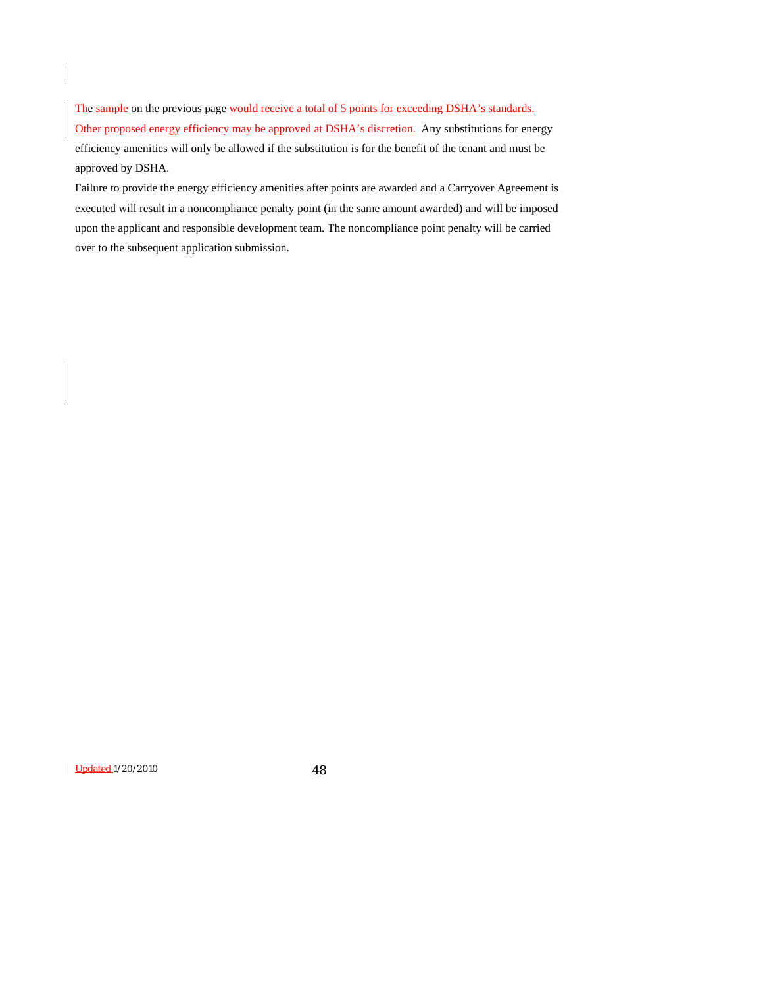The sample on the previous page would receive a total of 5 points for exceeding DSHA's standards. Other proposed energy efficiency may be approved at DSHA's discretion. Any substitutions for energy efficiency amenities will only be allowed if the substitution is for the benefit of the tenant and must be approved by DSHA.

Failure to provide the energy efficiency amenities after points are awarded and a Carryover Agreement is executed will result in a noncompliance penalty point (in the same amount awarded) and will be imposed upon the applicant and responsible development team. The noncompliance point penalty will be carried over to the subsequent application submission.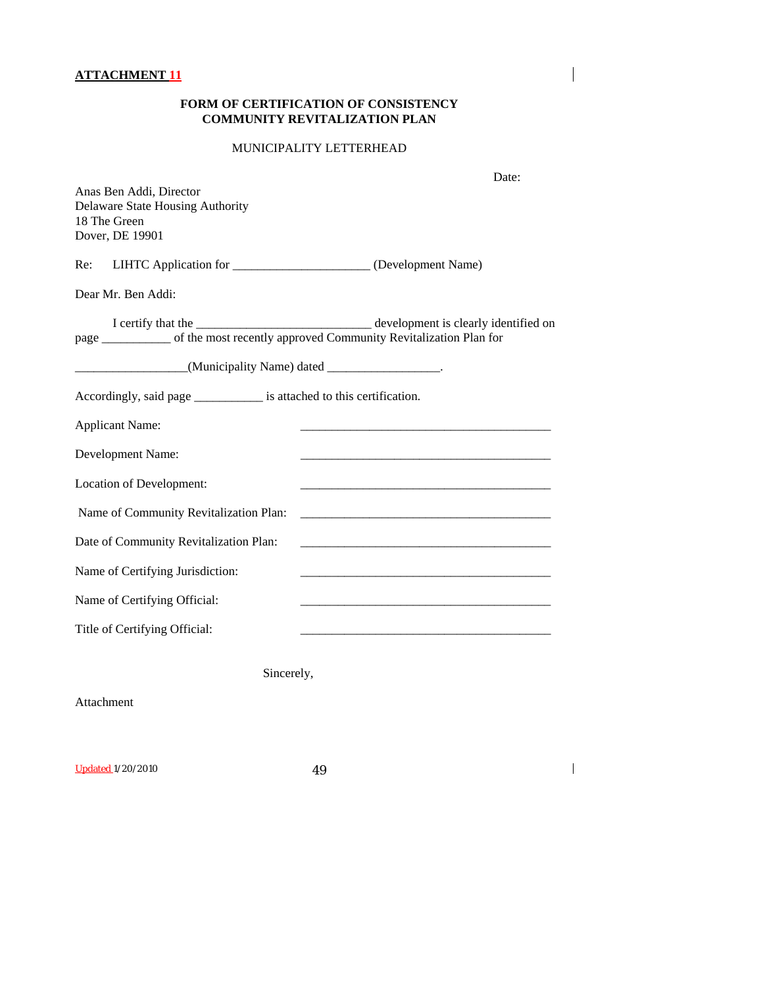# **FORM OF CERTIFICATION OF CONSISTENCY COMMUNITY REVITALIZATION PLAN**

 $\mathbf{I}$ 

 $\overline{1}$ 

# MUNICIPALITY LETTERHEAD

| Anas Ben Addi, Director<br>Delaware State Housing Authority<br>18 The Green<br>Dover, DE 19901 | Date: |
|------------------------------------------------------------------------------------------------|-------|
| LIHTC Application for _______________________ (Development Name)<br>Re:                        |       |
| Dear Mr. Ben Addi:                                                                             |       |
| page _________ of the most recently approved Community Revitalization Plan for                 |       |
| (Municipality Name) dated ________________.                                                    |       |
| Accordingly, said page __________________ is attached to this certification.                   |       |
| <b>Applicant Name:</b>                                                                         |       |
| Development Name:                                                                              |       |
| Location of Development:                                                                       |       |
| Name of Community Revitalization Plan:                                                         |       |
| Date of Community Revitalization Plan:                                                         |       |
| Name of Certifying Jurisdiction:                                                               |       |
| Name of Certifying Official:                                                                   |       |
| Title of Certifying Official:                                                                  |       |
| Sincerely,                                                                                     |       |
| Attachment                                                                                     |       |
| <b>Updated 1/20/2010</b><br>49                                                                 |       |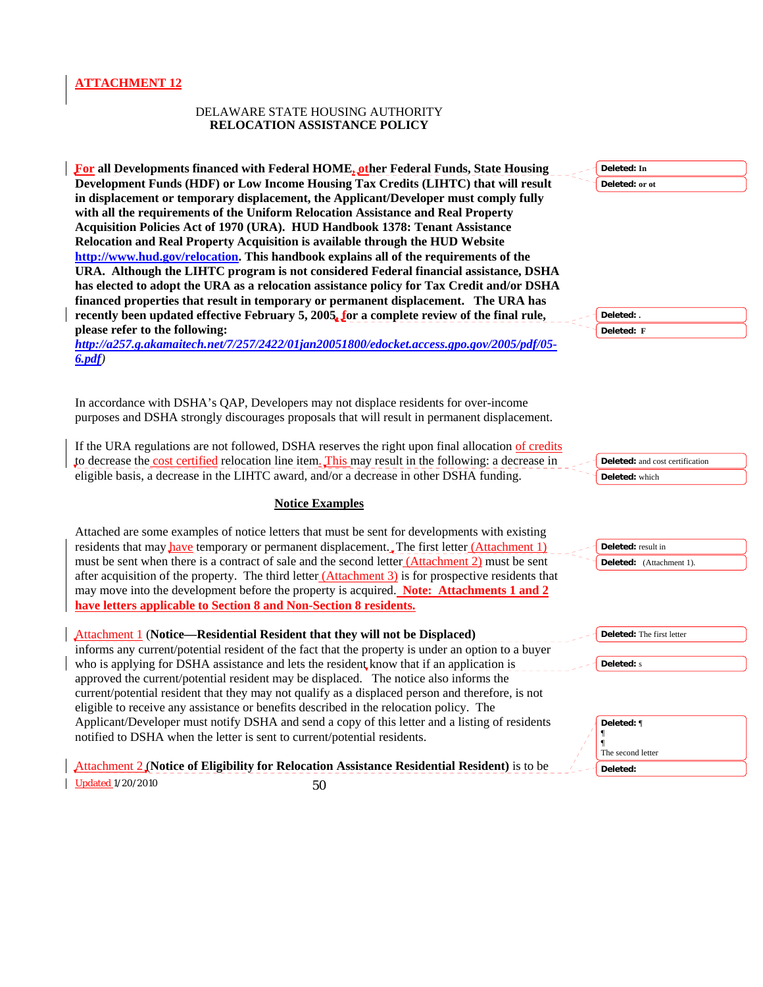#### DELAWARE STATE HOUSING AUTHORITY **RELOCATION ASSISTANCE POLICY**

**For all Developments financed with Federal HOME, other Federal Funds, State Housing Development Funds (HDF) or Low Income Housing Tax Credits (LIHTC) that will result in displacement or temporary displacement, the Applicant/Developer must comply fully with all the requirements of the Uniform Relocation Assistance and Real Property Acquisition Policies Act of 1970 (URA). HUD Handbook 1378: Tenant Assistance Relocation and Real Property Acquisition is available through the HUD Website <http://www.hud.gov/relocation>. This handbook explains all of the requirements of the URA. Although the LIHTC program is not considered Federal financial assistance, DSHA has elected to adopt the URA as a relocation assistance policy for Tax Credit and/or DSHA financed properties that result in temporary or permanent displacement. The URA has recently been updated effective February 5, 2005, for a complete review of the final rule, please refer to the following:** 

*[http://a257.g.akamaitech.net/7/257/2422/01jan20051800/edocket.access.gpo.gov/2005/pdf/05-](http://a257.g.akamaitech.net/7/257/2422/01jan20051800/edocket.access.gpo.gov/2005/pdf/05-6.pdf) [6.pdf](http://a257.g.akamaitech.net/7/257/2422/01jan20051800/edocket.access.gpo.gov/2005/pdf/05-6.pdf))* 

In accordance with DSHA's QAP, Developers may not displace residents for over-income purposes and DSHA strongly discourages proposals that will result in permanent displacement.

If the URA regulations are not followed, DSHA reserves the right upon final allocation of credits to decrease the cost certified relocation line item. This may result in the following: a decrease in eligible basis, a decrease in the LIHTC award, and/or a decrease in other DSHA funding.

# **Notice Examples**

Attached are some examples of notice letters that must be sent for developments with existing residents that may **have** temporary or permanent displacement. The first letter (Attachment 1) must be sent when there is a contract of sale and the second letter (Attachment 2) must be sent after acquisition of the property. The third letter  $(Attentionent 3)$  is for prospective residents that may move into the development before the property is acquired. **Note: Attachments 1 and 2 have letters applicable to Section 8 and Non-Section 8 residents.**

| Attachment 1 (Notice—Residential Resident that they will not be Displaced)                         | <b>Deleted:</b> The first letter |
|----------------------------------------------------------------------------------------------------|----------------------------------|
| informs any current/potential resident of the fact that the property is under an option to a buyer |                                  |
| who is applying for DSHA assistance and lets the resident know that if an application is           | <b>Deleted:</b> s                |
| approved the current/potential resident may be displaced. The notice also informs the              |                                  |
| current/potential resident that they may not qualify as a displaced person and therefore, is not   |                                  |
| eligible to receive any assistance or benefits described in the relocation policy. The             |                                  |
| Applicant/Developer must notify DSHA and send a copy of this letter and a listing of residents     | Deleted: ¶                       |
| notified to DSHA when the letter is sent to current/potential residents.                           |                                  |
|                                                                                                    | The second letter                |
| Attachment 2 (Notice of Eligibility for Relocation Assistance Residential Resident) is to be       | Deleted:                         |

Updated 1/20/2010 50

**Deleted: . Deleted: F**

**Deleted: In Deleted: or ot**

**Deleted:** and cost certification **Deleted:** which

**Deleted:** result in **Deleted:** (Attachment 1).

| Deleted: The first letter |
|---------------------------|
|                           |
| <b>Deleted:</b> s         |

| Deleted: ¶        |  |
|-------------------|--|
| The second letter |  |
| Deleted:          |  |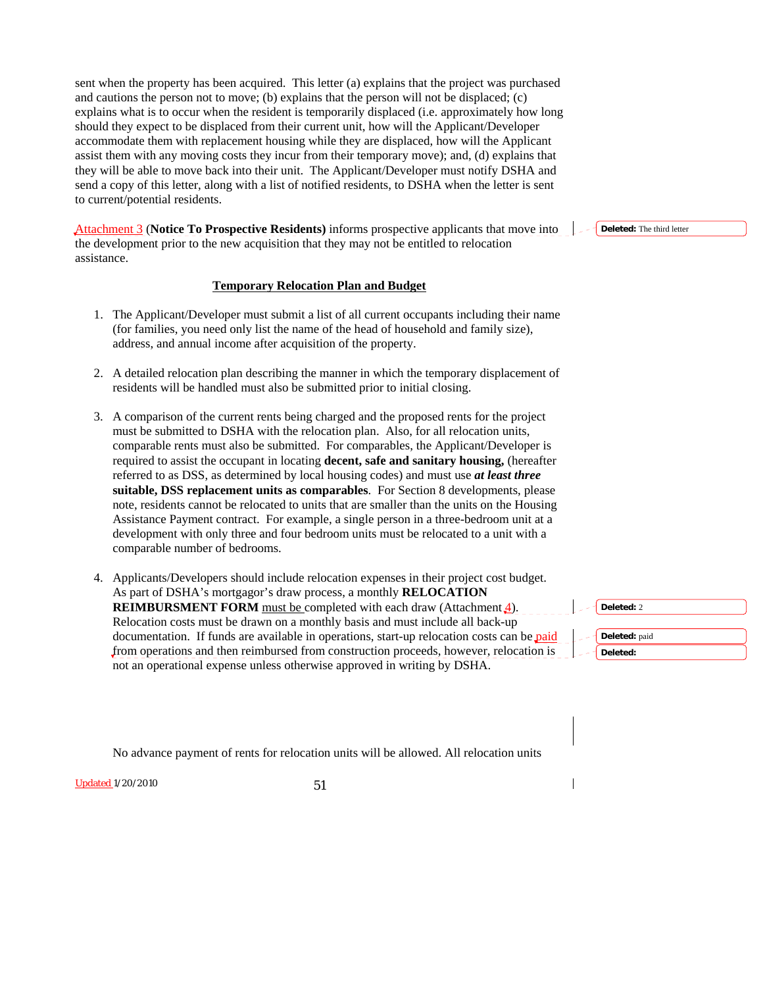sent when the property has been acquired. This letter (a) explains that the project was purchased and cautions the person not to move; (b) explains that the person will not be displaced; (c) explains what is to occur when the resident is temporarily displaced (i.e. approximately how long should they expect to be displaced from their current unit, how will the Applicant/Developer accommodate them with replacement housing while they are displaced, how will the Applicant assist them with any moving costs they incur from their temporary move); and, (d) explains that they will be able to move back into their unit. The Applicant/Developer must notify DSHA and send a copy of this letter, along with a list of notified residents, to DSHA when the letter is sent to current/potential residents.

Attachment 3 (**Notice To Prospective Residents)** informs prospective applicants that move into the development prior to the new acquisition that they may not be entitled to relocation assistance.

#### **Temporary Relocation Plan and Budget**

- 1. The Applicant/Developer must submit a list of all current occupants including their name (for families, you need only list the name of the head of household and family size), address, and annual income after acquisition of the property.
- 2. A detailed relocation plan describing the manner in which the temporary displacement of residents will be handled must also be submitted prior to initial closing.
- 3. A comparison of the current rents being charged and the proposed rents for the project must be submitted to DSHA with the relocation plan. Also, for all relocation units, comparable rents must also be submitted. For comparables, the Applicant/Developer is required to assist the occupant in locating **decent, safe and sanitary housing,** (hereafter referred to as DSS, as determined by local housing codes) and must use *at least three*  **suitable, DSS replacement units as comparables**. For Section 8 developments, please note, residents cannot be relocated to units that are smaller than the units on the Housing Assistance Payment contract. For example, a single person in a three-bedroom unit at a development with only three and four bedroom units must be relocated to a unit with a comparable number of bedrooms.
- 4. Applicants/Developers should include relocation expenses in their project cost budget. As part of DSHA's mortgagor's draw process, a monthly **RELOCATION REIMBURSMENT FORM** must be completed with each draw (Attachment 4). Relocation costs must be drawn on a monthly basis and must include all back-up documentation. If funds are available in operations, start-up relocation costs can be paid from operations and then reimbursed from construction proceeds, however, relocation is not an operational expense unless otherwise approved in writing by DSHA.

**Deleted:** The third letter



No advance payment of rents for relocation units will be allowed. All relocation units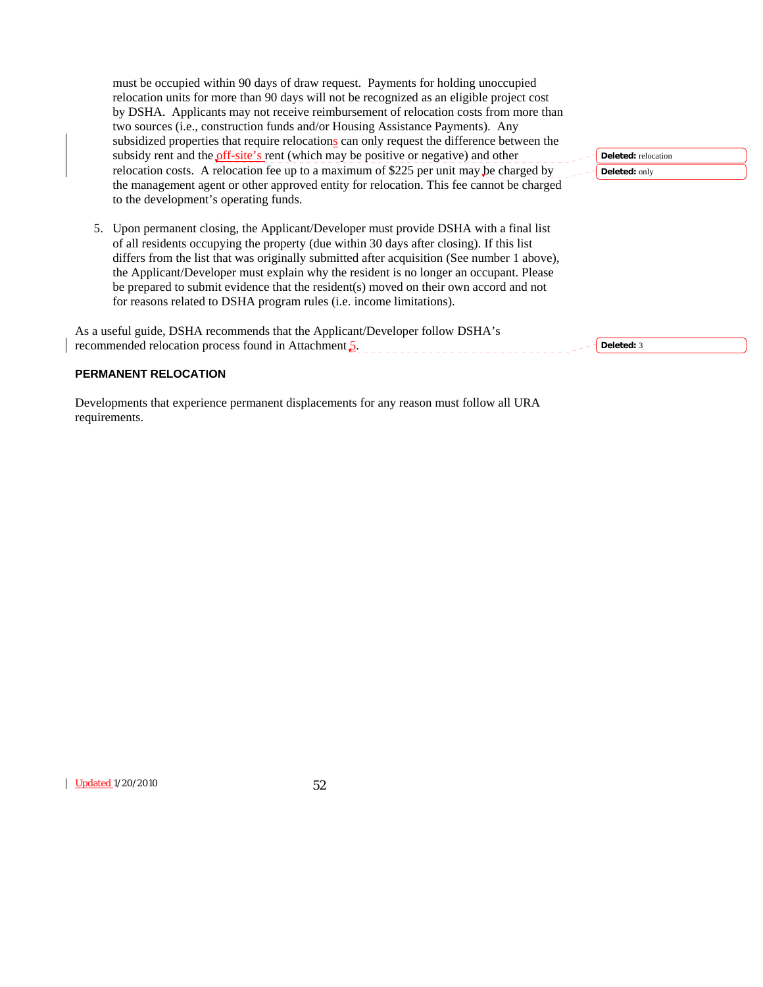must be occupied within 90 days of draw request. Payments for holding unoccupied relocation units for more than 90 days will not be recognized as an eligible project cost by DSHA. Applicants may not receive reimbursement of relocation costs from more than two sources (i.e., construction funds and/or Housing Assistance Payments). Any subsidized properties that require relocations can only request the difference between the subsidy rent and the *off-site's* rent (which may be positive or negative) and other relocation costs. A relocation fee up to a maximum of \$225 per unit may be charged by the management agent or other approved entity for relocation. This fee cannot be charged to the development's operating funds.

5. Upon permanent closing, the Applicant/Developer must provide DSHA with a final list of all residents occupying the property (due within 30 days after closing). If this list differs from the list that was originally submitted after acquisition (See number 1 above), the Applicant/Developer must explain why the resident is no longer an occupant. Please be prepared to submit evidence that the resident(s) moved on their own accord and not for reasons related to DSHA program rules (i.e. income limitations).

As a useful guide, DSHA recommends that the Applicant/Developer follow DSHA's recommended relocation process found in Attachment 5. **Deleted:** 3

**Deleted:** relocation **Deleted:** only

# **PERMANENT RELOCATION**

Developments that experience permanent displacements for any reason must follow all URA requirements.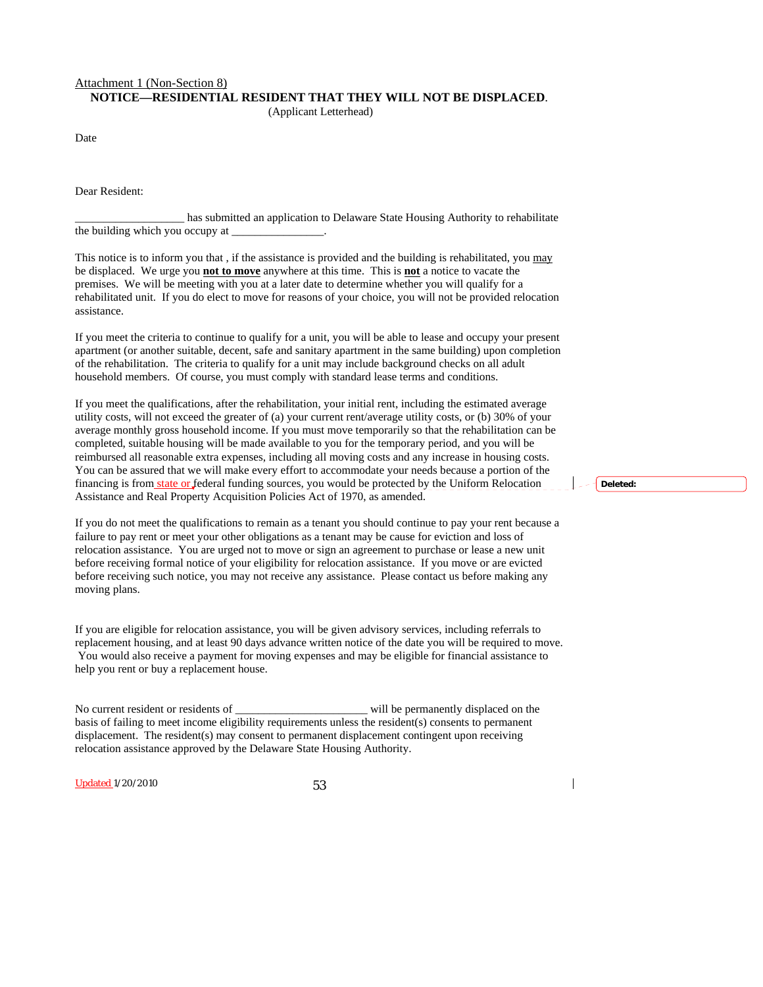#### Attachment 1 (Non-Section 8) **NOTICE—RESIDENTIAL RESIDENT THAT THEY WILL NOT BE DISPLACED**.

(Applicant Letterhead)

Date

Dear Resident:

has submitted an application to Delaware State Housing Authority to rehabilitate the building which you occupy at \_\_\_\_\_\_\_\_\_\_\_\_\_\_\_\_.

This notice is to inform you that , if the assistance is provided and the building is rehabilitated, you may be displaced. We urge you **not to move** anywhere at this time. This is **not** a notice to vacate the premises. We will be meeting with you at a later date to determine whether you will qualify for a rehabilitated unit. If you do elect to move for reasons of your choice, you will not be provided relocation assistance.

If you meet the criteria to continue to qualify for a unit, you will be able to lease and occupy your present apartment (or another suitable, decent, safe and sanitary apartment in the same building) upon completion of the rehabilitation. The criteria to qualify for a unit may include background checks on all adult household members. Of course, you must comply with standard lease terms and conditions.

If you meet the qualifications, after the rehabilitation, your initial rent, including the estimated average utility costs, will not exceed the greater of (a) your current rent/average utility costs, or (b) 30% of your average monthly gross household income. If you must move temporarily so that the rehabilitation can be completed, suitable housing will be made available to you for the temporary period, and you will be reimbursed all reasonable extra expenses, including all moving costs and any increase in housing costs. You can be assured that we will make every effort to accommodate your needs because a portion of the financing is from state or federal funding sources, you would be protected by the Uniform Relocation Assistance and Real Property Acquisition Policies Act of 1970, as amended.

If you do not meet the qualifications to remain as a tenant you should continue to pay your rent because a failure to pay rent or meet your other obligations as a tenant may be cause for eviction and loss of relocation assistance. You are urged not to move or sign an agreement to purchase or lease a new unit before receiving formal notice of your eligibility for relocation assistance. If you move or are evicted before receiving such notice, you may not receive any assistance. Please contact us before making any moving plans.

If you are eligible for relocation assistance, you will be given advisory services, including referrals to replacement housing, and at least 90 days advance written notice of the date you will be required to move. You would also receive a payment for moving expenses and may be eligible for financial assistance to help you rent or buy a replacement house.

No current resident or residents of \_\_\_\_\_\_\_\_\_\_\_\_\_\_\_\_\_\_\_\_\_\_\_ will be permanently displaced on the basis of failing to meet income eligibility requirements unless the resident(s) consents to permanent displacement. The resident(s) may consent to permanent displacement contingent upon receiving relocation assistance approved by the Delaware State Housing Authority.

Updated 1/20/2010 53

**Deleted:**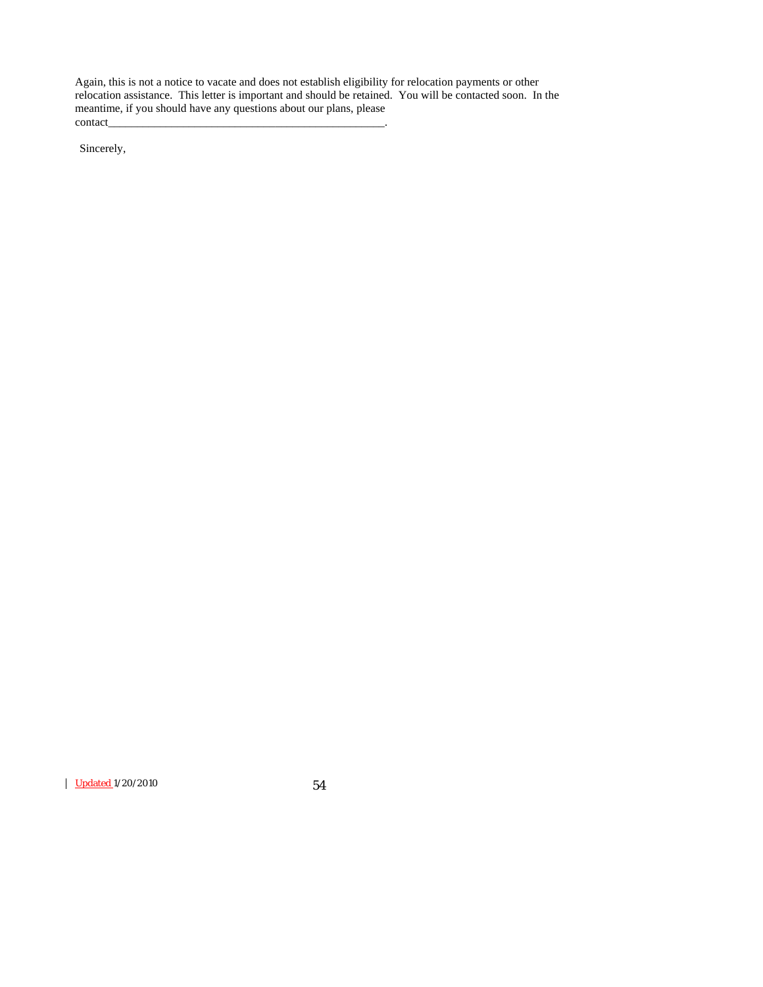Again, this is not a notice to vacate and does not establish eligibility for relocation payments or other relocation assistance. This letter is important and should be retained. You will be contacted soon. In the meantime, if you should have any questions about our plans, please contact\_\_\_\_\_\_\_\_\_\_\_\_\_\_\_\_\_\_\_\_\_\_\_\_\_\_\_\_\_\_\_\_\_\_\_\_\_\_\_\_\_\_\_\_\_\_\_\_.

Sincerely,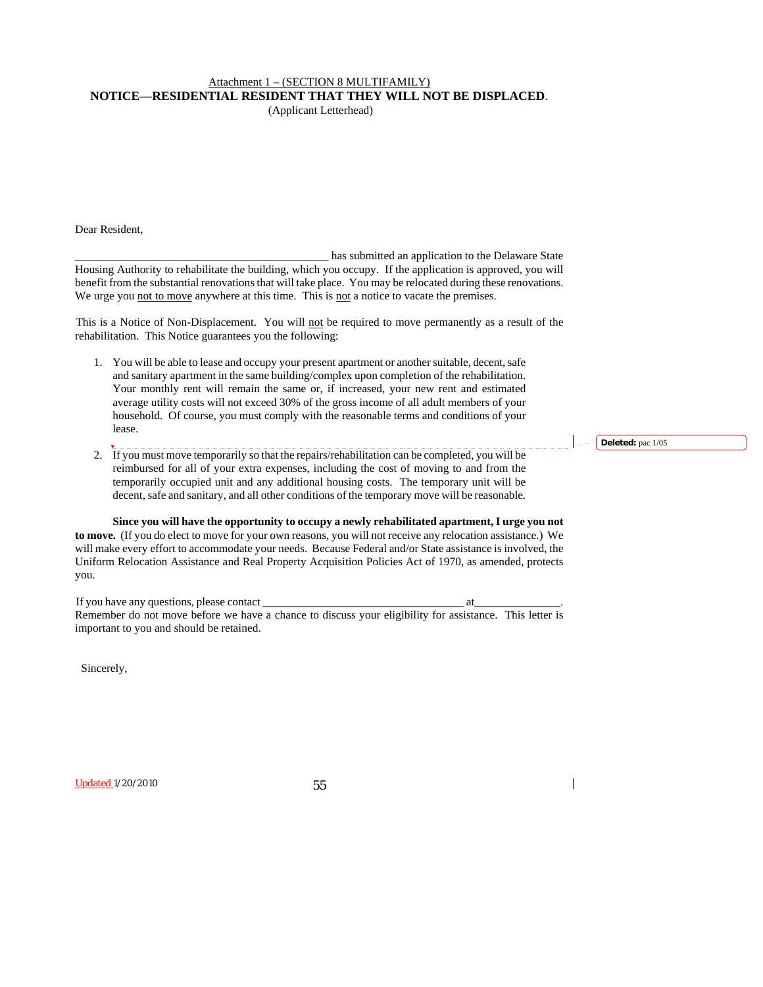# Attachment 1 – (SECTION 8 MULTIFAMILY) **NOTICE—RESIDENTIAL RESIDENT THAT THEY WILL NOT BE DISPLACED**.

(Applicant Letterhead)

Dear Resident,

\_\_\_\_\_\_\_\_\_\_\_\_\_ \_\_\_\_\_\_\_\_\_\_\_\_\_\_\_\_\_\_\_\_\_\_\_\_\_\_\_\_\_\_\_ has submitted an application to the Delaware State Housing Authority to rehabilitate the building, which you occupy. If the application is approved, you will benefit from the substantial renovations that will take place. You may be relocated during these renovations. We urge you not to move anywhere at this time. This is not a notice to vacate the premises.

This is a Notice of Non-Displacement. You will not be required to move permanently as a result of the rehabilitation. This Notice guarantees you the following:

- 1. You will be able to lease and occupy your present apartment or another suitable, decent, safe and sanitary apartment in the same building/complex upon completion of the rehabilitation. Your monthly rent will remain the same or, if increased, your new rent and estimated average utility costs will not exceed 30% of the gross income of all adult members of your household. Of course, you must comply with the reasonable terms and conditions of your lease.
- 2. If you must move temporarily so that the repairs/rehabilitation can be completed, you will be reimbursed for all of your extra expenses, including the cost of moving to and from the temporarily occupied unit and any additional housing costs. The temporary unit will be decent, safe and sanitary, and all other conditions of the temporary move will be reasonable.

**Since you will have the opportunity to occupy a newly rehabilitated apartment, I urge you not to move.** (If you do elect to move for your own reasons, you will not receive any relocation assistance.) We will make every effort to accommodate your needs. Because Federal and/or State assistance is involved, the Uniform Relocation Assistance and Real Property Acquisition Policies Act of 1970, as amended, protects you.

If you have any questions, please contact at  $\blacksquare$ Remember do not move before we have a chance to discuss your eligibility for assistance. This letter is important to you and should be retained.

Sincerely,

Updated 1/20/2010 55

**Deleted:** pac 1/05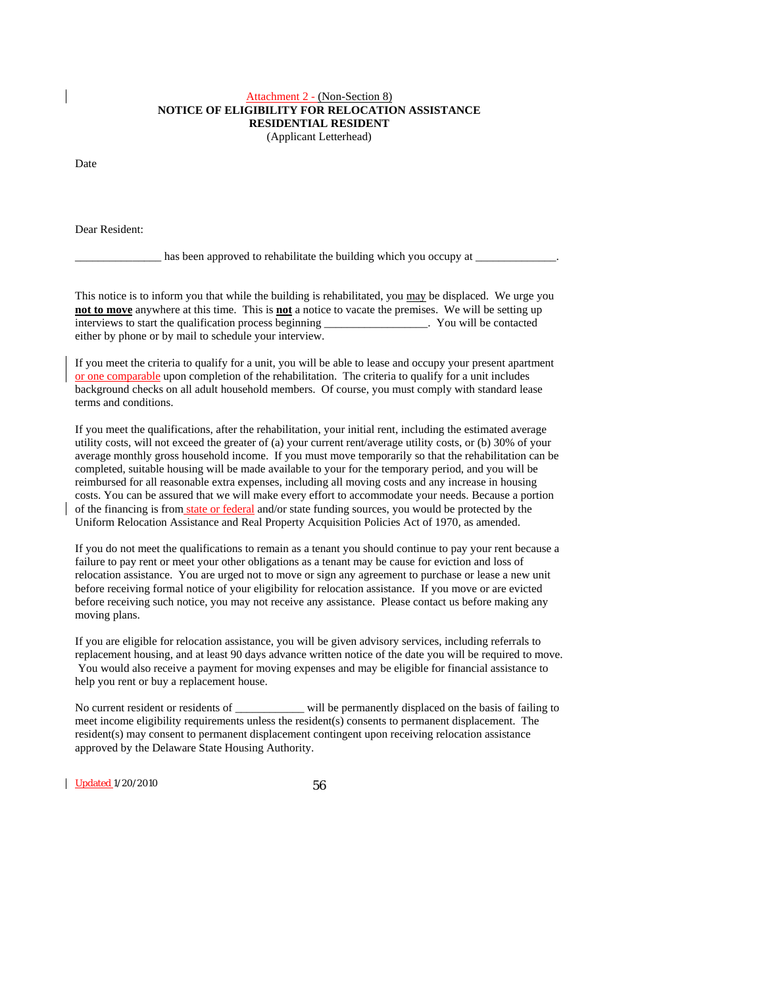# Attachment 2 - (Non-Section 8) **NOTICE OF ELIGIBILITY FOR RELOCATION ASSISTANCE RESIDENTIAL RESIDENT**

(Applicant Letterhead)

Date

Dear Resident:

has been approved to rehabilitate the building which you occupy at

This notice is to inform you that while the building is rehabilitated, you may be displaced. We urge you **not to move** anywhere at this time. This is **not** a notice to vacate the premises. We will be setting up interviews to start the qualification process beginning \_\_\_\_\_\_\_\_\_\_\_\_\_\_\_\_\_\_. You will be contacted either by phone or by mail to schedule your interview.

If you meet the criteria to qualify for a unit, you will be able to lease and occupy your present apartment or one comparable upon completion of the rehabilitation. The criteria to qualify for a unit includes background checks on all adult household members. Of course, you must comply with standard lease terms and conditions.

If you meet the qualifications, after the rehabilitation, your initial rent, including the estimated average utility costs, will not exceed the greater of (a) your current rent/average utility costs, or (b) 30% of your average monthly gross household income. If you must move temporarily so that the rehabilitation can be completed, suitable housing will be made available to your for the temporary period, and you will be reimbursed for all reasonable extra expenses, including all moving costs and any increase in housing costs. You can be assured that we will make every effort to accommodate your needs. Because a portion of the financing is from state or federal and/or state funding sources, you would be protected by the Uniform Relocation Assistance and Real Property Acquisition Policies Act of 1970, as amended.

If you do not meet the qualifications to remain as a tenant you should continue to pay your rent because a failure to pay rent or meet your other obligations as a tenant may be cause for eviction and loss of relocation assistance. You are urged not to move or sign any agreement to purchase or lease a new unit before receiving formal notice of your eligibility for relocation assistance. If you move or are evicted before receiving such notice, you may not receive any assistance. Please contact us before making any moving plans.

If you are eligible for relocation assistance, you will be given advisory services, including referrals to replacement housing, and at least 90 days advance written notice of the date you will be required to move. You would also receive a payment for moving expenses and may be eligible for financial assistance to help you rent or buy a replacement house.

No current resident or residents of will be permanently displaced on the basis of failing to meet income eligibility requirements unless the resident(s) consents to permanent displacement. The resident(s) may consent to permanent displacement contingent upon receiving relocation assistance approved by the Delaware State Housing Authority.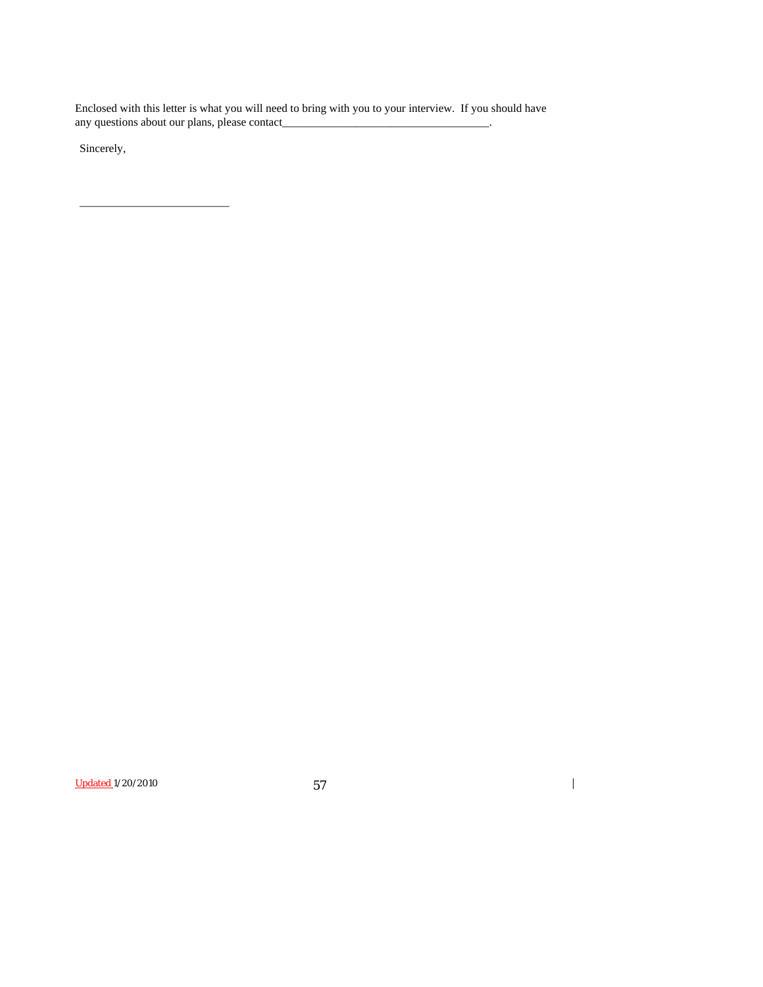Enclosed with this letter is what you will need to bring with you to your interview. If you should have any questions about our plans, please contact\_\_\_\_\_\_\_\_\_\_\_\_\_\_\_\_\_\_\_\_\_\_\_\_\_\_\_\_\_\_\_\_\_\_\_\_.

Sincerely,

\_\_\_\_\_\_\_\_\_\_\_\_\_\_\_\_\_\_\_\_\_\_\_\_\_\_

Updated 1/20/2010 57

 $\overline{\mathbf{I}}$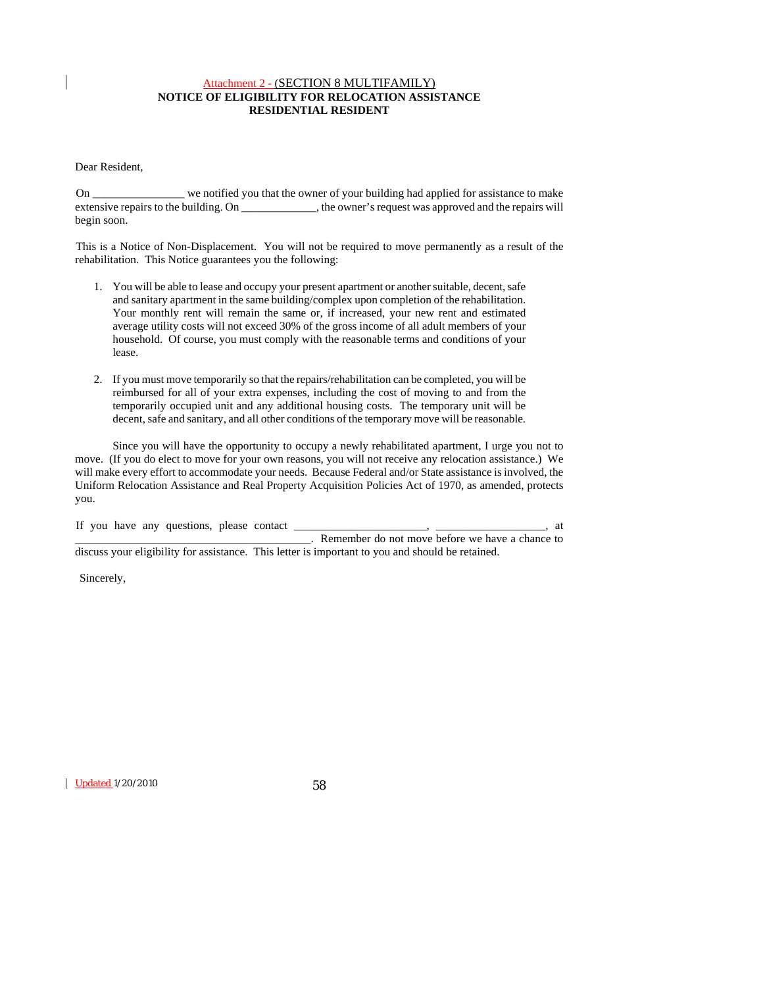## Attachment 2 - (SECTION 8 MULTIFAMILY) **NOTICE OF ELIGIBILITY FOR RELOCATION ASSISTANCE RESIDENTIAL RESIDENT**

Dear Resident,

 On \_\_\_\_\_\_\_\_\_\_\_\_\_\_\_\_ we notified you that the owner of your building had applied for assistance to make extensive repairs to the building. On \_\_\_\_\_\_\_\_\_\_\_\_\_, the owner's request was approved and the repairs will begin soon.

 This is a Notice of Non-Displacement. You will not be required to move permanently as a result of the rehabilitation. This Notice guarantees you the following:

- 1. You will be able to lease and occupy your present apartment or another suitable, decent, safe and sanitary apartment in the same building/complex upon completion of the rehabilitation. Your monthly rent will remain the same or, if increased, your new rent and estimated average utility costs will not exceed 30% of the gross income of all adult members of your household. Of course, you must comply with the reasonable terms and conditions of your lease.
- 2. If you must move temporarily so that the repairs/rehabilitation can be completed, you will be reimbursed for all of your extra expenses, including the cost of moving to and from the temporarily occupied unit and any additional housing costs. The temporary unit will be decent, safe and sanitary, and all other conditions of the temporary move will be reasonable.

Since you will have the opportunity to occupy a newly rehabilitated apartment, I urge you not to move. (If you do elect to move for your own reasons, you will not receive any relocation assistance.) We will make every effort to accommodate your needs. Because Federal and/or State assistance is involved, the Uniform Relocation Assistance and Real Property Acquisition Policies Act of 1970, as amended, protects you.

|  |  | If you have any questions, please contact |  |                                                                                                  | at |
|--|--|-------------------------------------------|--|--------------------------------------------------------------------------------------------------|----|
|  |  |                                           |  | Remember do not move before we have a chance to                                                  |    |
|  |  |                                           |  | discuss your eligibility for assistance. This letter is important to you and should be retained. |    |

Sincerely,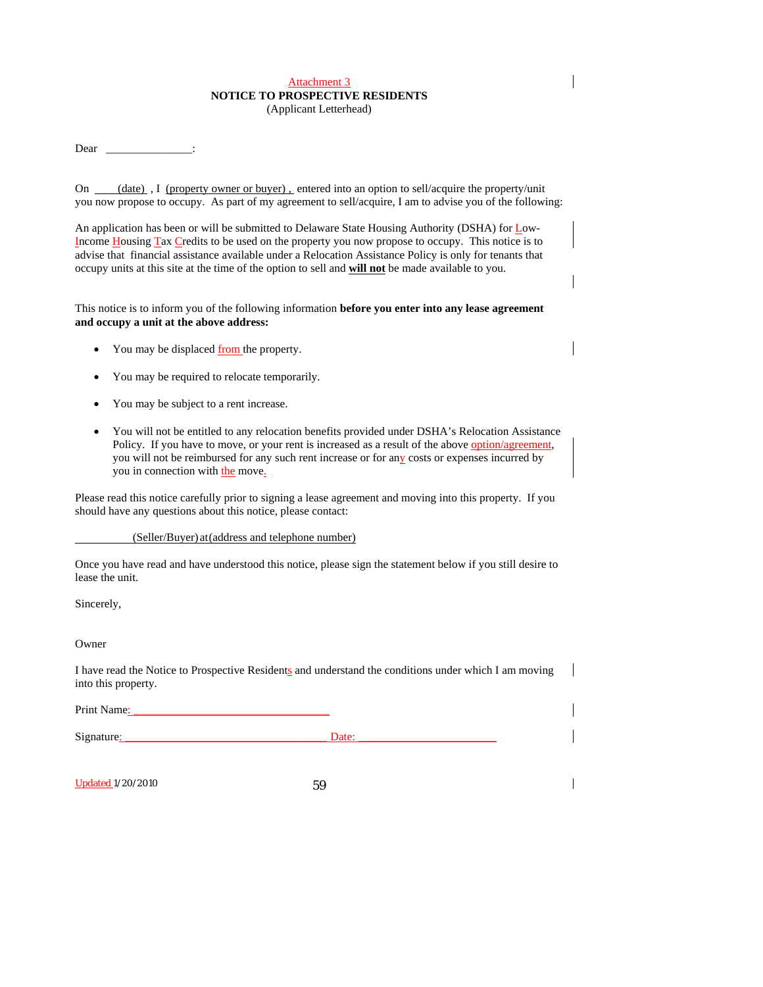# Attachment 3 **NOTICE TO PROSPECTIVE RESIDENTS**

(Applicant Letterhead)

Dear :

On (date), I (property owner or buyer), entered into an option to sell/acquire the property/unit you now propose to occupy. As part of my agreement to sell/acquire, I am to advise you of the following:

An application has been or will be submitted to Delaware State Housing Authority (DSHA) for Low-Income Housing Tax Credits to be used on the property you now propose to occupy. This notice is to advise that financial assistance available under a Relocation Assistance Policy is only for tenants that occupy units at this site at the time of the option to sell and **will not** be made available to you.

This notice is to inform you of the following information **before you enter into any lease agreement and occupy a unit at the above address:**

- You may be displaced from the property.
- You may be required to relocate temporarily.
- You may be subject to a rent increase.
- You will not be entitled to any relocation benefits provided under DSHA's Relocation Assistance Policy. If you have to move, or your rent is increased as a result of the above option/agreement, you will not be reimbursed for any such rent increase or for any costs or expenses incurred by you in connection with the move.

Please read this notice carefully prior to signing a lease agreement and moving into this property. If you should have any questions about this notice, please contact:

#### (Seller/Buyer) at (address and telephone number)

Once you have read and have understood this notice, please sign the statement below if you still desire to lease the unit.

Sincerely,

Owner

I have read the Notice to Prospective Residents and understand the conditions under which I am moving into this property.

Print Name:

Signature: \_\_\_\_\_\_\_\_\_\_\_\_\_\_\_\_\_\_\_\_\_\_\_\_\_\_\_\_\_\_\_\_\_\_\_ Date: \_\_\_\_\_\_\_\_\_\_\_\_\_\_\_\_\_\_\_\_\_\_\_\_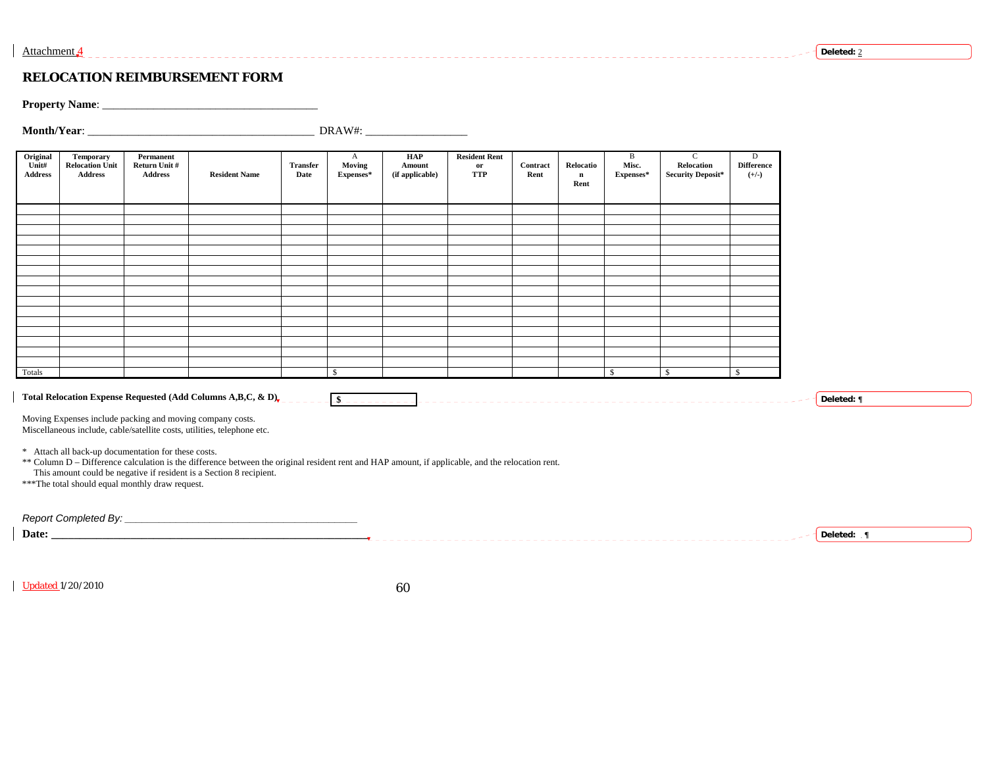#### **RELOCATION REIMBURSEMENT FORM**

**Property Name**: \_\_\_\_\_\_\_\_\_\_\_\_\_\_\_\_\_\_\_\_\_\_\_\_\_\_\_\_\_\_\_\_\_\_\_\_\_\_

**Month/Year**: \_\_\_\_\_\_\_\_\_\_\_\_\_\_\_\_\_\_\_\_\_\_\_\_\_\_\_\_\_\_\_\_\_\_\_\_\_\_\_\_ DRAW#: \_\_\_\_\_\_\_\_\_\_\_\_\_\_\_\_\_\_

| Original<br>Unit#<br><b>Address</b> | <b>Temporary</b><br><b>Relocation Unit</b><br><b>Address</b>                                            | Permanent<br>Return Unit #<br><b>Address</b> | <b>Resident Name</b>                                                                                                                                                                                                     | <b>Transfer</b><br>Date | $\mathbf{A}$<br>Moving<br>Expenses* | HAP<br>Amount<br>(if applicable) | <b>Resident Rent</b><br>or<br><b>TTP</b> | Contract<br>Rent | Relocatio<br>$\mathbf n$<br>Rent | B<br>Misc.<br>Expenses* | $\mathbf{C}$<br>Relocation<br><b>Security Deposit*</b> | D<br><b>Difference</b><br>$(+/-)$ |
|-------------------------------------|---------------------------------------------------------------------------------------------------------|----------------------------------------------|--------------------------------------------------------------------------------------------------------------------------------------------------------------------------------------------------------------------------|-------------------------|-------------------------------------|----------------------------------|------------------------------------------|------------------|----------------------------------|-------------------------|--------------------------------------------------------|-----------------------------------|
|                                     |                                                                                                         |                                              |                                                                                                                                                                                                                          |                         |                                     |                                  |                                          |                  |                                  |                         |                                                        |                                   |
|                                     |                                                                                                         |                                              |                                                                                                                                                                                                                          |                         |                                     |                                  |                                          |                  |                                  |                         |                                                        |                                   |
|                                     |                                                                                                         |                                              |                                                                                                                                                                                                                          |                         |                                     |                                  |                                          |                  |                                  |                         |                                                        |                                   |
|                                     |                                                                                                         |                                              |                                                                                                                                                                                                                          |                         |                                     |                                  |                                          |                  |                                  |                         |                                                        |                                   |
|                                     |                                                                                                         |                                              |                                                                                                                                                                                                                          |                         |                                     |                                  |                                          |                  |                                  |                         |                                                        |                                   |
|                                     |                                                                                                         |                                              |                                                                                                                                                                                                                          |                         |                                     |                                  |                                          |                  |                                  |                         |                                                        |                                   |
|                                     |                                                                                                         |                                              |                                                                                                                                                                                                                          |                         |                                     |                                  |                                          |                  |                                  |                         |                                                        |                                   |
| Totals                              |                                                                                                         |                                              |                                                                                                                                                                                                                          |                         | $\mathbb{S}$                        |                                  |                                          |                  |                                  | $\mathbf{s}$            | $\mathbb{S}$                                           | $\mathbb{S}$                      |
|                                     |                                                                                                         |                                              | Total Relocation Expense Requested (Add Columns A,B,C, & D),<br>Moving Expenses include packing and moving company costs.<br>Miscellaneous include, cable/satellite costs, utilities, telephone etc.                     |                         | $-$ \$ - - - - - - - - - -          |                                  |                                          |                  |                                  |                         |                                                        |                                   |
|                                     | * Attach all back-up documentation for these costs.<br>*** The total should equal monthly draw request. |                                              | ** Column D - Difference calculation is the difference between the original resident rent and HAP amount, if applicable, and the relocation rent.<br>This amount could be negative if resident is a Section 8 recipient. |                         |                                     |                                  |                                          |                  |                                  |                         |                                                        |                                   |

**Date: \_\_\_\_\_\_\_\_\_\_\_\_\_\_\_\_\_\_\_\_\_\_\_\_\_\_\_\_\_\_\_\_\_\_\_\_\_\_\_\_\_\_\_\_\_\_\_\_\_\_\_\_\_\_\_\_ Deleted: ¶**

Updated 1/20/2010

60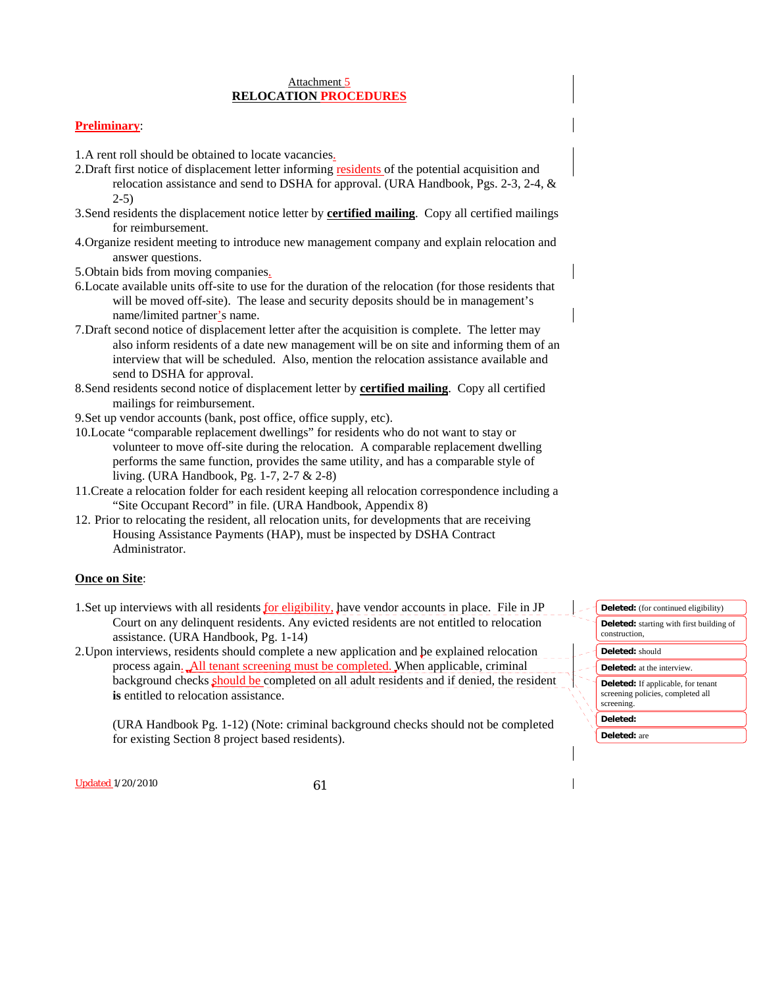#### Attachment 5 **RELOCATION PROCEDURES**

## **Preliminary**:

1. A rent roll should be obtained to locate vacancies.

- 2. Draft first notice of displacement letter informing residents of the potential acquisition and relocation assistance and send to DSHA for approval. (URA Handbook, Pgs. 2-3, 2-4, & 2-5)
- 3. Send residents the displacement notice letter by **certified mailing**. Copy all certified mailings for reimbursement.
- 4. Organize resident meeting to introduce new management company and explain relocation and answer questions.
- 5. Obtain bids from moving companies.
- 6. Locate available units off-site to use for the duration of the relocation (for those residents that will be moved off-site). The lease and security deposits should be in management's name/limited partner's name.
- 7. Draft second notice of displacement letter after the acquisition is complete. The letter may also inform residents of a date new management will be on site and informing them of an interview that will be scheduled. Also, mention the relocation assistance available and send to DSHA for approval.
- 8. Send residents second notice of displacement letter by **certified mailing**. Copy all certified mailings for reimbursement.
- 9. Set up vendor accounts (bank, post office, office supply, etc).
- 10. Locate "comparable replacement dwellings" for residents who do not want to stay or volunteer to move off-site during the relocation. A comparable replacement dwelling performs the same function, provides the same utility, and has a comparable style of living. (URA Handbook, Pg. 1-7, 2-7 & 2-8)
- 11. Create a relocation folder for each resident keeping all relocation correspondence including a "Site Occupant Record" in file. (URA Handbook, Appendix 8)
- 12. Prior to relocating the resident, all relocation units, for developments that are receiving Housing Assistance Payments (HAP), must be inspected by DSHA Contract Administrator.

#### **Once on Site**:

- 1. Set up interviews with all residents for eligibility, have vendor accounts in place. File in JP Court on any delinquent residents. Any evicted residents are not entitled to relocation assistance. (URA Handbook, Pg. 1-14)
- 2. Upon interviews, residents should complete a new application and be explained relocation process again. All tenant screening must be completed. When applicable, criminal background checks should be completed on all adult residents and if denied, the resident **is** entitled to relocation assistance.

(URA Handbook Pg. 1-12) (Note: criminal background checks should not be completed for existing Section 8 project based residents).

| <b>Deleted:</b> (for continued eligibility)                                                  |
|----------------------------------------------------------------------------------------------|
| <b>Deleted:</b> starting with first building of<br>construction.                             |
| Deleted: should                                                                              |
| <b>Deleted:</b> at the interview.                                                            |
| <b>Deleted:</b> If applicable, for tenant<br>screening policies, completed all<br>screening. |
| Deleted:                                                                                     |
| <b>Deleted:</b> are                                                                          |